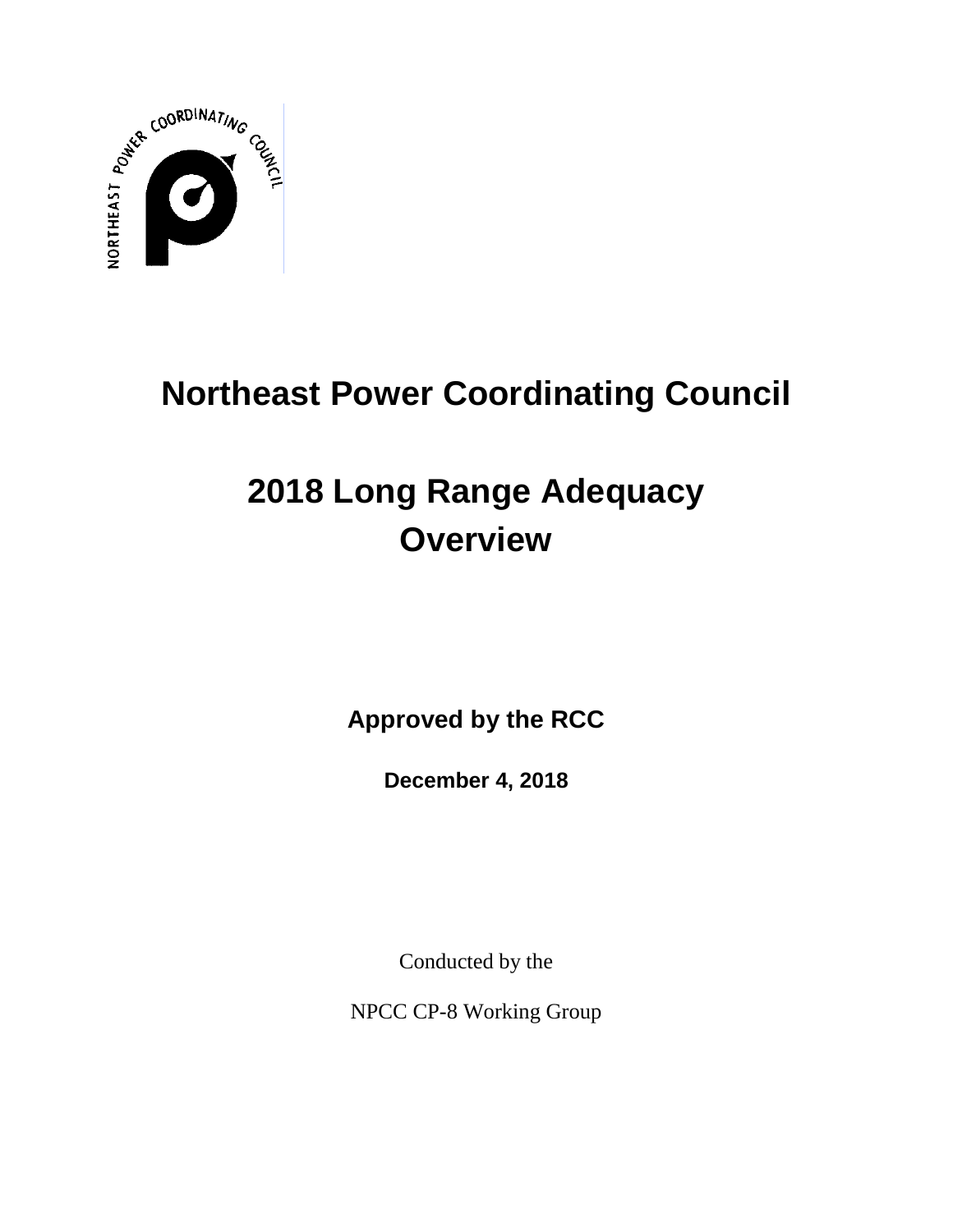

# **Northeast Power Coordinating Council**

# **2018 Long Range Adequacy Overview**

**Approved by the RCC**

**December 4, 2018**

Conducted by the

NPCC CP-8 Working Group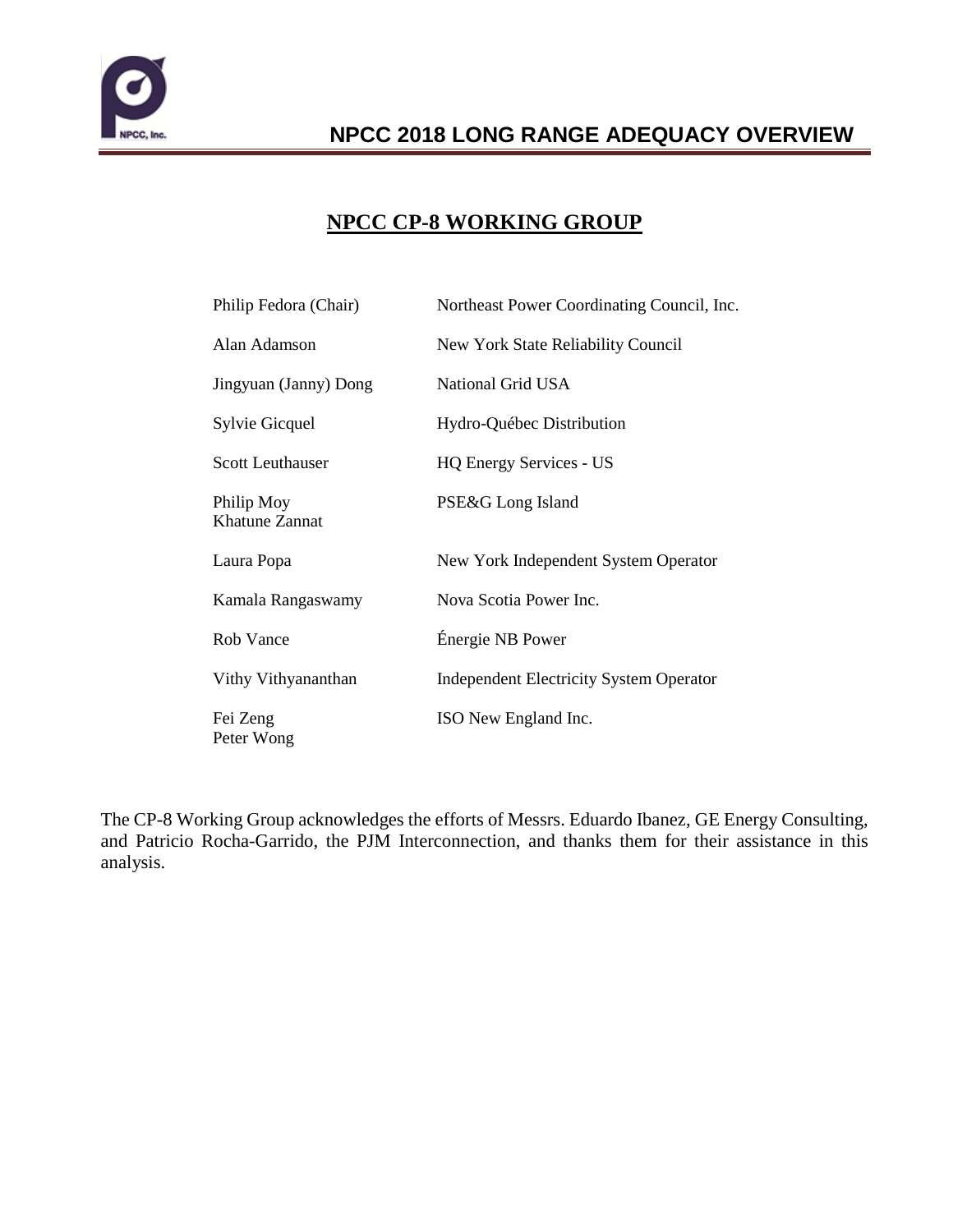

### **NPCC CP-8 WORKING GROUP**

| Philip Fedora (Chair)        | Northeast Power Coordinating Council, Inc.     |
|------------------------------|------------------------------------------------|
| Alan Adamson                 | New York State Reliability Council             |
| Jingyuan (Janny) Dong        | National Grid USA                              |
| Sylvie Gicquel               | Hydro-Québec Distribution                      |
| <b>Scott Leuthauser</b>      | <b>HQ Energy Services - US</b>                 |
| Philip Moy<br>Khatune Zannat | PSE&G Long Island                              |
| Laura Popa                   | New York Independent System Operator           |
| Kamala Rangaswamy            | Nova Scotia Power Inc.                         |
| Rob Vance                    | Énergie NB Power                               |
| Vithy Vithyananthan          | <b>Independent Electricity System Operator</b> |
| Fei Zeng<br>Peter Wong       | ISO New England Inc.                           |

The CP-8 Working Group acknowledges the efforts of Messrs. Eduardo Ibanez, GE Energy Consulting, and Patricio Rocha-Garrido, the PJM Interconnection, and thanks them for their assistance in this analysis.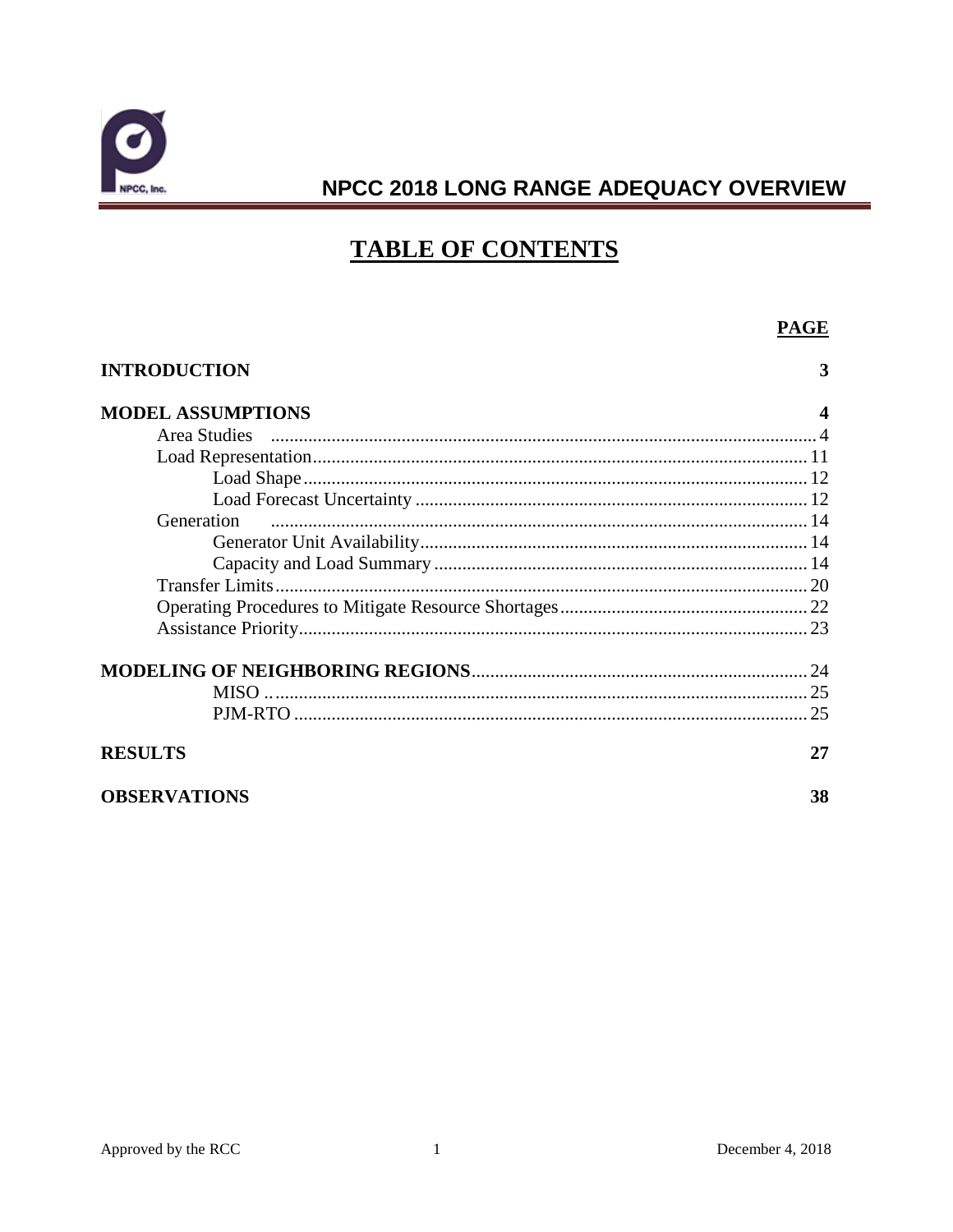

### **TABLE OF CONTENTS**

#### **PAGE INTRODUCTION** 3 **MODEL ASSUMPTIONS** 4 Generation MODELING OF NEIGHBORING REGIONS 24 **RESULTS** 27 **OBSERVATIONS** 38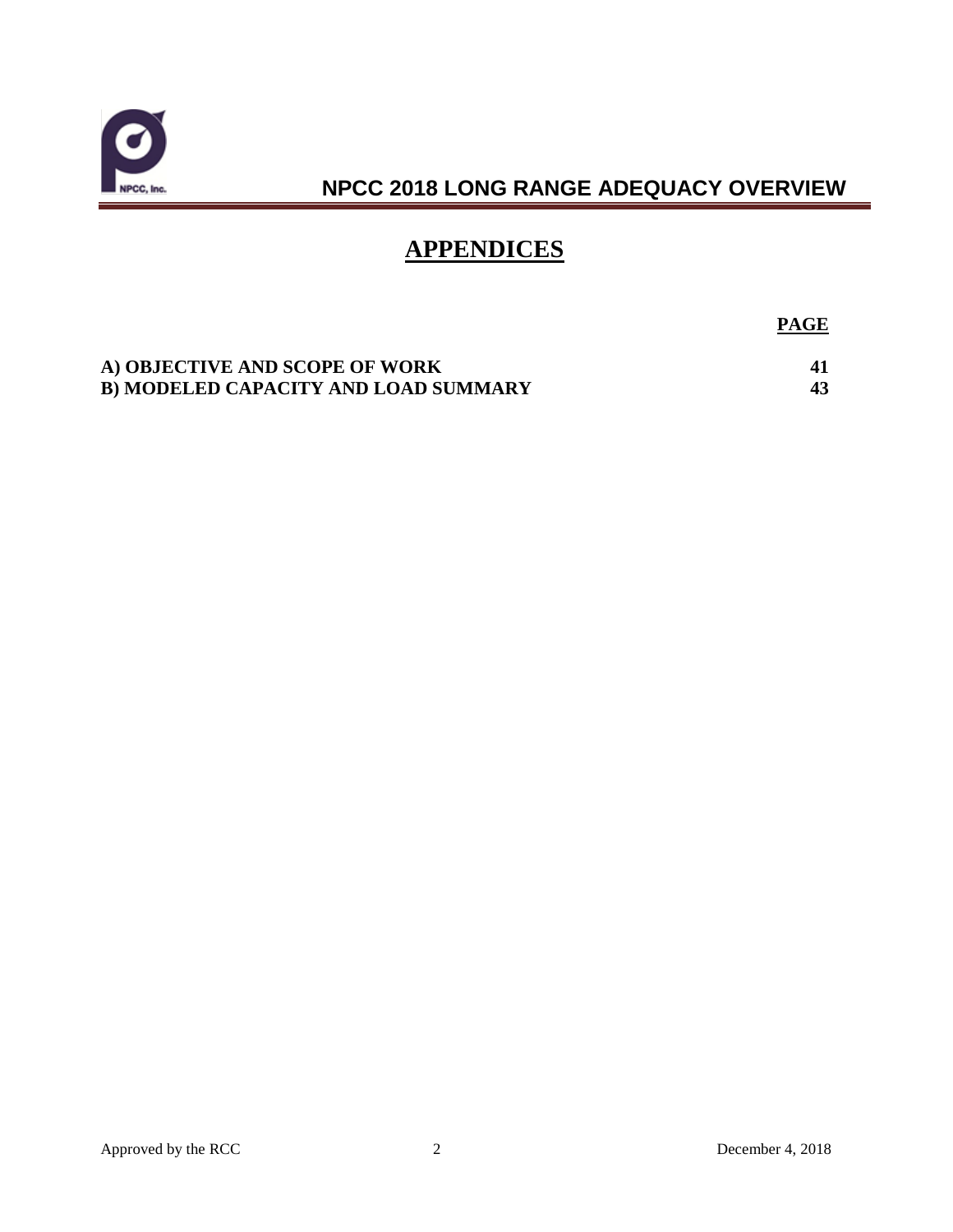

## **APPENDICES**

**PAGE**

| A) OBJECTIVE AND SCOPE OF WORK       |  |
|--------------------------------------|--|
| B) MODELED CAPACITY AND LOAD SUMMARY |  |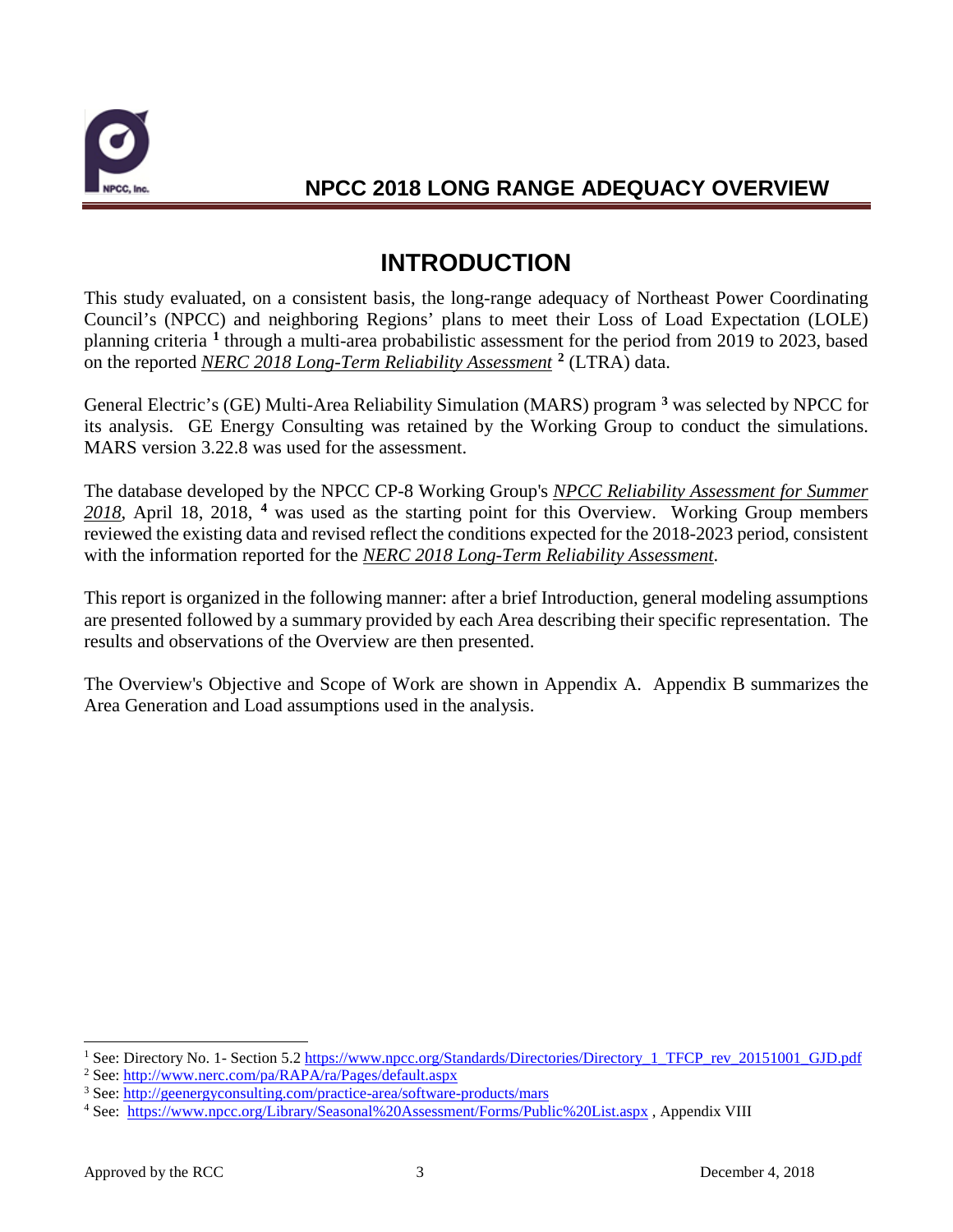

# **INTRODUCTION**

This study evaluated, on a consistent basis, the long-range adequacy of Northeast Power Coordinating Council's (NPCC) and neighboring Regions' plans to meet their Loss of Load Expectation (LOLE) planning criteria **[1](#page-4-0)** through a multi-area probabilistic assessment for the period from 2019 to 2023, based on the reported *NERC 2018 Long-Term Reliability Assessment* **[2](#page-4-1)** (LTRA) data.

General Electric's (GE) Multi-Area Reliability Simulation (MARS) program **[3](#page-4-2)** was selected by NPCC for its analysis. GE Energy Consulting was retained by the Working Group to conduct the simulations. MARS version 3.22.8 was used for the assessment.

The database developed by the NPCC CP-8 Working Group's *NPCC Reliability Assessment for Summer 2018*, April 18, 2018, **[4](#page-4-3)** was used as the starting point for this Overview. Working Group members reviewed the existing data and revised reflect the conditions expected for the 2018-2023 period, consistent with the information reported for the *NERC 2018 Long-Term Reliability Assessment*.

This report is organized in the following manner: after a brief Introduction, general modeling assumptions are presented followed by a summary provided by each Area describing their specific representation. The results and observations of the Overview are then presented.

The Overview's Objective and Scope of Work are shown in Appendix A. Appendix B summarizes the Area Generation and Load assumptions used in the analysis.

<span id="page-4-0"></span><sup>&</sup>lt;sup>1</sup> See: Directory No. 1- Section 5.2 https://www.npcc.org/Standards/Directories/Directory\_1\_TFCP\_rev\_20151001\_GJD.pdf<br>
<sup>2</sup> See: http://www.nerc.com/pa/RAPA/ra/Pages/default.aspx<br>
<sup>3</sup> See: http://geenergyconsulting.com/pra

<span id="page-4-1"></span>

<span id="page-4-2"></span>

<span id="page-4-3"></span><sup>4</sup> See: <https://www.npcc.org/Library/Seasonal%20Assessment/Forms/Public%20List.aspx> , Appendix VIII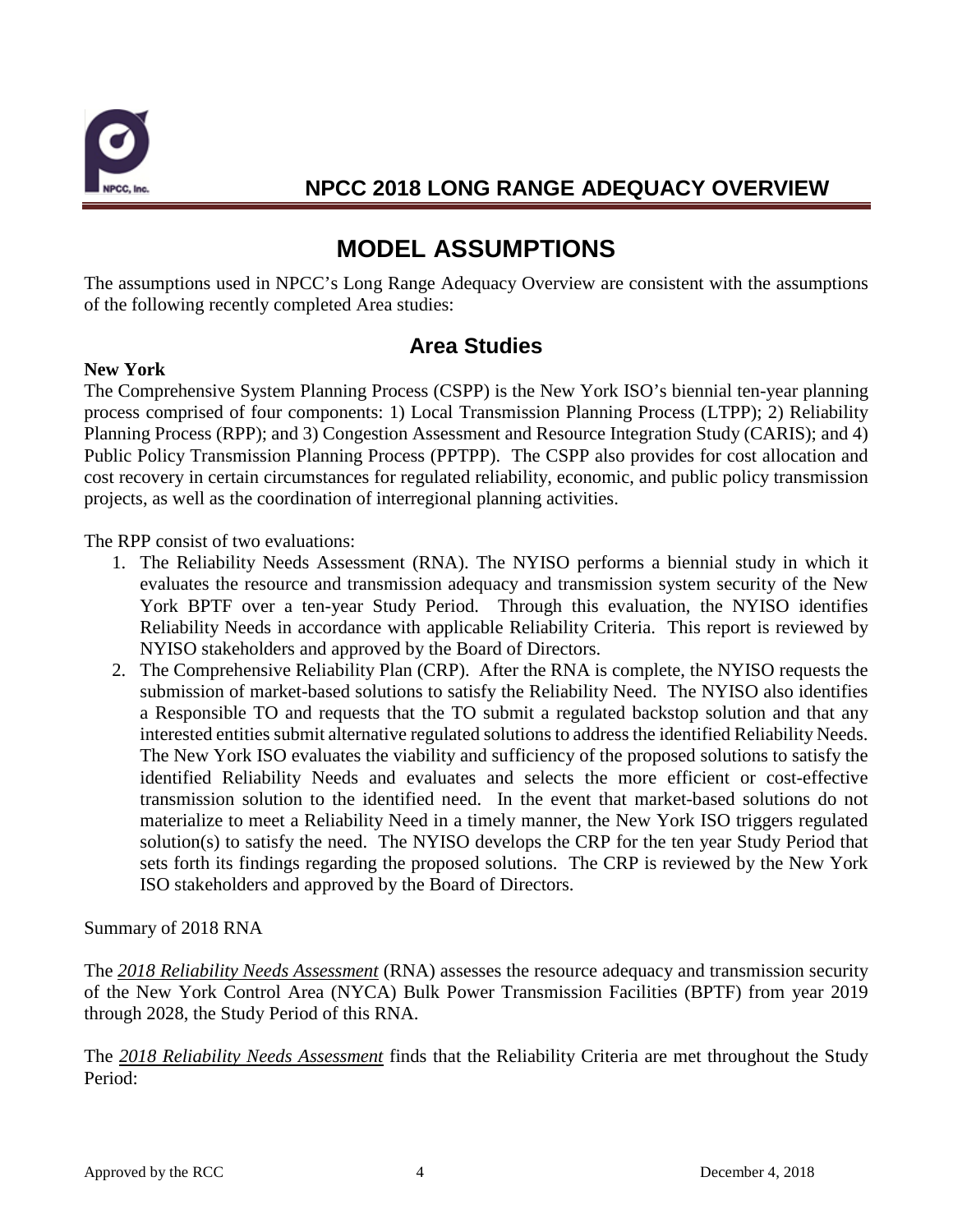

# **MODEL ASSUMPTIONS**

The assumptions used in NPCC's Long Range Adequacy Overview are consistent with the assumptions of the following recently completed Area studies:

### **Area Studies**

#### **New York**

The Comprehensive System Planning Process (CSPP) is the New York ISO's biennial ten-year planning process comprised of four components: 1) Local Transmission Planning Process (LTPP); 2) Reliability Planning Process (RPP); and 3) Congestion Assessment and Resource Integration Study (CARIS); and 4) Public Policy Transmission Planning Process (PPTPP). The CSPP also provides for cost allocation and cost recovery in certain circumstances for regulated reliability, economic, and public policy transmission projects, as well as the coordination of interregional planning activities.

The RPP consist of two evaluations:

- 1. The Reliability Needs Assessment (RNA). The NYISO performs a biennial study in which it evaluates the resource and transmission adequacy and transmission system security of the New York BPTF over a ten-year Study Period. Through this evaluation, the NYISO identifies Reliability Needs in accordance with applicable Reliability Criteria. This report is reviewed by NYISO stakeholders and approved by the Board of Directors.
- 2. The Comprehensive Reliability Plan (CRP). After the RNA is complete, the NYISO requests the submission of market-based solutions to satisfy the Reliability Need. The NYISO also identifies a Responsible TO and requests that the TO submit a regulated backstop solution and that any interested entities submit alternative regulated solutions to address the identified Reliability Needs. The New York ISO evaluates the viability and sufficiency of the proposed solutions to satisfy the identified Reliability Needs and evaluates and selects the more efficient or cost-effective transmission solution to the identified need. In the event that market-based solutions do not materialize to meet a Reliability Need in a timely manner, the New York ISO triggers regulated solution(s) to satisfy the need. The NYISO develops the CRP for the ten year Study Period that sets forth its findings regarding the proposed solutions. The CRP is reviewed by the New York ISO stakeholders and approved by the Board of Directors.

Summary of 2018 RNA

The *2018 Reliability Needs Assessment* (RNA) assesses the resource adequacy and transmission security of the New York Control Area (NYCA) Bulk Power Transmission Facilities (BPTF) from year 2019 through 2028, the Study Period of this RNA.

The *2018 Reliability Needs Assessment* finds that the Reliability Criteria are met throughout the Study Period: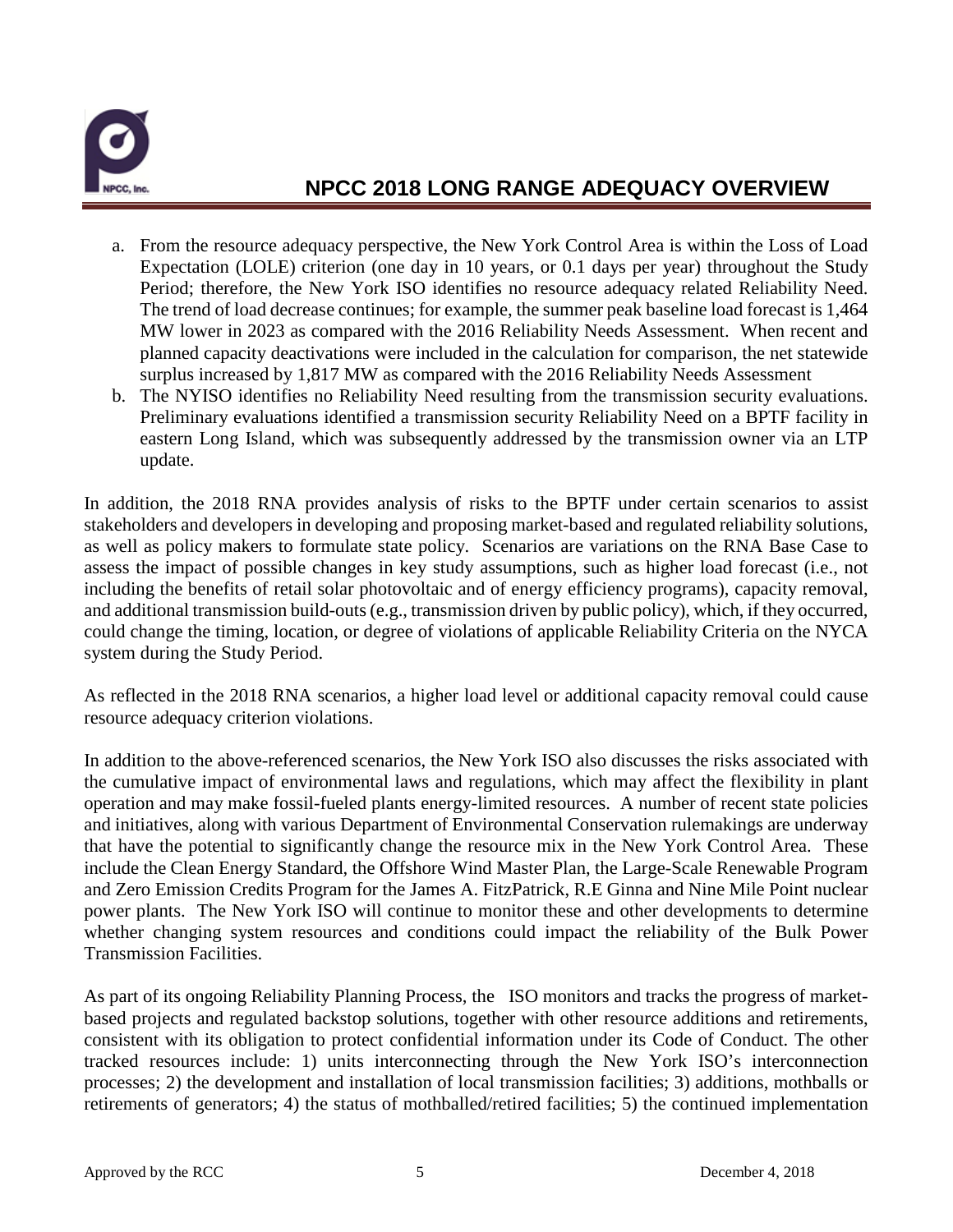

- a. From the resource adequacy perspective, the New York Control Area is within the Loss of Load Expectation (LOLE) criterion (one day in 10 years, or 0.1 days per year) throughout the Study Period; therefore, the New York ISO identifies no resource adequacy related Reliability Need. The trend of load decrease continues; for example, the summer peak baseline load forecast is 1,464 MW lower in 2023 as compared with the 2016 Reliability Needs Assessment. When recent and planned capacity deactivations were included in the calculation for comparison, the net statewide surplus increased by 1,817 MW as compared with the 2016 Reliability Needs Assessment
- b. The NYISO identifies no Reliability Need resulting from the transmission security evaluations. Preliminary evaluations identified a transmission security Reliability Need on a BPTF facility in eastern Long Island, which was subsequently addressed by the transmission owner via an LTP update.

In addition, the 2018 RNA provides analysis of risks to the BPTF under certain scenarios to assist stakeholders and developers in developing and proposing market-based and regulated reliability solutions, as well as policy makers to formulate state policy. Scenarios are variations on the RNA Base Case to assess the impact of possible changes in key study assumptions, such as higher load forecast (i.e., not including the benefits of retail solar photovoltaic and of energy efficiency programs), capacity removal, and additional transmission build-outs (e.g., transmission driven by public policy), which, if they occurred, could change the timing, location, or degree of violations of applicable Reliability Criteria on the NYCA system during the Study Period.

As reflected in the 2018 RNA scenarios, a higher load level or additional capacity removal could cause resource adequacy criterion violations.

In addition to the above-referenced scenarios, the New York ISO also discusses the risks associated with the cumulative impact of environmental laws and regulations, which may affect the flexibility in plant operation and may make fossil-fueled plants energy-limited resources. A number of recent state policies and initiatives, along with various Department of Environmental Conservation rulemakings are underway that have the potential to significantly change the resource mix in the New York Control Area. These include the Clean Energy Standard, the Offshore Wind Master Plan, the Large-Scale Renewable Program and Zero Emission Credits Program for the James A. FitzPatrick, R.E Ginna and Nine Mile Point nuclear power plants. The New York ISO will continue to monitor these and other developments to determine whether changing system resources and conditions could impact the reliability of the Bulk Power Transmission Facilities.

As part of its ongoing Reliability Planning Process, the ISO monitors and tracks the progress of marketbased projects and regulated backstop solutions, together with other resource additions and retirements, consistent with its obligation to protect confidential information under its Code of Conduct. The other tracked resources include: 1) units interconnecting through the New York ISO's interconnection processes; 2) the development and installation of local transmission facilities; 3) additions, mothballs or retirements of generators; 4) the status of mothballed/retired facilities; 5) the continued implementation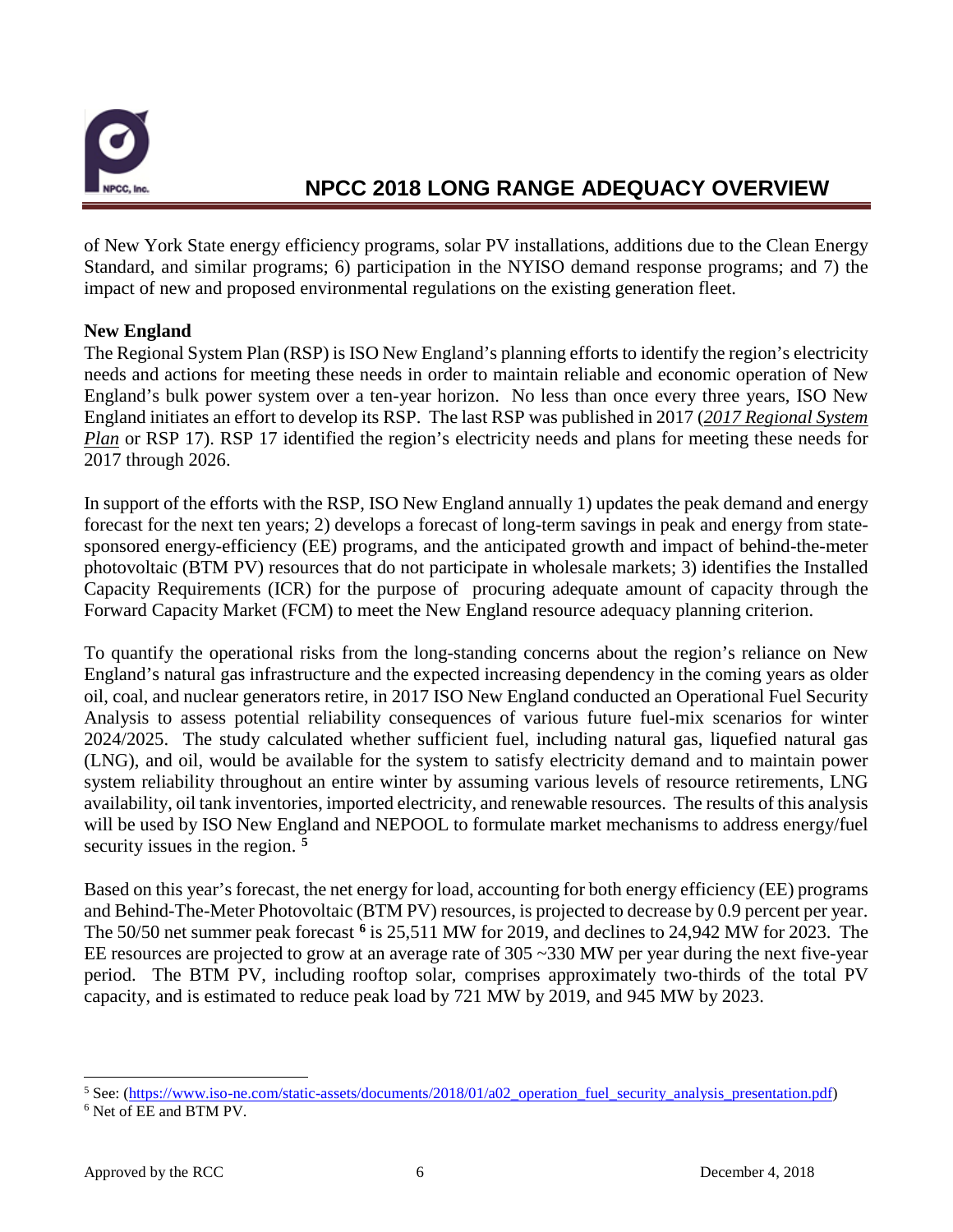

of New York State energy efficiency programs, solar PV installations, additions due to the Clean Energy Standard, and similar programs; 6) participation in the NYISO demand response programs; and 7) the impact of new and proposed environmental regulations on the existing generation fleet.

#### **New England**

The Regional System Plan (RSP) is ISO New England's planning efforts to identify the region's electricity needs and actions for meeting these needs in order to maintain reliable and economic operation of New England's bulk power system over a ten-year horizon. No less than once every three years, ISO New England initiates an effort to develop its RSP. The last RSP was published in 2017 (*2017 Regional System Plan* or RSP 17). RSP 17 identified the region's electricity needs and plans for meeting these needs for 2017 through 2026.

In support of the efforts with the RSP, ISO New England annually 1) updates the peak demand and energy forecast for the next ten years; 2) develops a forecast of long-term savings in peak and energy from statesponsored energy-efficiency (EE) programs, and the anticipated growth and impact of behind-the-meter photovoltaic (BTM PV) resources that do not participate in wholesale markets; 3) identifies the Installed Capacity Requirements (ICR) for the purpose of procuring adequate amount of capacity through the Forward Capacity Market (FCM) to meet the New England resource adequacy planning criterion.

To quantify the operational risks from the long-standing concerns about the region's reliance on New England's natural gas infrastructure and the expected increasing dependency in the coming years as older oil, coal, and nuclear generators retire, in 2017 ISO New England conducted an Operational Fuel Security Analysis to assess potential reliability consequences of various future fuel-mix scenarios for winter 2024/2025. The study calculated whether sufficient fuel, including natural gas, liquefied natural gas (LNG), and oil, would be available for the system to satisfy electricity demand and to maintain power system reliability throughout an entire winter by assuming various levels of resource retirements, LNG availability, oil tank inventories, imported electricity, and renewable resources. The results of this analysis will be used by ISO New England and NEPOOL to formulate market mechanisms to address energy/fuel security issues in the region. **[5](#page-7-0)**

Based on this year's forecast, the net energy for load, accounting for both energy efficiency (EE) programs and Behind-The-Meter Photovoltaic (BTM PV) resources, is projected to decrease by 0.9 percent per year. The 50/50 net summer peak forecast **[6](#page-7-1)** is 25,511 MW for 2019, and declines to 24,942 MW for 2023. The EE resources are projected to grow at an average rate of 305 ~330 MW per year during the next five-year period. The BTM PV, including rooftop solar, comprises approximately two-thirds of the total PV capacity, and is estimated to reduce peak load by 721 MW by 2019, and 945 MW by 2023.

<span id="page-7-0"></span> $5$  See: [\(https://www.iso-ne.com/static-assets/documents/2018/01/a02\\_operation\\_fuel\\_security\\_analysis\\_presentation.pdf\)](https://www.iso-ne.com/static-assets/documents/2018/01/a02_operation_fuel_security_analysis_presentation.pdf)

<span id="page-7-1"></span><sup>6</sup> Net of EE and BTM PV.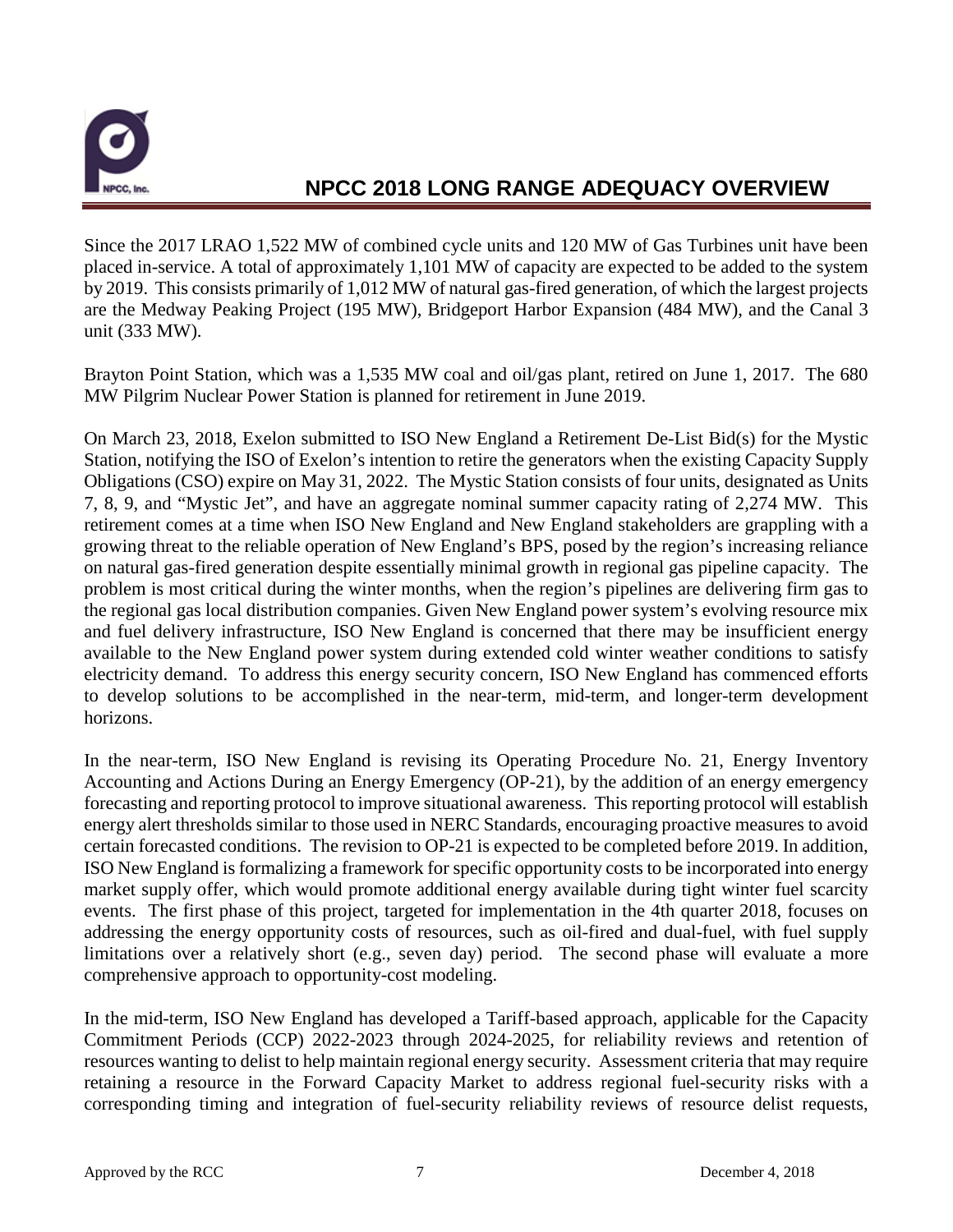

Since the 2017 LRAO 1,522 MW of combined cycle units and 120 MW of Gas Turbines unit have been placed in-service. A total of approximately 1,101 MW of capacity are expected to be added to the system by 2019. This consists primarily of 1,012 MW of natural gas-fired generation, of which the largest projects are the Medway Peaking Project (195 MW), Bridgeport Harbor Expansion (484 MW), and the Canal 3 unit (333 MW).

Brayton Point Station, which was a 1,535 MW coal and oil/gas plant, retired on June 1, 2017. The 680 MW Pilgrim Nuclear Power Station is planned for retirement in June 2019.

On March 23, 2018, Exelon submitted to ISO New England a Retirement De-List Bid(s) for the Mystic Station, notifying the ISO of Exelon's intention to retire the generators when the existing Capacity Supply Obligations (CSO) expire on May 31, 2022. The Mystic Station consists of four units, designated as Units 7, 8, 9, and "Mystic Jet", and have an aggregate nominal summer capacity rating of 2,274 MW. This retirement comes at a time when ISO New England and New England stakeholders are grappling with a growing threat to the reliable operation of New England's BPS, posed by the region's increasing reliance on natural gas-fired generation despite essentially minimal growth in regional gas pipeline capacity. The problem is most critical during the winter months, when the region's pipelines are delivering firm gas to the regional gas local distribution companies. Given New England power system's evolving resource mix and fuel delivery infrastructure, ISO New England is concerned that there may be insufficient energy available to the New England power system during extended cold winter weather conditions to satisfy electricity demand. To address this energy security concern, ISO New England has commenced efforts to develop solutions to be accomplished in the near-term, mid-term, and longer-term development horizons.

In the near-term, ISO New England is revising its Operating Procedure No. 21, Energy Inventory Accounting and Actions During an Energy Emergency (OP-21), by the addition of an energy emergency forecasting and reporting protocol to improve situational awareness. This reporting protocol will establish energy alert thresholds similar to those used in NERC Standards, encouraging proactive measures to avoid certain forecasted conditions. The revision to OP-21 is expected to be completed before 2019. In addition, ISO New England is formalizing a framework for specific opportunity costs to be incorporated into energy market supply offer, which would promote additional energy available during tight winter fuel scarcity events. The first phase of this project, targeted for implementation in the 4th quarter 2018, focuses on addressing the energy opportunity costs of resources, such as oil-fired and dual-fuel, with fuel supply limitations over a relatively short (e.g., seven day) period. The second phase will evaluate a more comprehensive approach to opportunity-cost modeling.

In the mid-term, ISO New England has developed a Tariff-based approach, applicable for the Capacity Commitment Periods (CCP) 2022-2023 through 2024-2025, for reliability reviews and retention of resources wanting to delist to help maintain regional energy security. Assessment criteria that may require retaining a resource in the Forward Capacity Market to address regional fuel-security risks with a corresponding timing and integration of fuel-security reliability reviews of resource delist requests,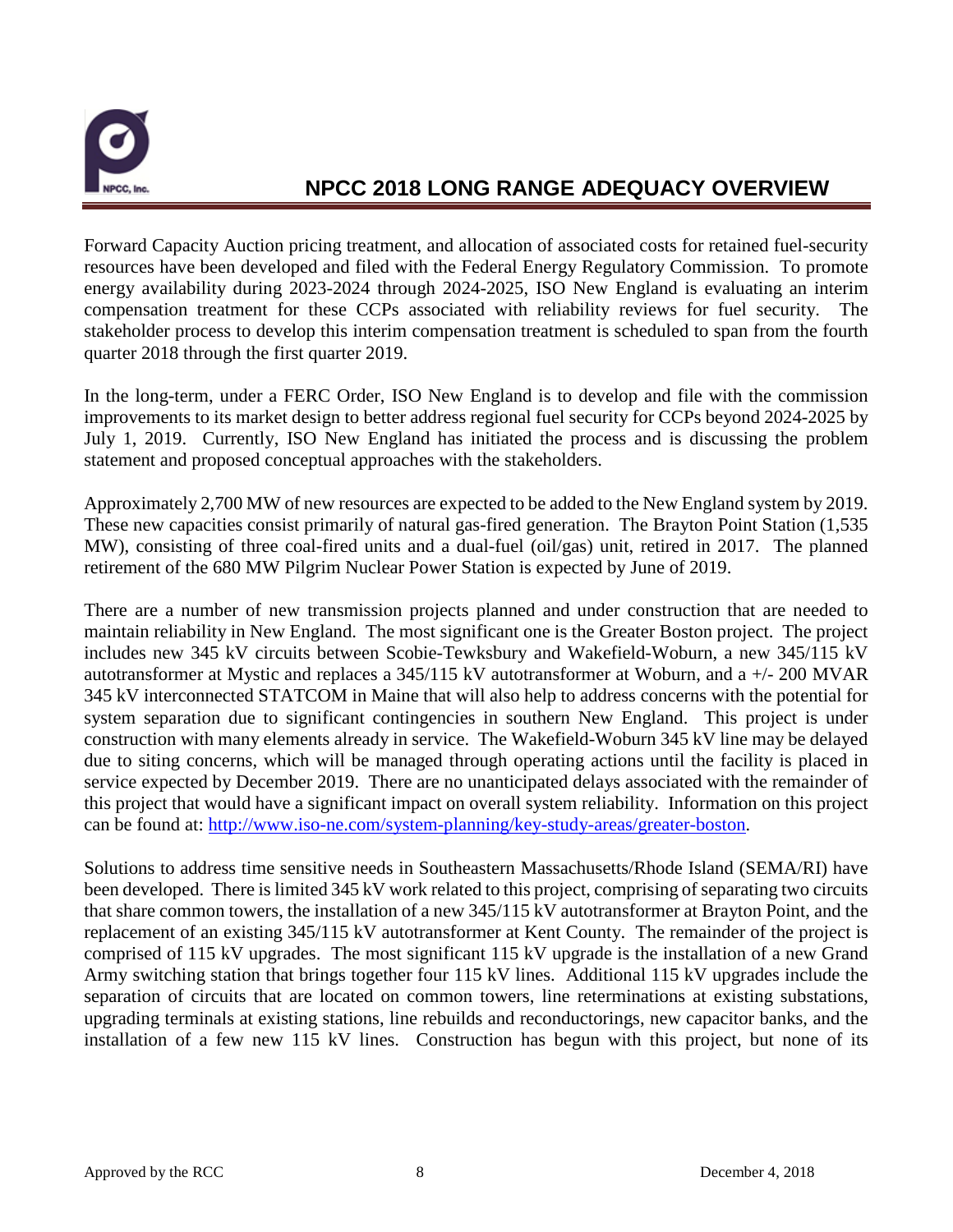

Forward Capacity Auction pricing treatment, and allocation of associated costs for retained fuel-security resources have been developed and filed with the Federal Energy Regulatory Commission. To promote energy availability during 2023-2024 through 2024-2025, ISO New England is evaluating an interim compensation treatment for these CCPs associated with reliability reviews for fuel security. The stakeholder process to develop this interim compensation treatment is scheduled to span from the fourth quarter 2018 through the first quarter 2019.

In the long-term, under a FERC Order, ISO New England is to develop and file with the commission improvements to its market design to better address regional fuel security for CCPs beyond 2024-2025 by July 1, 2019. Currently, ISO New England has initiated the process and is discussing the problem statement and proposed conceptual approaches with the stakeholders.

Approximately 2,700 MW of new resources are expected to be added to the New England system by 2019. These new capacities consist primarily of natural gas-fired generation. The Brayton Point Station (1,535 MW), consisting of three coal-fired units and a dual-fuel (oil/gas) unit, retired in 2017. The planned retirement of the 680 MW Pilgrim Nuclear Power Station is expected by June of 2019.

There are a number of new transmission projects planned and under construction that are needed to maintain reliability in New England. The most significant one is the Greater Boston project. The project includes new 345 kV circuits between Scobie-Tewksbury and Wakefield-Woburn, a new 345/115 kV autotransformer at Mystic and replaces a 345/115 kV autotransformer at Woburn, and a +/- 200 MVAR 345 kV interconnected STATCOM in Maine that will also help to address concerns with the potential for system separation due to significant contingencies in southern New England. This project is under construction with many elements already in service. The Wakefield-Woburn 345 kV line may be delayed due to siting concerns, which will be managed through operating actions until the facility is placed in service expected by December 2019. There are no unanticipated delays associated with the remainder of this project that would have a significant impact on overall system reliability. Information on this project can be found at: [http://www.iso-ne.com/system-planning/key-study-areas/greater-boston.](http://www.iso-ne.com/system-planning/key-study-areas/greater-boston)

Solutions to address time sensitive needs in Southeastern Massachusetts/Rhode Island (SEMA/RI) have been developed. There is limited 345 kV work related to this project, comprising of separating two circuits that share common towers, the installation of a new 345/115 kV autotransformer at Brayton Point, and the replacement of an existing 345/115 kV autotransformer at Kent County. The remainder of the project is comprised of 115 kV upgrades. The most significant 115 kV upgrade is the installation of a new Grand Army switching station that brings together four 115 kV lines. Additional 115 kV upgrades include the separation of circuits that are located on common towers, line reterminations at existing substations, upgrading terminals at existing stations, line rebuilds and reconductorings, new capacitor banks, and the installation of a few new 115 kV lines. Construction has begun with this project, but none of its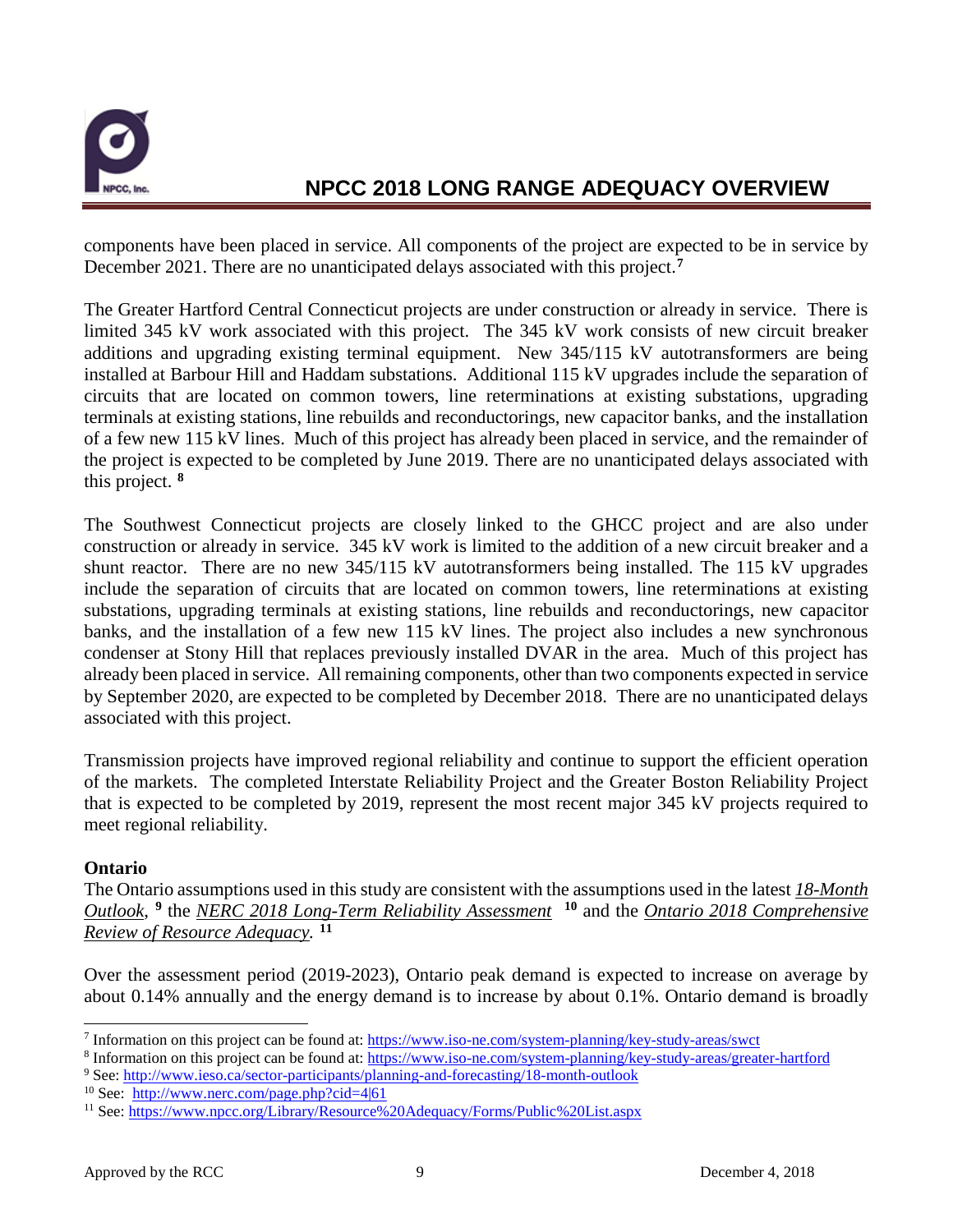

components have been placed in service. All components of the project are expected to be in service by December 2021. There are no unanticipated delays associated with this project.**[7](#page-10-0)**

The Greater Hartford Central Connecticut projects are under construction or already in service. There is limited 345 kV work associated with this project. The 345 kV work consists of new circuit breaker additions and upgrading existing terminal equipment. New 345/115 kV autotransformers are being installed at Barbour Hill and Haddam substations. Additional 115 kV upgrades include the separation of circuits that are located on common towers, line reterminations at existing substations, upgrading terminals at existing stations, line rebuilds and reconductorings, new capacitor banks, and the installation of a few new 115 kV lines. Much of this project has already been placed in service, and the remainder of the project is expected to be completed by June 2019. There are no unanticipated delays associated with this project. **[8](#page-10-1)**

The Southwest Connecticut projects are closely linked to the GHCC project and are also under construction or already in service. 345 kV work is limited to the addition of a new circuit breaker and a shunt reactor. There are no new 345/115 kV autotransformers being installed. The 115 kV upgrades include the separation of circuits that are located on common towers, line reterminations at existing substations, upgrading terminals at existing stations, line rebuilds and reconductorings, new capacitor banks, and the installation of a few new 115 kV lines. The project also includes a new synchronous condenser at Stony Hill that replaces previously installed DVAR in the area. Much of this project has already been placed in service. All remaining components, other than two components expected in service by September 2020, are expected to be completed by December 2018. There are no unanticipated delays associated with this project.

Transmission projects have improved regional reliability and continue to support the efficient operation of the markets. The completed Interstate Reliability Project and the Greater Boston Reliability Project that is expected to be completed by 2019, represent the most recent major 345 kV projects required to meet regional reliability.

#### **Ontario**

The Ontario assumptions used in this study are consistent with the assumptions used in the latest *18-Month Outlook*, **[9](#page-10-2)** the *NERC 2018 Long-Term Reliability Assessment* **[10](#page-10-3)** and the *Ontario 2018 Comprehensive Review of Resource Adequacy.* **[11](#page-10-4)**

Over the assessment period (2019-2023), Ontario peak demand is expected to increase on average by about 0.14% annually and the energy demand is to increase by about 0.1%. Ontario demand is broadly

<span id="page-10-0"></span> <sup>7</sup> Information on this project can be found at:<https://www.iso-ne.com/system-planning/key-study-areas/swct>

<span id="page-10-1"></span><sup>8</sup> Information on this project can be found at:<https://www.iso-ne.com/system-planning/key-study-areas/greater-hartford>

<span id="page-10-2"></span><sup>9</sup> See:<http://www.ieso.ca/sector-participants/planning-and-forecasting/18-month-outlook>

<span id="page-10-3"></span><sup>&</sup>lt;sup>10</sup> See: <http://www.nerc.com/page.php?cid=4|61>

<span id="page-10-4"></span><sup>11</sup> See[: https://www.npcc.org/Library/Resource%20Adequacy/Forms/Public%20List.aspx](https://www.npcc.org/Library/Resource%20Adequacy/Forms/Public%20List.aspx)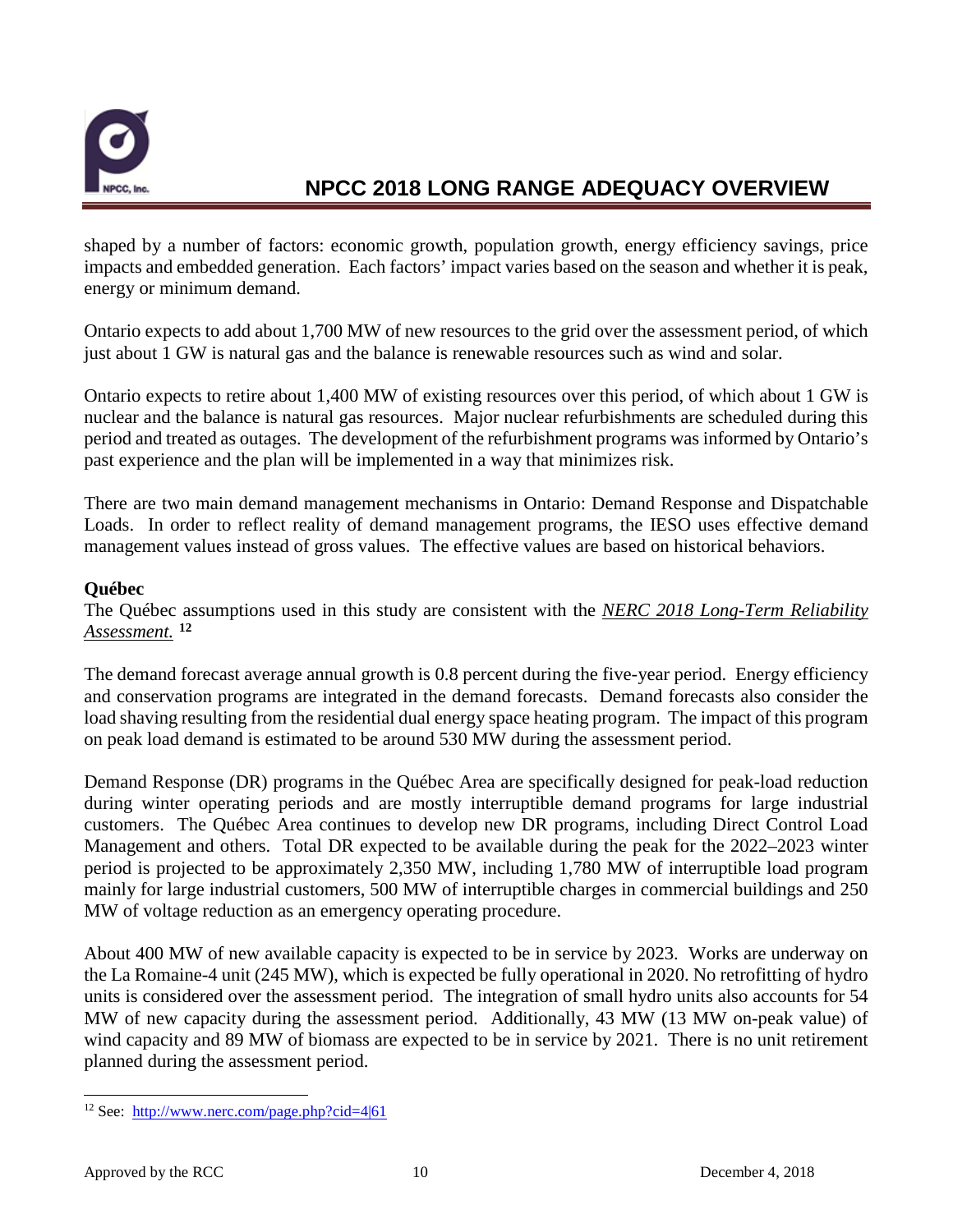

shaped by a number of factors: economic growth, population growth, energy efficiency savings, price impacts and embedded generation. Each factors' impact varies based on the season and whether it is peak, energy or minimum demand.

Ontario expects to add about 1,700 MW of new resources to the grid over the assessment period, of which just about 1 GW is natural gas and the balance is renewable resources such as wind and solar.

Ontario expects to retire about 1,400 MW of existing resources over this period, of which about 1 GW is nuclear and the balance is natural gas resources. Major nuclear refurbishments are scheduled during this period and treated as outages. The development of the refurbishment programs was informed by Ontario's past experience and the plan will be implemented in a way that minimizes risk.

There are two main demand management mechanisms in Ontario: Demand Response and Dispatchable Loads. In order to reflect reality of demand management programs, the IESO uses effective demand management values instead of gross values. The effective values are based on historical behaviors.

#### **Québec**

The Québec assumptions used in this study are consistent with the *NERC 2018 Long-Term Reliability Assessment.* **[12](#page-11-0)**

The demand forecast average annual growth is 0.8 percent during the five-year period. Energy efficiency and conservation programs are integrated in the demand forecasts. Demand forecasts also consider the load shaving resulting from the residential dual energy space heating program. The impact of this program on peak load demand is estimated to be around 530 MW during the assessment period.

Demand Response (DR) programs in the Québec Area are specifically designed for peak-load reduction during winter operating periods and are mostly interruptible demand programs for large industrial customers. The Québec Area continues to develop new DR programs, including Direct Control Load Management and others. Total DR expected to be available during the peak for the 2022–2023 winter period is projected to be approximately 2,350 MW, including 1,780 MW of interruptible load program mainly for large industrial customers, 500 MW of interruptible charges in commercial buildings and 250 MW of voltage reduction as an emergency operating procedure.

About 400 MW of new available capacity is expected to be in service by 2023. Works are underway on the La Romaine-4 unit (245 MW), which is expected be fully operational in 2020. No retrofitting of hydro units is considered over the assessment period. The integration of small hydro units also accounts for 54 MW of new capacity during the assessment period. Additionally, 43 MW (13 MW on-peak value) of wind capacity and 89 MW of biomass are expected to be in service by 2021. There is no unit retirement planned during the assessment period.

<span id="page-11-0"></span> <sup>12</sup> See: <http://www.nerc.com/page.php?cid=4|61>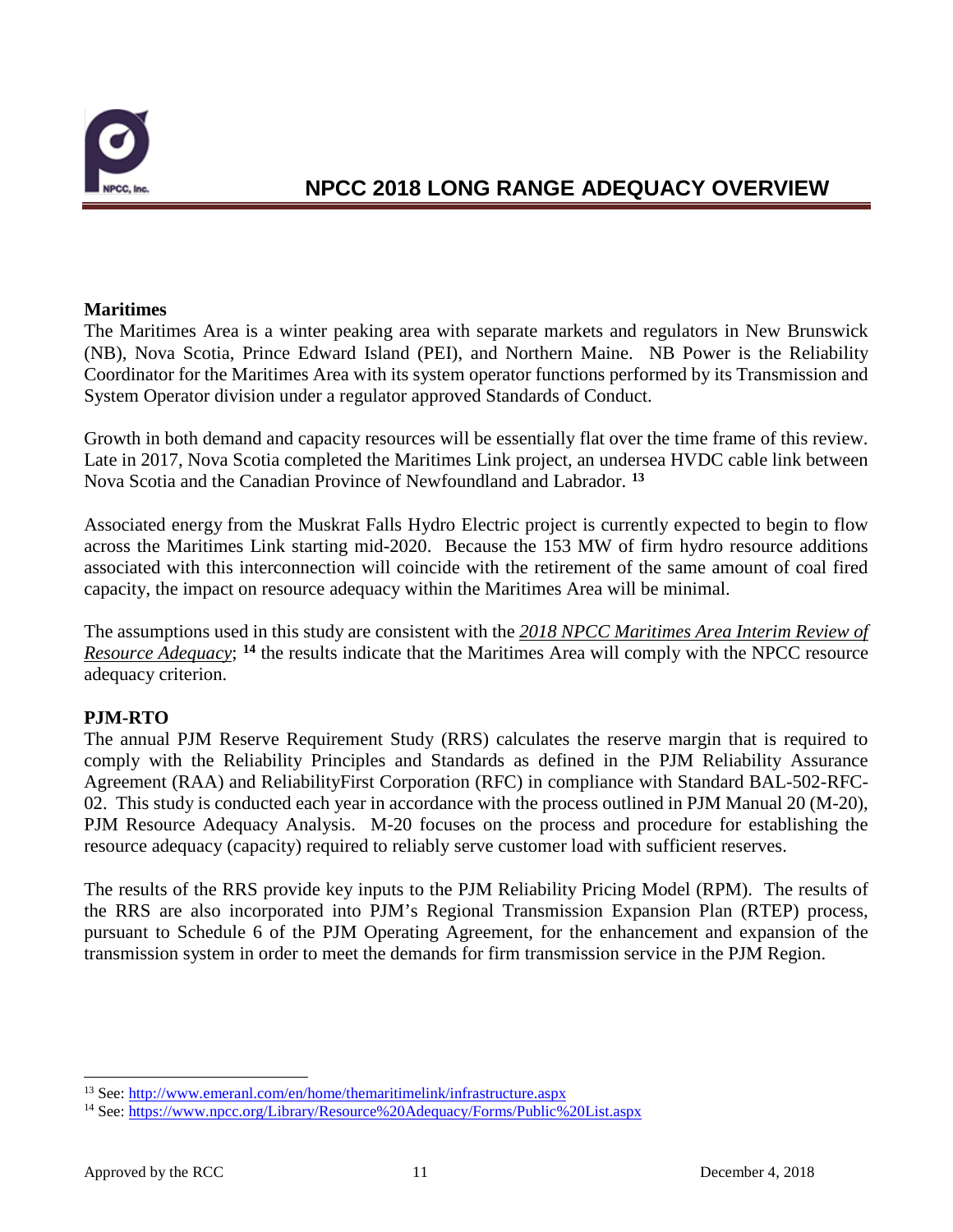

#### **Maritimes**

The Maritimes Area is a winter peaking area with separate markets and regulators in New Brunswick (NB), Nova Scotia, Prince Edward Island (PEI), and Northern Maine. NB Power is the Reliability Coordinator for the Maritimes Area with its system operator functions performed by its Transmission and System Operator division under a regulator approved Standards of Conduct.

Growth in both demand and capacity resources will be essentially flat over the time frame of this review. Late in 2017, Nova Scotia completed the Maritimes Link project, an undersea HVDC cable link between Nova Scotia and the Canadian Province of Newfoundland and Labrador. **[13](#page-12-0)**

Associated energy from the Muskrat Falls Hydro Electric project is currently expected to begin to flow across the Maritimes Link starting mid-2020. Because the 153 MW of firm hydro resource additions associated with this interconnection will coincide with the retirement of the same amount of coal fired capacity, the impact on resource adequacy within the Maritimes Area will be minimal.

The assumptions used in this study are consistent with the *2018 NPCC Maritimes Area Interim Review of Resource Adequacy*; <sup>[14](#page-12-1)</sup> the results indicate that the Maritimes Area will comply with the NPCC resource adequacy criterion.

#### **PJM-RTO**

The annual PJM Reserve Requirement Study (RRS) calculates the reserve margin that is required to comply with the Reliability Principles and Standards as defined in the PJM Reliability Assurance Agreement (RAA) and ReliabilityFirst Corporation (RFC) in compliance with Standard BAL-502-RFC-02. This study is conducted each year in accordance with the process outlined in PJM Manual 20 (M-20), PJM Resource Adequacy Analysis. M-20 focuses on the process and procedure for establishing the resource adequacy (capacity) required to reliably serve customer load with sufficient reserves.

The results of the RRS provide key inputs to the PJM Reliability Pricing Model (RPM). The results of the RRS are also incorporated into PJM's Regional Transmission Expansion Plan (RTEP) process, pursuant to Schedule 6 of the PJM Operating Agreement, for the enhancement and expansion of the transmission system in order to meet the demands for firm transmission service in the PJM Region.

<span id="page-12-0"></span><sup>&</sup>lt;sup>13</sup> See[: http://www.emeranl.com/en/home/themaritimelink/infrastructure.aspx](http://www.emeranl.com/en/home/themaritimelink/infrastructure.aspx)

<span id="page-12-1"></span><sup>&</sup>lt;sup>14</sup> See[: https://www.npcc.org/Library/Resource%20Adequacy/Forms/Public%20List.aspx](https://www.npcc.org/Library/Resource%20Adequacy/Forms/Public%20List.aspx)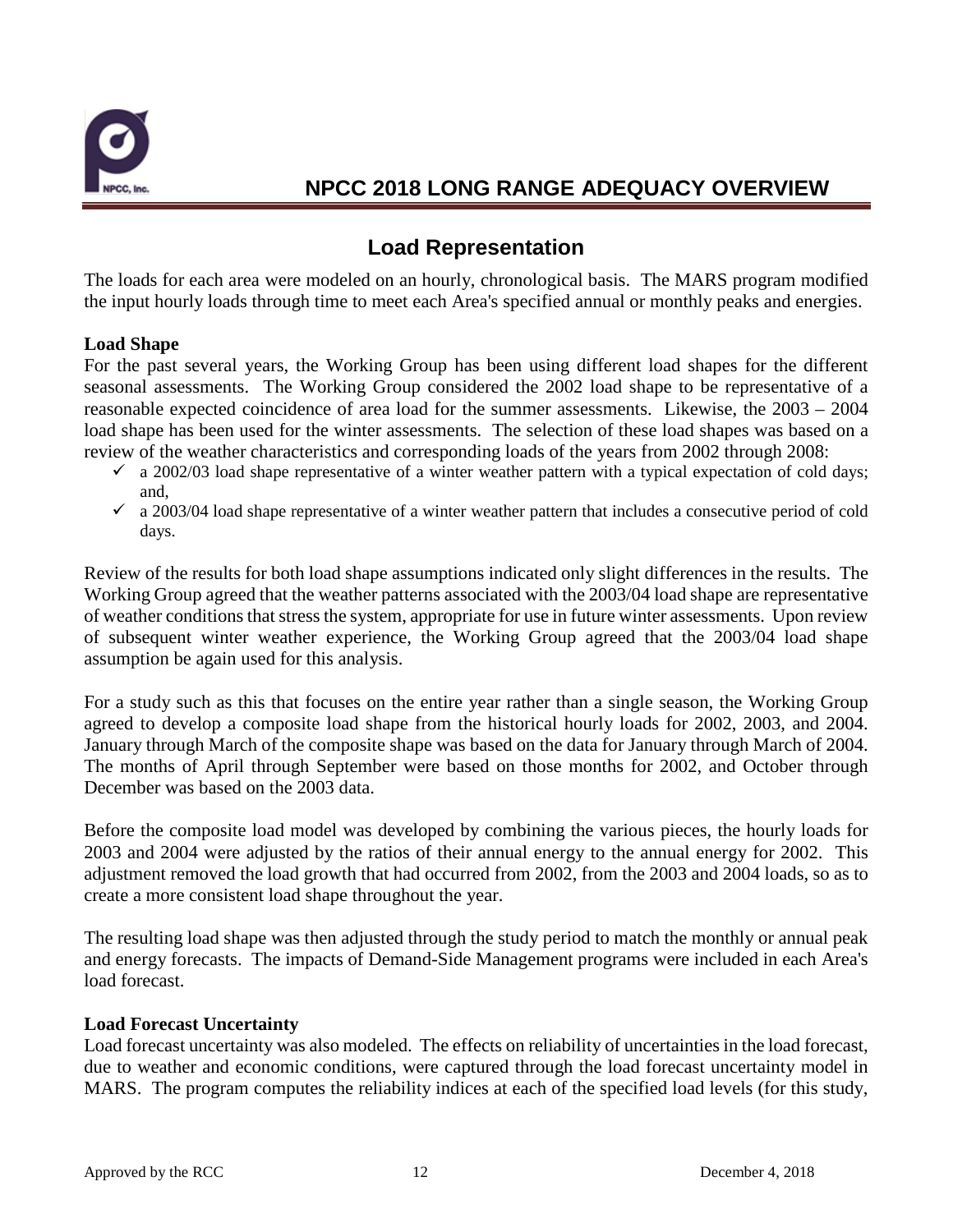

### **Load Representation**

The loads for each area were modeled on an hourly, chronological basis. The MARS program modified the input hourly loads through time to meet each Area's specified annual or monthly peaks and energies.

#### **Load Shape**

For the past several years, the Working Group has been using different load shapes for the different seasonal assessments. The Working Group considered the 2002 load shape to be representative of a reasonable expected coincidence of area load for the summer assessments. Likewise, the 2003 – 2004 load shape has been used for the winter assessments. The selection of these load shapes was based on a review of the weather characteristics and corresponding loads of the years from 2002 through 2008:

- $\checkmark$  a 2002/03 load shape representative of a winter weather pattern with a typical expectation of cold days; and,
- $\checkmark$  a 2003/04 load shape representative of a winter weather pattern that includes a consecutive period of cold days.

Review of the results for both load shape assumptions indicated only slight differences in the results. The Working Group agreed that the weather patterns associated with the 2003/04 load shape are representative of weather conditions that stress the system, appropriate for use in future winter assessments. Upon review of subsequent winter weather experience, the Working Group agreed that the 2003/04 load shape assumption be again used for this analysis.

For a study such as this that focuses on the entire year rather than a single season, the Working Group agreed to develop a composite load shape from the historical hourly loads for 2002, 2003, and 2004. January through March of the composite shape was based on the data for January through March of 2004. The months of April through September were based on those months for 2002, and October through December was based on the 2003 data.

Before the composite load model was developed by combining the various pieces, the hourly loads for 2003 and 2004 were adjusted by the ratios of their annual energy to the annual energy for 2002. This adjustment removed the load growth that had occurred from 2002, from the 2003 and 2004 loads, so as to create a more consistent load shape throughout the year.

The resulting load shape was then adjusted through the study period to match the monthly or annual peak and energy forecasts. The impacts of Demand-Side Management programs were included in each Area's load forecast.

#### **Load Forecast Uncertainty**

Load forecast uncertainty was also modeled.The effects on reliability of uncertainties in the load forecast, due to weather and economic conditions, were captured through the load forecast uncertainty model in MARS. The program computes the reliability indices at each of the specified load levels (for this study,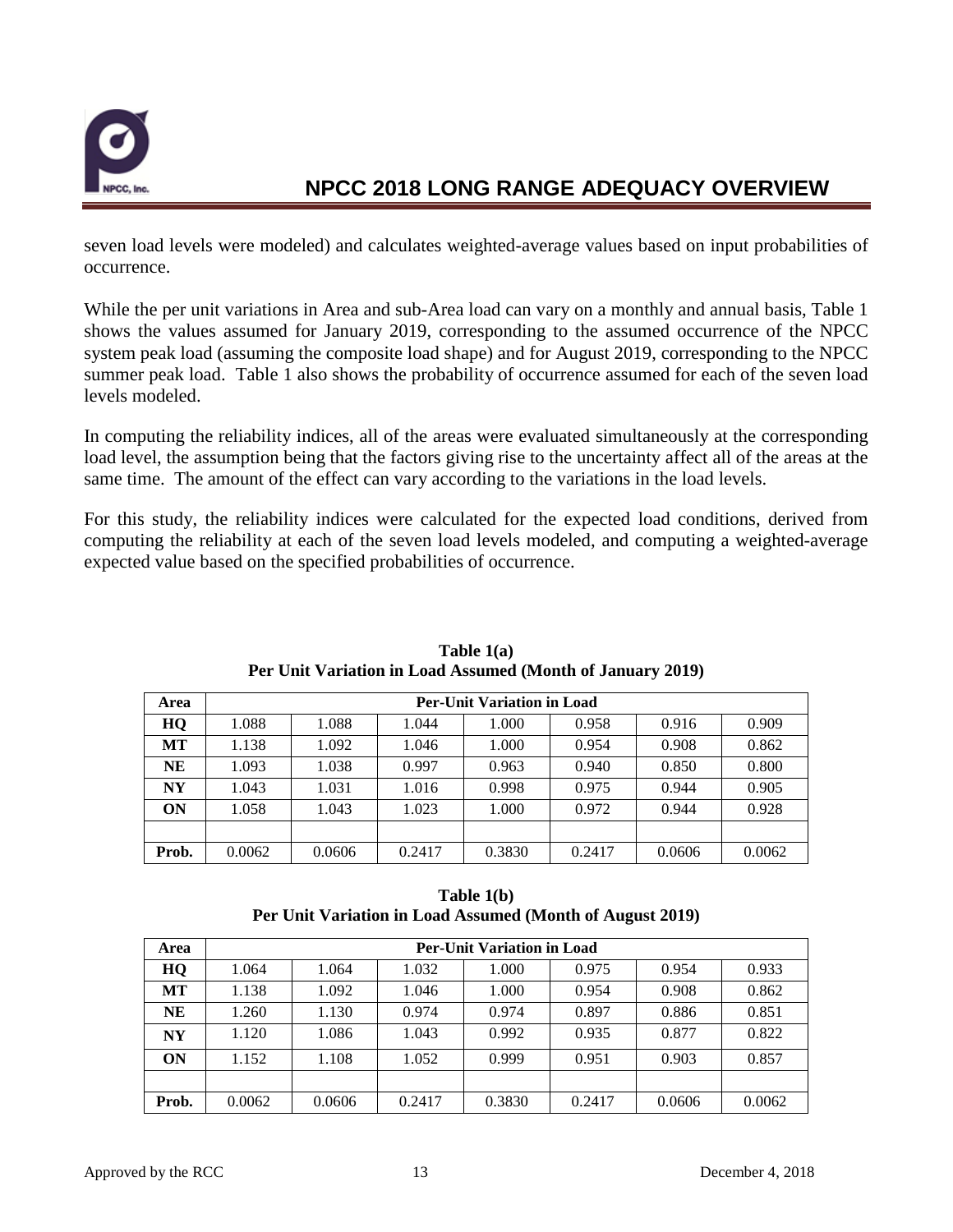

seven load levels were modeled) and calculates weighted-average values based on input probabilities of occurrence.

While the per unit variations in Area and sub-Area load can vary on a monthly and annual basis, Table 1 shows the values assumed for January 2019, corresponding to the assumed occurrence of the NPCC system peak load (assuming the composite load shape) and for August 2019, corresponding to the NPCC summer peak load. Table 1 also shows the probability of occurrence assumed for each of the seven load levels modeled.

In computing the reliability indices, all of the areas were evaluated simultaneously at the corresponding load level, the assumption being that the factors giving rise to the uncertainty affect all of the areas at the same time. The amount of the effect can vary according to the variations in the load levels.

For this study, the reliability indices were calculated for the expected load conditions, derived from computing the reliability at each of the seven load levels modeled, and computing a weighted-average expected value based on the specified probabilities of occurrence.

| Area      | <b>Per-Unit Variation in Load</b> |        |        |        |        |        |        |  |  |
|-----------|-----------------------------------|--------|--------|--------|--------|--------|--------|--|--|
| HQ        | 1.088                             | 1.088  | 1.044  | 1.000  | 0.958  | 0.916  | 0.909  |  |  |
| МT        | 1.138                             | 1.092  | 1.046  | 1.000  | 0.954  | 0.908  | 0.862  |  |  |
| NE        | 1.093                             | 1.038  | 0.997  | 0.963  | 0.940  | 0.850  | 0.800  |  |  |
| <b>NY</b> | 1.043                             | 1.031  | 1.016  | 0.998  | 0.975  | 0.944  | 0.905  |  |  |
| ON        | 1.058                             | 1.043  | 1.023  | 1.000  | 0.972  | 0.944  | 0.928  |  |  |
|           |                                   |        |        |        |        |        |        |  |  |
| Prob.     | 0.0062                            | 0.0606 | 0.2417 | 0.3830 | 0.2417 | 0.0606 | 0.0062 |  |  |

| Table $1(a)$                                               |
|------------------------------------------------------------|
| Per Unit Variation in Load Assumed (Month of January 2019) |

**Table 1(b) Per Unit Variation in Load Assumed (Month of August 2019)**

| Area      | <b>Per-Unit Variation in Load</b> |        |        |        |        |        |        |  |  |  |
|-----------|-----------------------------------|--------|--------|--------|--------|--------|--------|--|--|--|
| HQ        | 1.064                             | 1.064  | 1.032  | 1.000  | 0.975  | 0.954  | 0.933  |  |  |  |
| MТ        | 1.138                             | 1.092  | 1.046  | 1.000  | 0.954  | 0.908  | 0.862  |  |  |  |
| <b>NE</b> | 1.260                             | 1.130  | 0.974  | 0.974  | 0.897  | 0.886  | 0.851  |  |  |  |
| <b>NY</b> | 1.120                             | 1.086  | 1.043  | 0.992  | 0.935  | 0.877  | 0.822  |  |  |  |
| ON        | 1.152                             | 1.108  | 1.052  | 0.999  | 0.951  | 0.903  | 0.857  |  |  |  |
|           |                                   |        |        |        |        |        |        |  |  |  |
| Prob.     | 0.0062                            | 0.0606 | 0.2417 | 0.3830 | 0.2417 | 0.0606 | 0.0062 |  |  |  |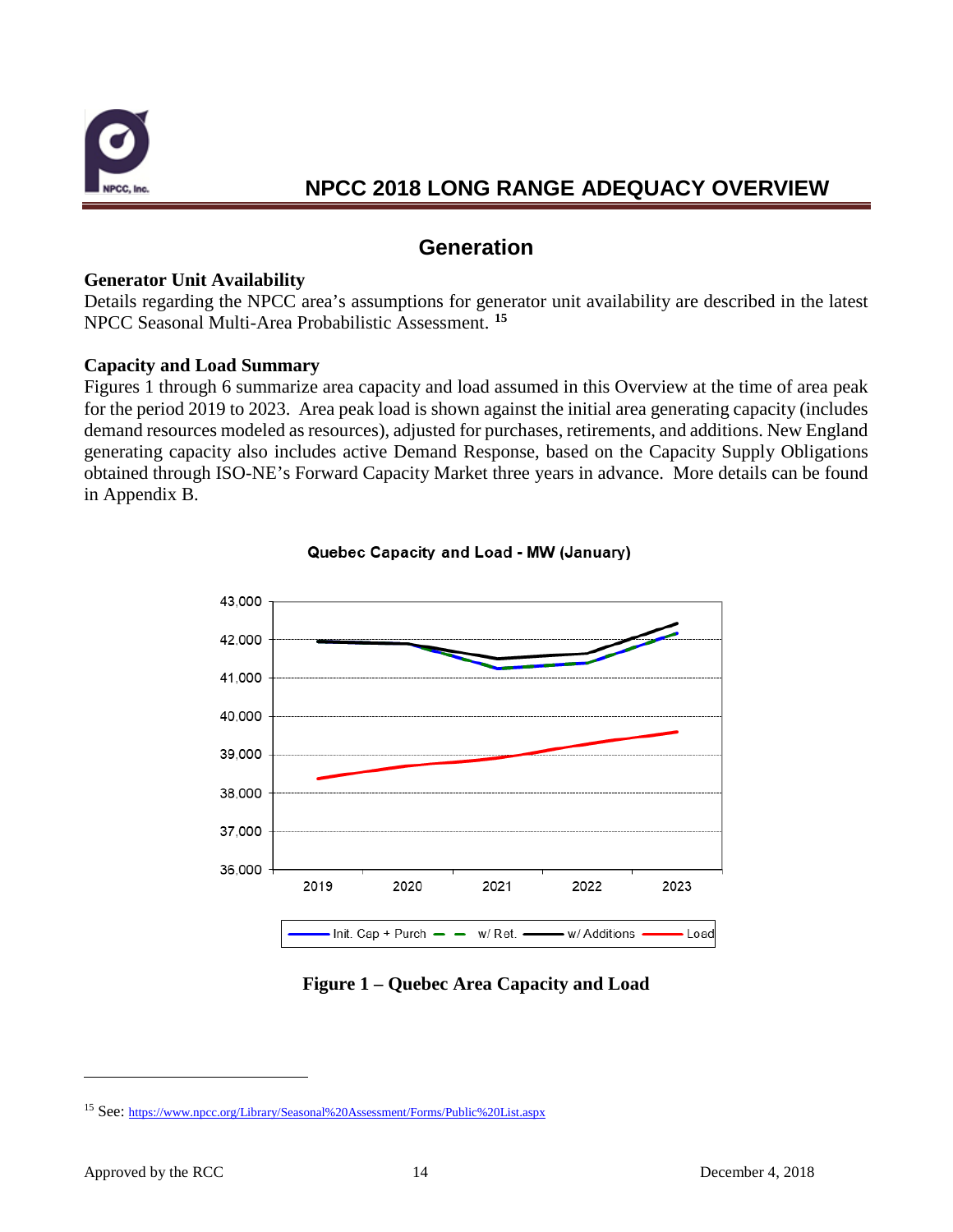

### **Generation**

#### **Generator Unit Availability**

Details regarding the NPCC area's assumptions for generator unit availability are described in the latest NPCC Seasonal Multi-Area Probabilistic Assessment. **[15](#page-15-0)**

#### **Capacity and Load Summary**

Figures 1 through 6 summarize area capacity and load assumed in this Overview at the time of area peak for the period 2019 to 2023. Area peak load is shown against the initial area generating capacity (includes demand resources modeled as resources), adjusted for purchases, retirements, and additions. New England generating capacity also includes active Demand Response, based on the Capacity Supply Obligations obtained through ISO-NE's Forward Capacity Market three years in advance. More details can be found in Appendix B.



#### Quebec Capacity and Load - MW (January)

#### **Figure 1 – Quebec Area Capacity and Load**

 $\overline{a}$ 

<span id="page-15-0"></span><sup>15</sup> See[: https://www.npcc.org/Library/Seasonal%20Assessment/Forms/Public%20List.aspx](https://www.npcc.org/Library/Seasonal%20Assessment/Forms/Public%20List.aspx)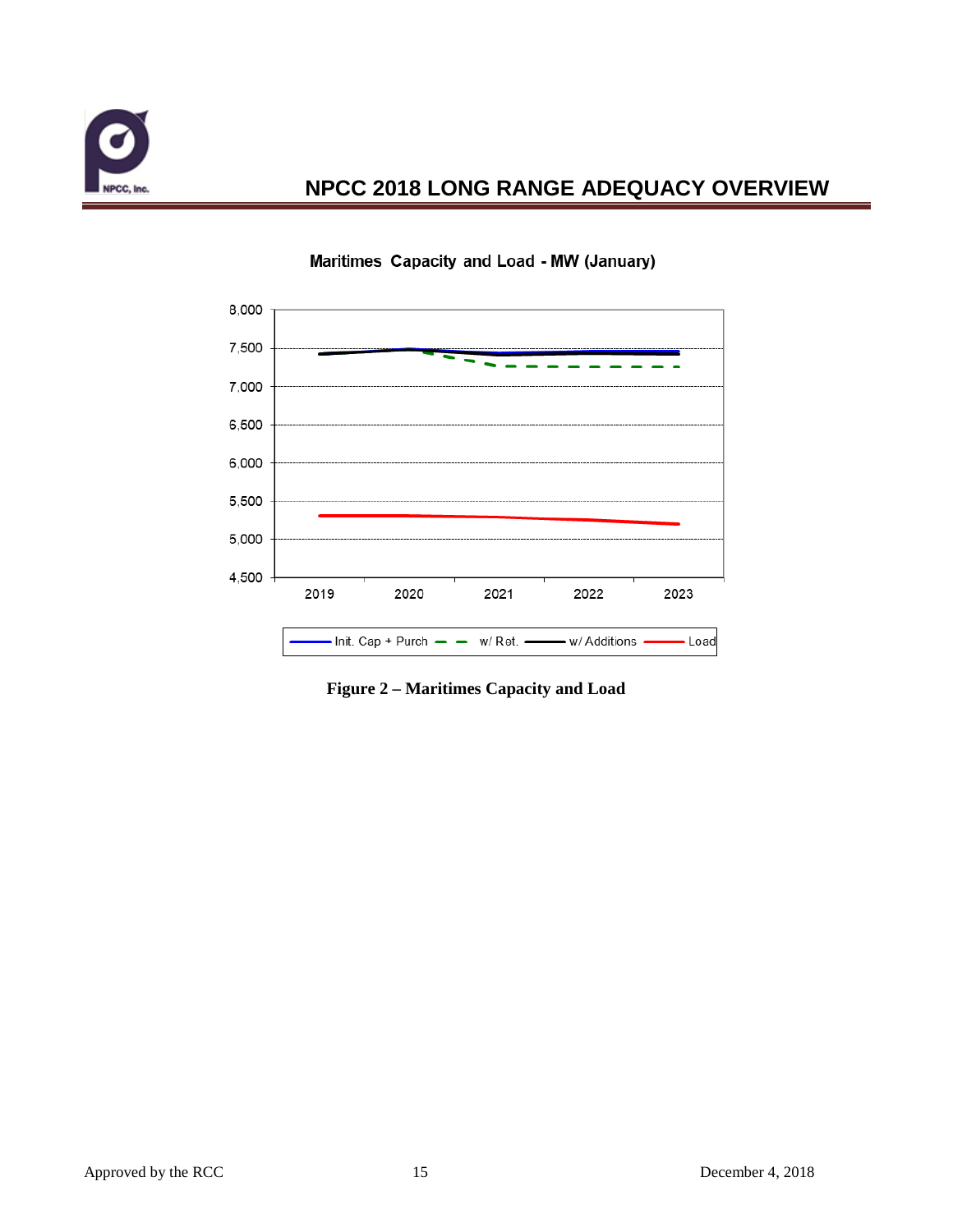



### Maritimes Capacity and Load - MW (January)

**Figure 2 – Maritimes Capacity and Load**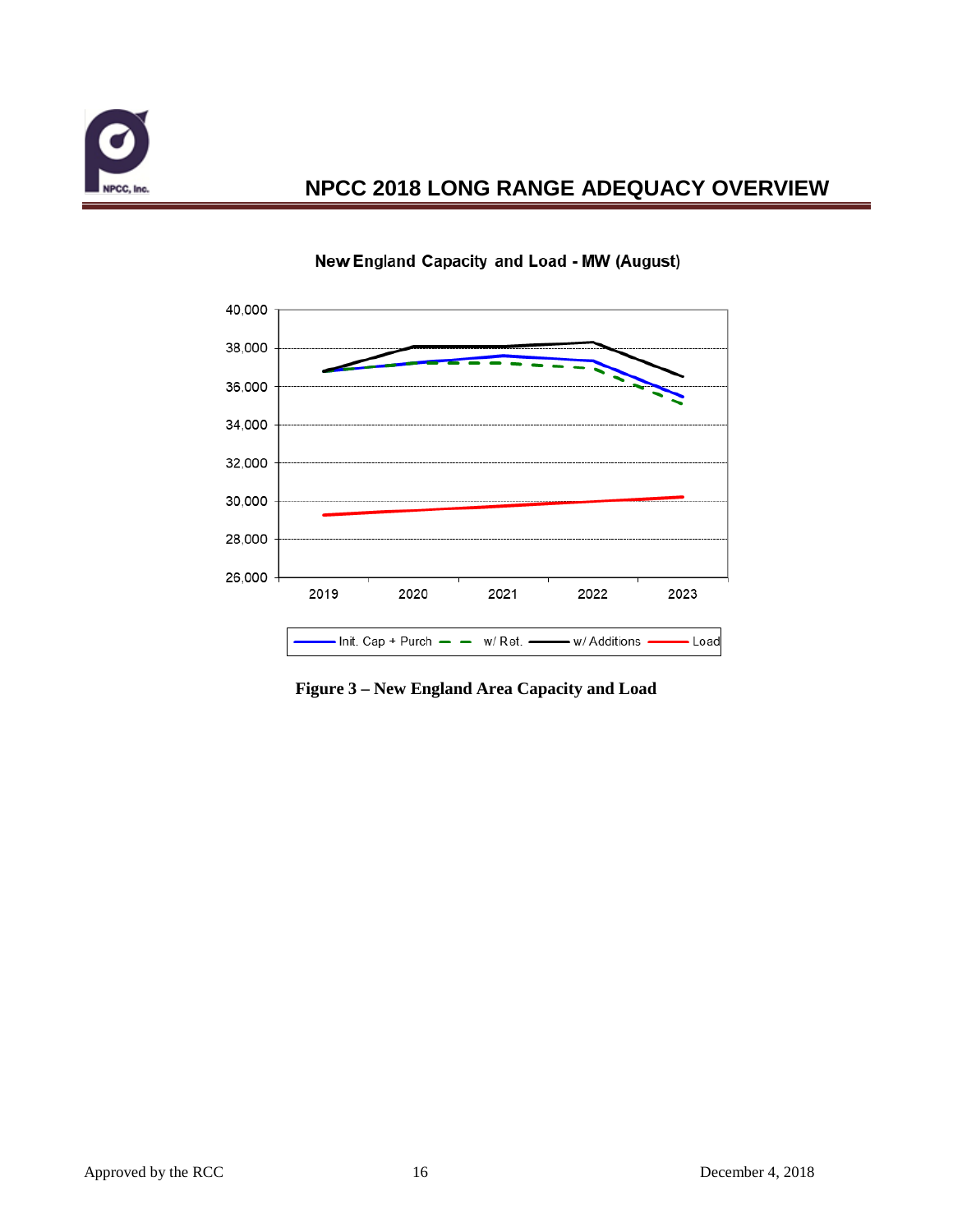



#### New England Capacity and Load - MW (August)

**Figure 3 – New England Area Capacity and Load**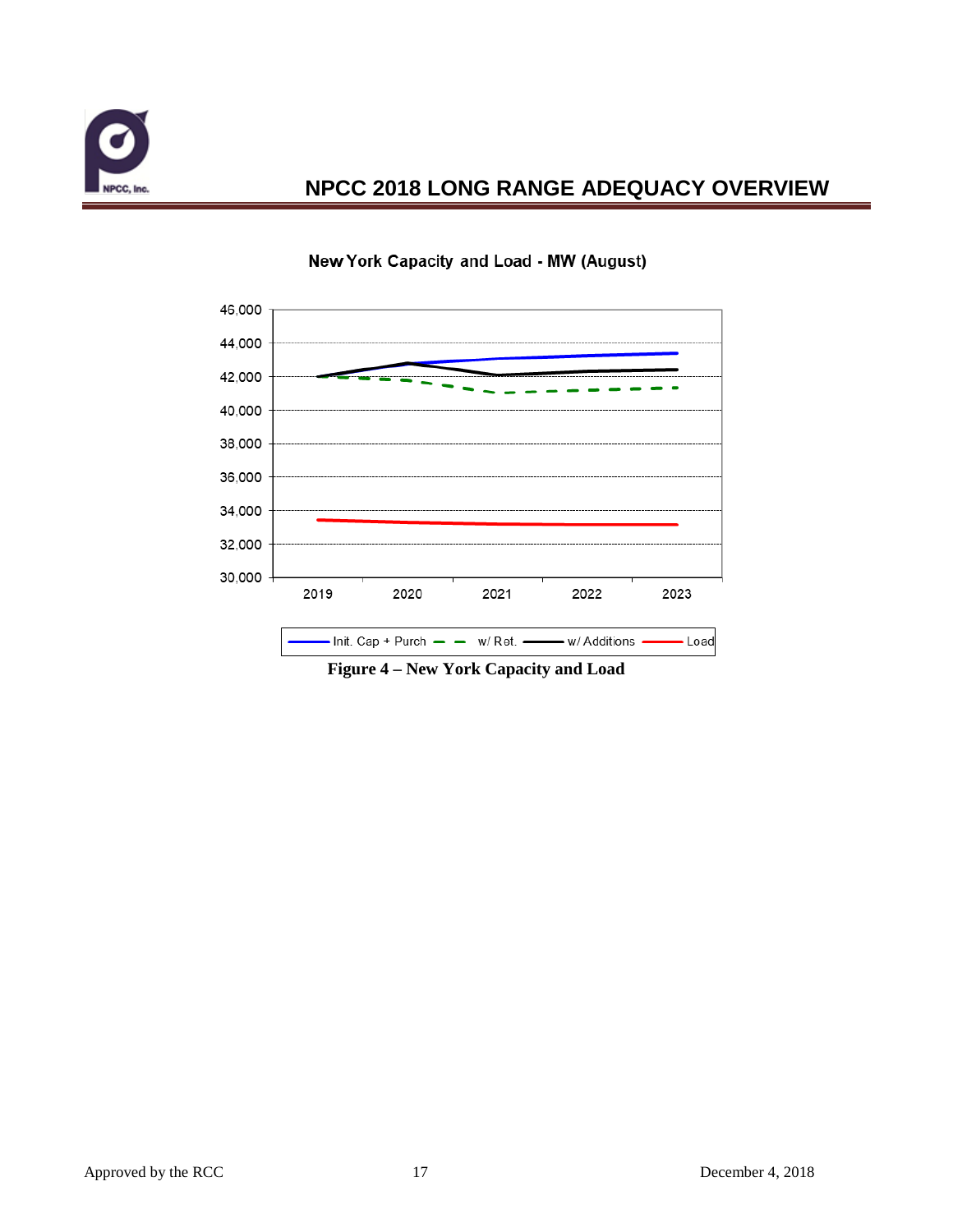



#### New York Capacity and Load - MW (August)

**Figure 4 – New York Capacity and Load**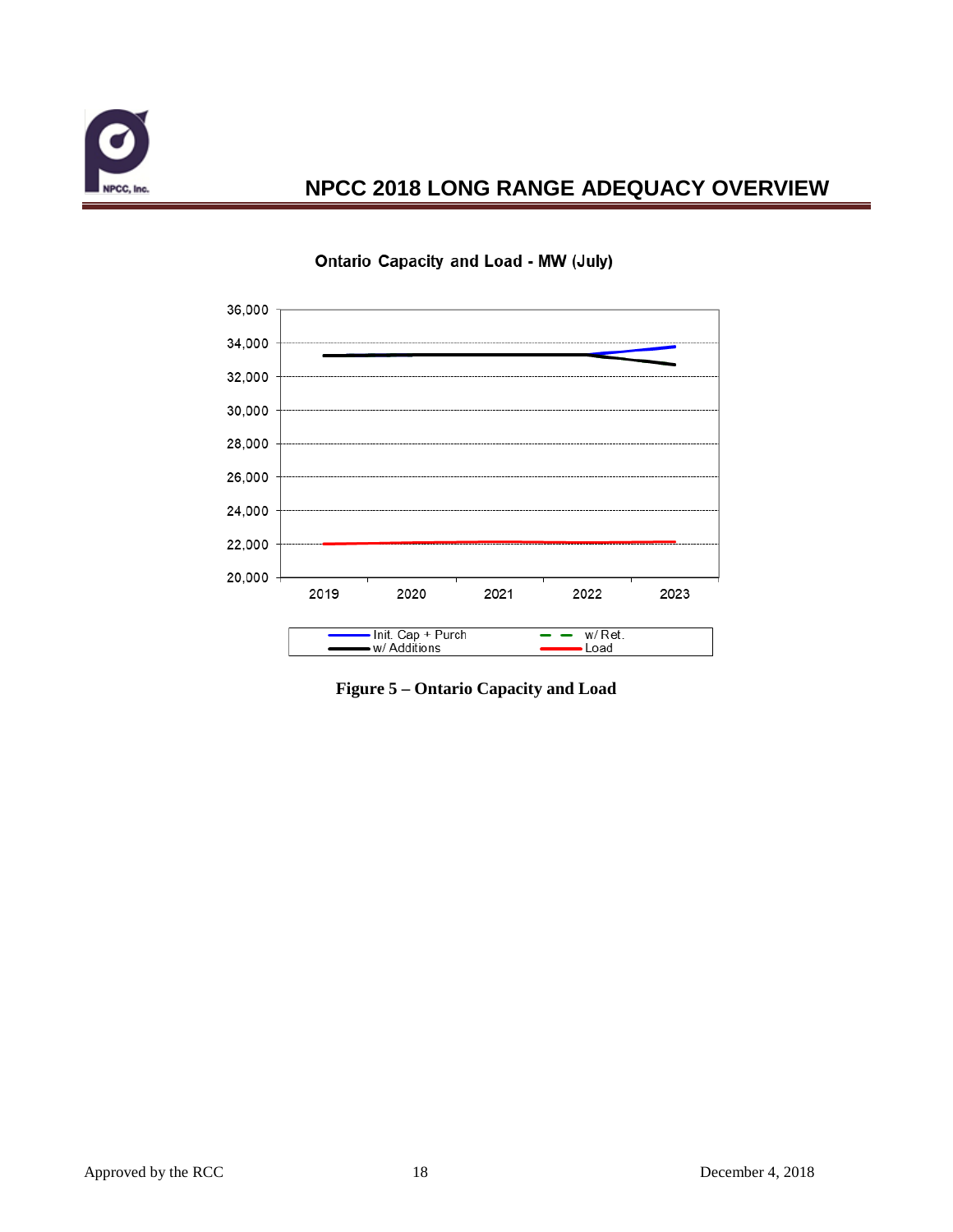



#### **Ontario Capacity and Load - MW (July)**

**Figure 5 – Ontario Capacity and Load**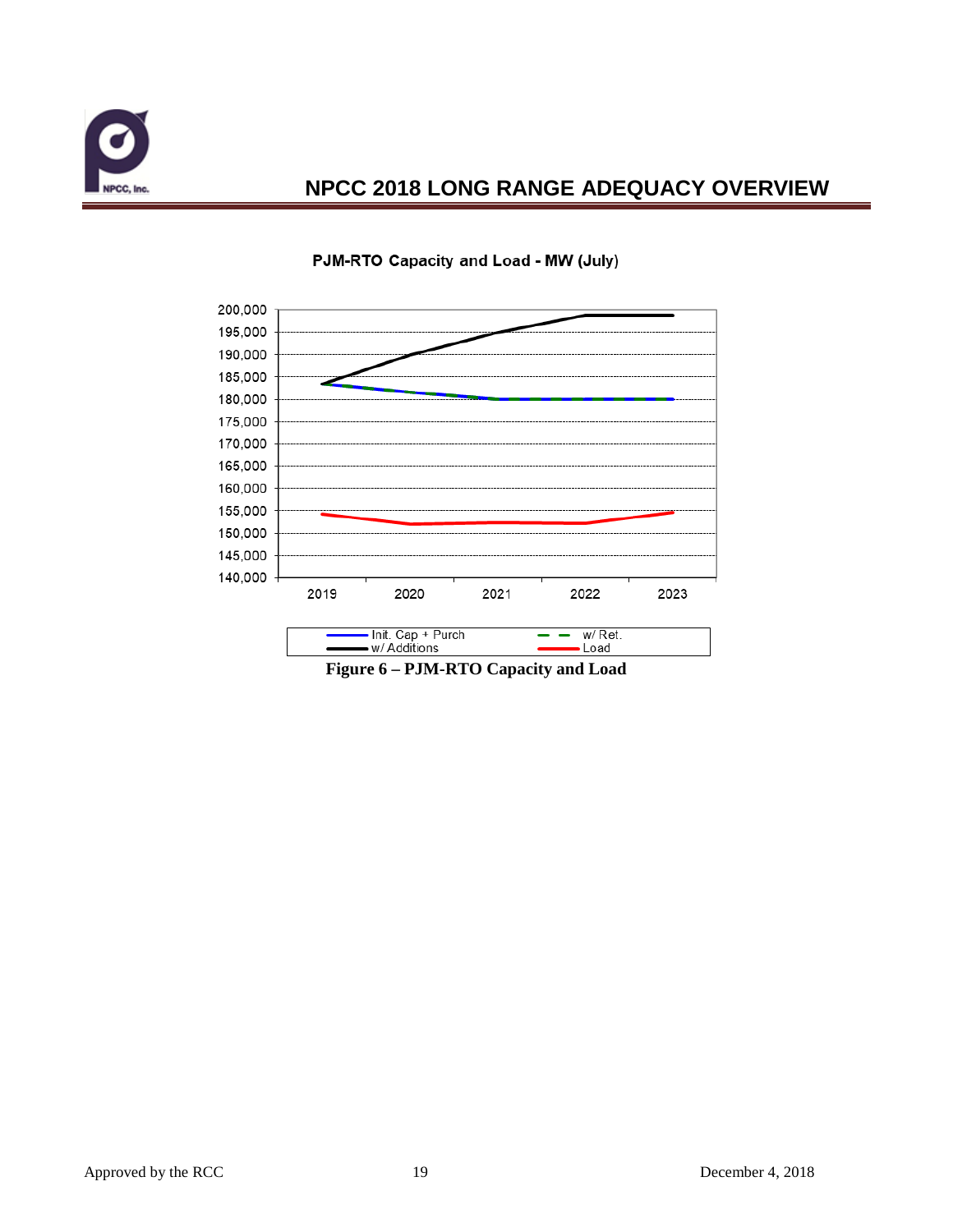



#### PJM-RTO Capacity and Load - MW (July)

**Figure 6 – PJM-RTO Capacity and Load**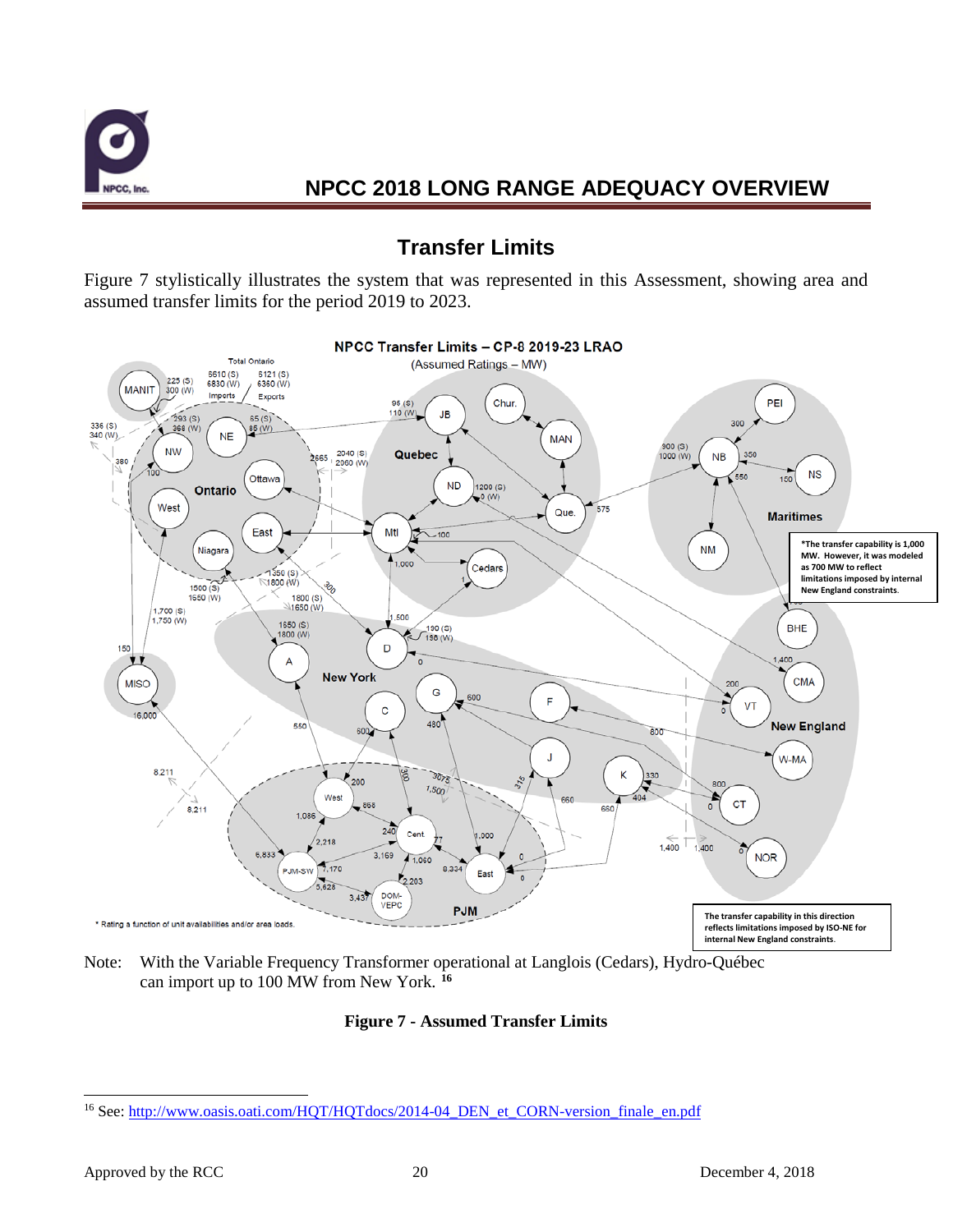

### **Transfer Limits**

Figure 7 stylistically illustrates the system that was represented in this Assessment, showing area and assumed transfer limits for the period 2019 to 2023.



Note: With the Variable Frequency Transformer operational at Langlois (Cedars), Hydro-Québec can import up to 100 MW from New York. **[16](#page-21-0)**

#### **Figure 7 - Assumed Transfer Limits**

<span id="page-21-0"></span><sup>&</sup>lt;sup>16</sup> See[: http://www.oasis.oati.com/HQT/HQTdocs/2014-04\\_DEN\\_et\\_CORN-version\\_finale\\_en.pdf](http://www.oasis.oati.com/HQT/HQTdocs/2014-04_DEN_et_CORN-version_finale_en.pdf)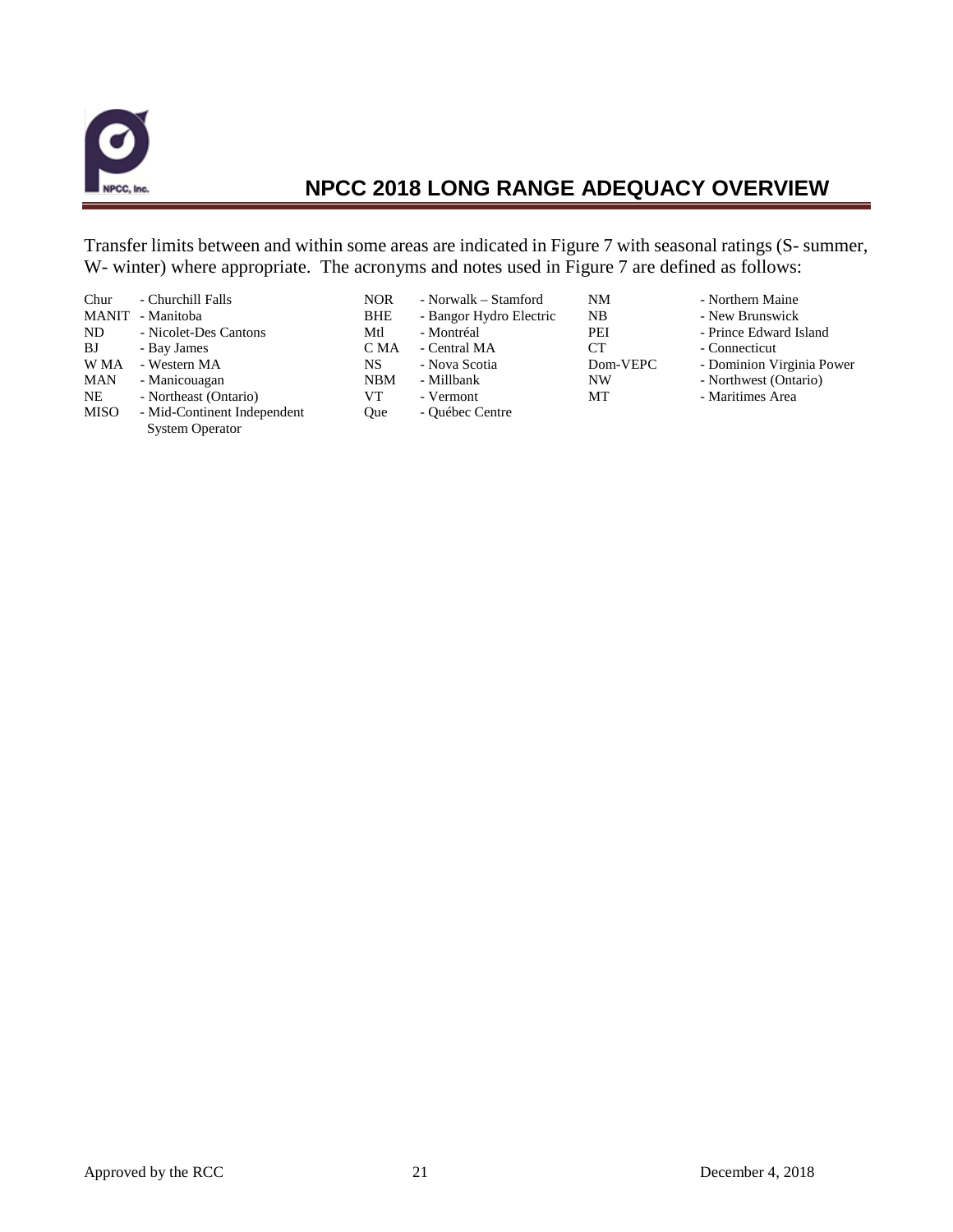

Transfer limits between and within some areas are indicated in Figure 7 with seasonal ratings (S- summer, W- winter) where appropriate. The acronyms and notes used in Figure 7 are defined as follows:

| Chur<br><b>MANIT</b><br>ND<br>BJ<br>W MA<br><b>MAN</b><br>NE<br><b>MISO</b> | - Churchill Falls<br>- Manitoba<br>- Nicolet-Des Cantons<br>- Bay James<br>- Western MA<br>- Manicouagan<br>- Northeast (Ontario)<br>- Mid-Continent Independent | <b>NOR</b><br><b>BHE</b><br>Mtl<br>C MA<br>NS.<br>NBM<br>VТ<br><b>Oue</b> | - Norwalk – Stamford<br>- Bangor Hydro Electric<br>- Montréal<br>- Central MA<br>- Nova Scotia<br>- Millbank<br>- Vermont<br>- Québec Centre | NΜ<br>NB<br>PEI<br><b>CT</b><br>Dom-VEPC<br>NW<br>MТ | - Northern Maine<br>- New Brunswick<br>- Prince Edward Island<br>- Connecticut<br>- Dominion Virginia Power<br>- Northwest (Ontario)<br>- Maritimes Area |
|-----------------------------------------------------------------------------|------------------------------------------------------------------------------------------------------------------------------------------------------------------|---------------------------------------------------------------------------|----------------------------------------------------------------------------------------------------------------------------------------------|------------------------------------------------------|----------------------------------------------------------------------------------------------------------------------------------------------------------|
|                                                                             | <b>System Operator</b>                                                                                                                                           |                                                                           |                                                                                                                                              |                                                      |                                                                                                                                                          |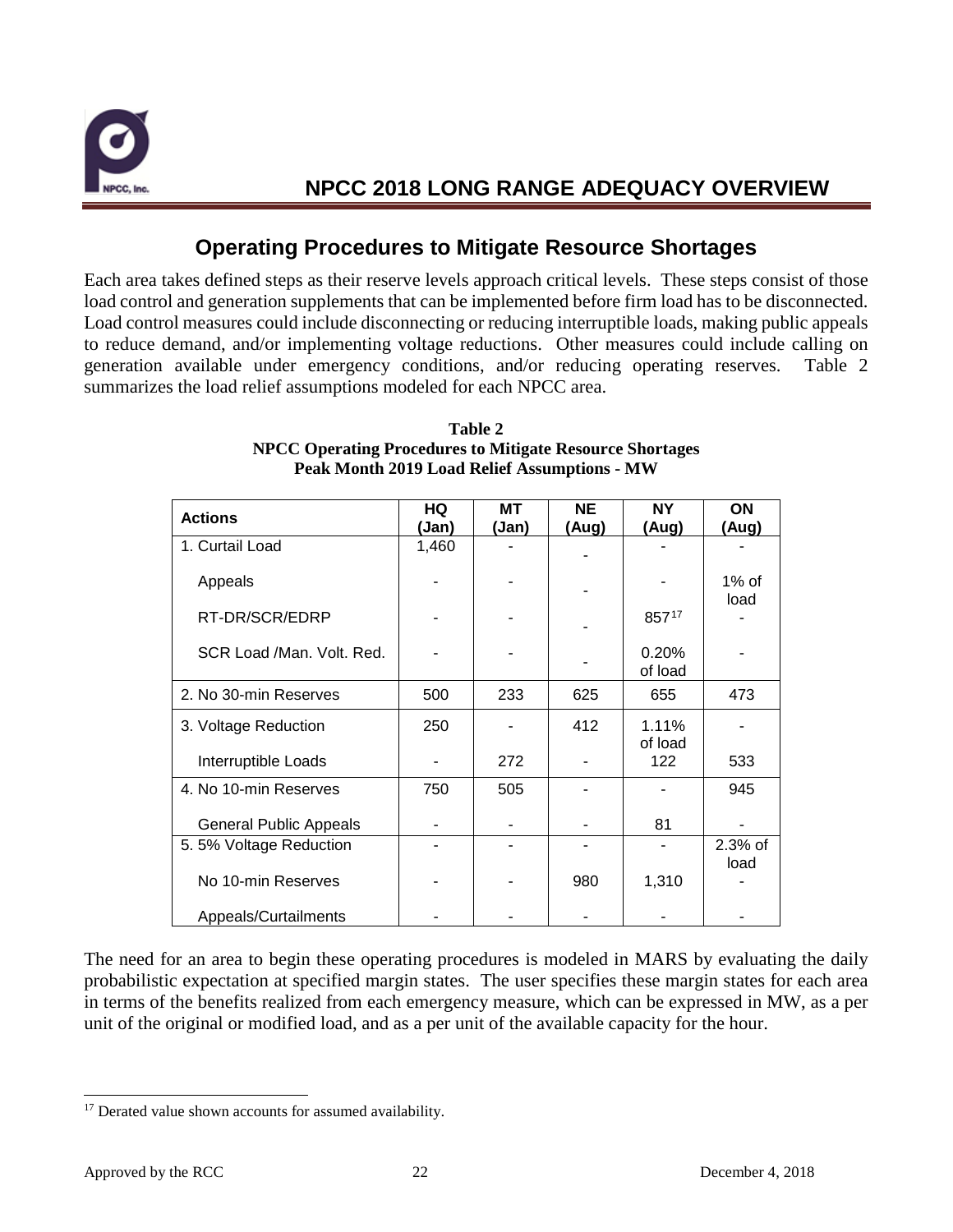

### **Operating Procedures to Mitigate Resource Shortages**

Each area takes defined steps as their reserve levels approach critical levels. These steps consist of those load control and generation supplements that can be implemented before firm load has to be disconnected. Load control measures could include disconnecting or reducing interruptible loads, making public appeals to reduce demand, and/or implementing voltage reductions. Other measures could include calling on generation available under emergency conditions, and/or reducing operating reserves. Table 2 summarizes the load relief assumptions modeled for each NPCC area.

| <b>Actions</b>                | HQ    | <b>MT</b> | <b>NE</b> | <b>NY</b> | ON      |
|-------------------------------|-------|-----------|-----------|-----------|---------|
|                               | (Jan) | (Jan)     | (Aug)     | (Aug)     | (Aug)   |
| 1. Curtail Load               | 1,460 |           |           |           |         |
|                               |       |           |           |           |         |
| Appeals                       |       |           |           |           | 1% of   |
|                               |       |           |           |           | load    |
| RT-DR/SCR/EDRP                |       |           |           | 85717     |         |
|                               |       |           |           |           |         |
| SCR Load /Man. Volt. Red.     |       |           |           | 0.20%     |         |
|                               |       |           |           | of load   |         |
| 2. No 30-min Reserves         | 500   | 233       | 625       | 655       | 473     |
| 3. Voltage Reduction          | 250   |           | 412       | 1.11%     |         |
|                               |       |           |           | of load   |         |
| Interruptible Loads           |       | 272       |           | 122       | 533     |
|                               |       |           |           |           |         |
| 4. No 10-min Reserves         | 750   | 505       |           |           | 945     |
|                               |       |           |           |           |         |
| <b>General Public Appeals</b> |       |           |           | 81        |         |
| 5.5% Voltage Reduction        |       |           |           |           | 2.3% of |
|                               |       |           |           |           | load    |
| No 10-min Reserves            |       |           | 980       | 1,310     |         |
|                               |       |           |           |           |         |
| Appeals/Curtailments          |       |           |           |           |         |

#### **Table 2 NPCC Operating Procedures to Mitigate Resource Shortages Peak Month 2019 Load Relief Assumptions - MW**

The need for an area to begin these operating procedures is modeled in MARS by evaluating the daily probabilistic expectation at specified margin states. The user specifies these margin states for each area in terms of the benefits realized from each emergency measure, which can be expressed in MW, as a per unit of the original or modified load, and as a per unit of the available capacity for the hour.

<span id="page-23-0"></span><sup>&</sup>lt;sup>17</sup> Derated value shown accounts for assumed availability.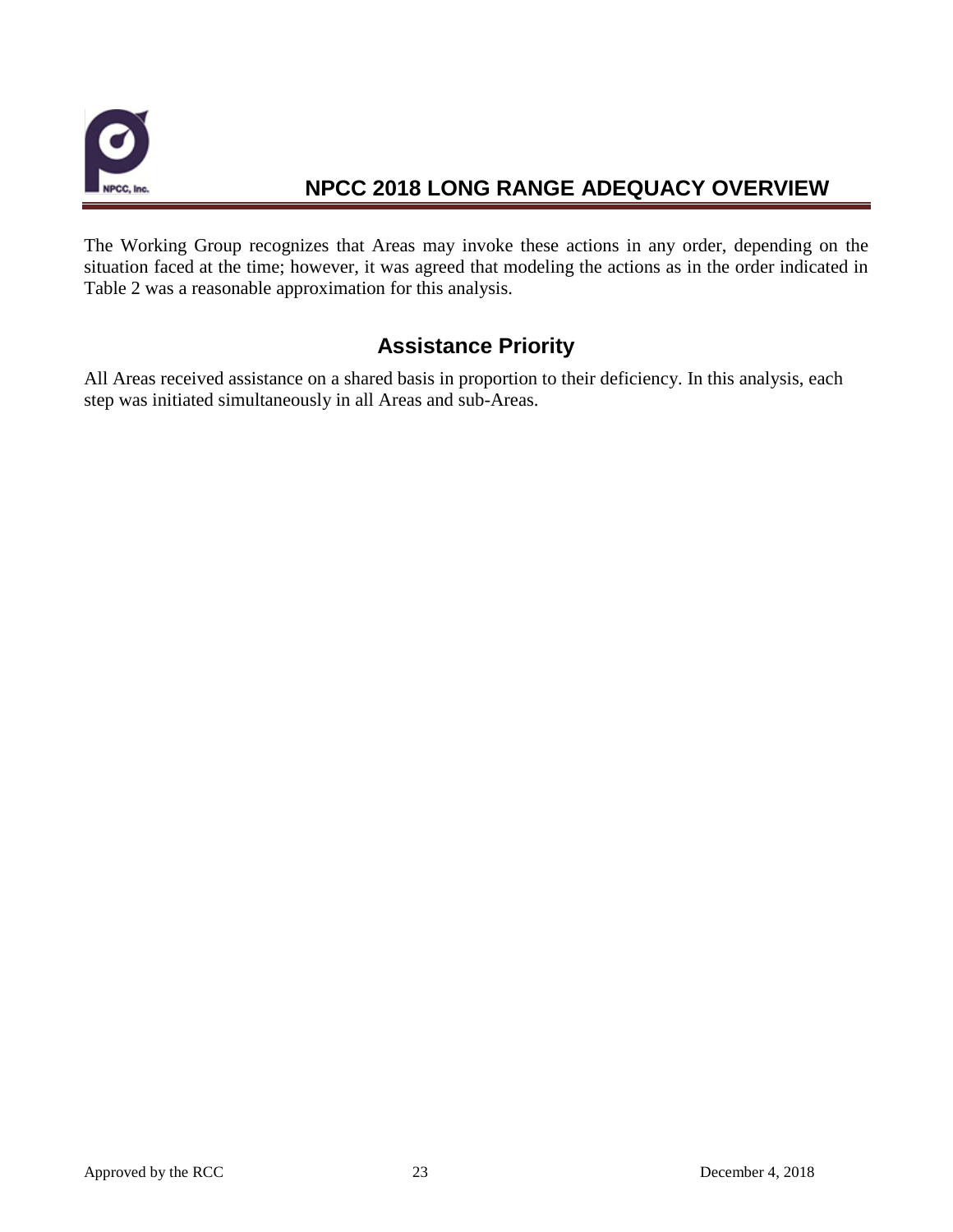

The Working Group recognizes that Areas may invoke these actions in any order, depending on the situation faced at the time; however, it was agreed that modeling the actions as in the order indicated in Table 2 was a reasonable approximation for this analysis.

### **Assistance Priority**

All Areas received assistance on a shared basis in proportion to their deficiency. In this analysis, each step was initiated simultaneously in all Areas and sub-Areas.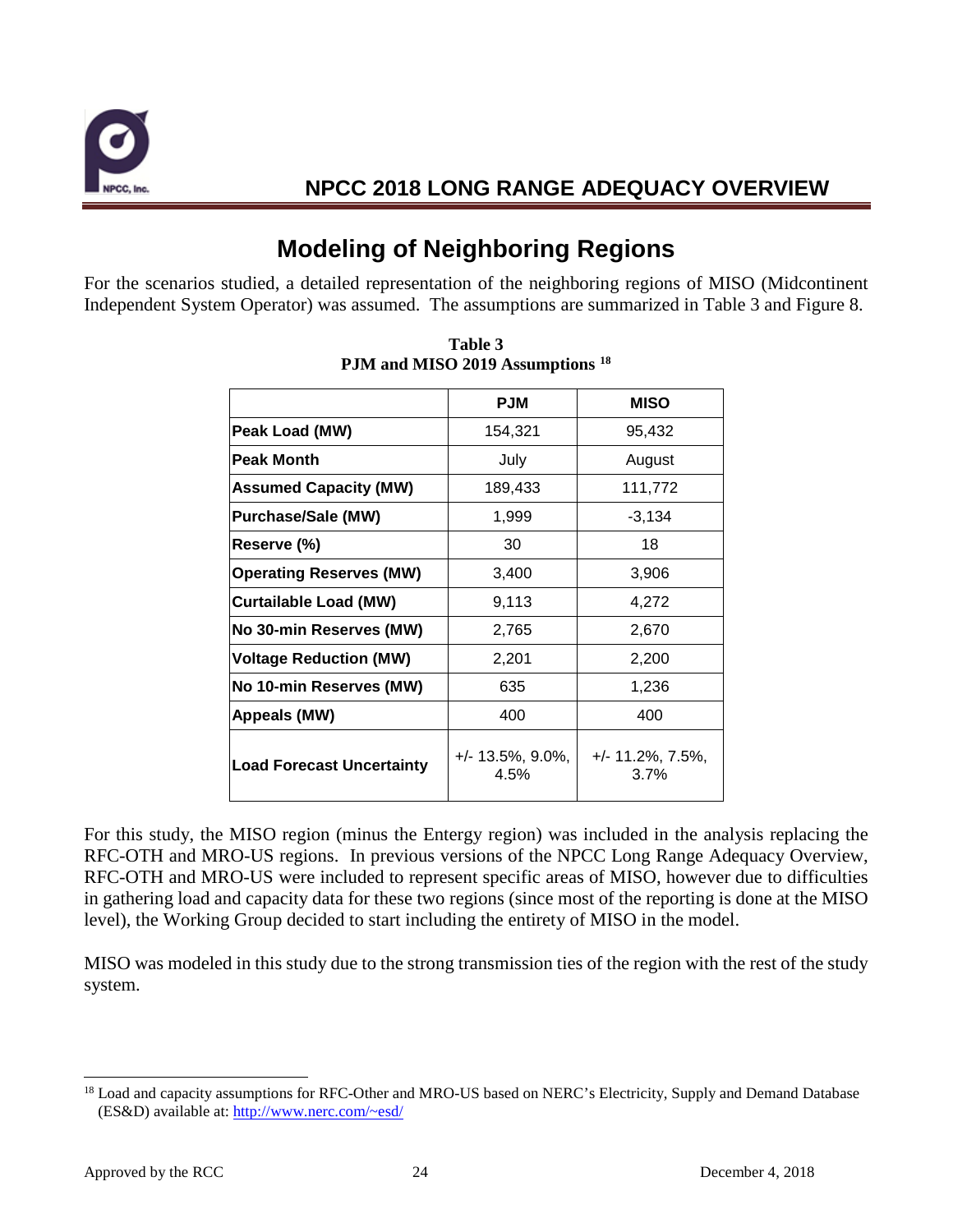

# **Modeling of Neighboring Regions**

For the scenarios studied, a detailed representation of the neighboring regions of MISO (Midcontinent Independent System Operator) was assumed. The assumptions are summarized in Table 3 and Figure 8.

|                                  | <b>PJM</b>                   | <b>MISO</b>                  |
|----------------------------------|------------------------------|------------------------------|
| Peak Load (MW)                   | 154,321                      | 95,432                       |
| <b>Peak Month</b>                | July                         | August                       |
| <b>Assumed Capacity (MW)</b>     | 189,433                      | 111,772                      |
| <b>Purchase/Sale (MW)</b>        | 1,999                        | $-3,134$                     |
| Reserve (%)                      | 30                           | 18                           |
| <b>Operating Reserves (MW)</b>   | 3,400                        | 3,906                        |
| <b>Curtailable Load (MW)</b>     | 9,113                        | 4,272                        |
| No 30-min Reserves (MW)          | 2,765                        | 2,670                        |
| <b>Voltage Reduction (MW)</b>    | 2,201                        | 2,200                        |
| No 10-min Reserves (MW)          | 635                          | 1,236                        |
| Appeals (MW)                     | 400                          | 400                          |
| <b>Load Forecast Uncertainty</b> | $+/- 13.5\%, 9.0\%,$<br>4.5% | $+/- 11.2\%, 7.5\%,$<br>3.7% |

**Table 3 PJM and MISO 2019 Assumptions [18](#page-25-0)**

For this study, the MISO region (minus the Entergy region) was included in the analysis replacing the RFC-OTH and MRO-US regions. In previous versions of the NPCC Long Range Adequacy Overview, RFC-OTH and MRO-US were included to represent specific areas of MISO, however due to difficulties in gathering load and capacity data for these two regions (since most of the reporting is done at the MISO level), the Working Group decided to start including the entirety of MISO in the model.

MISO was modeled in this study due to the strong transmission ties of the region with the rest of the study system.

<span id="page-25-0"></span><sup>&</sup>lt;sup>18</sup> Load and capacity assumptions for RFC-Other and MRO-US based on NERC's Electricity, Supply and Demand Database (ES&D) available at: [http://www.nerc.com/~esd/](http://www.nerc.com/%7Eesd/)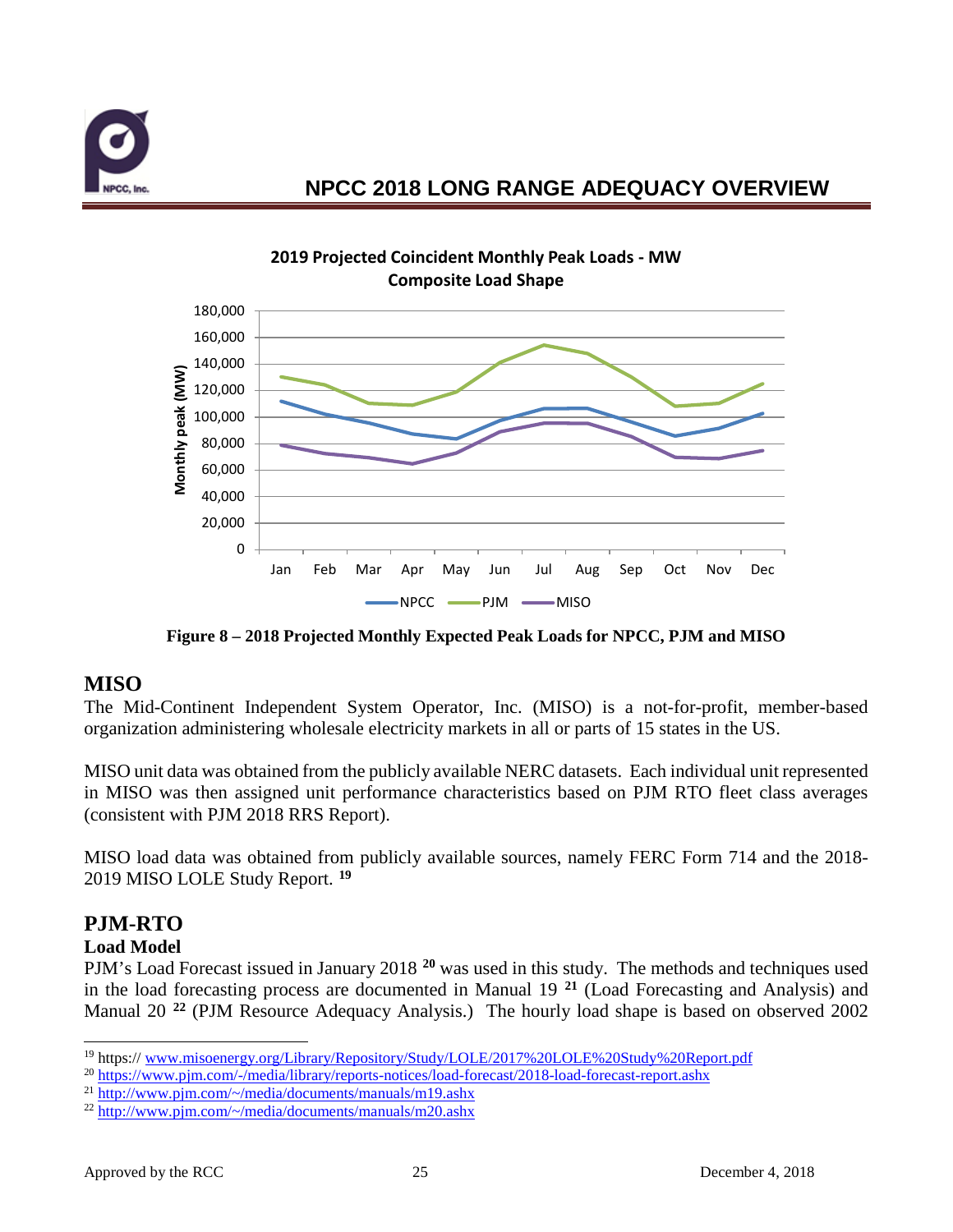



**Figure 8 – 2018 Projected Monthly Expected Peak Loads for NPCC, PJM and MISO**

### **MISO**

The Mid-Continent Independent System Operator, Inc. (MISO) is a not-for-profit, member-based organization administering wholesale electricity markets in all or parts of 15 states in the US.

MISO unit data was obtained from the publicly available NERC datasets. Each individual unit represented in MISO was then assigned unit performance characteristics based on PJM RTO fleet class averages (consistent with PJM 2018 RRS Report).

MISO load data was obtained from publicly available sources, namely FERC Form 714 and the 2018- 2019 MISO LOLE Study Report. **[19](#page-26-0)**

### **PJM-RTO**

### **Load Model**

PJM's Load Forecast issued in January 2018 **[20](#page-26-1)** was used in this study. The methods and techniques used in the load forecasting process are documented in Manual 19 **[21](#page-26-2)** (Load Forecasting and Analysis) and Manual 20 **[22](#page-26-3)** (PJM Resource Adequacy Analysis.) The hourly load shape is based on observed 2002

<span id="page-26-0"></span> <sup>19</sup> https:// [www.misoenergy.org/Library/Repository/Study/LOLE/2017%20LOLE%20Study%20Report.pdf](http://www.misoenergy.org/Library/Repository/Study/LOLE/2017%20LOLE%20Study%20Report.pdf)

<span id="page-26-1"></span><sup>20</sup> <https://www.pjm.com/-/media/library/reports-notices/load-forecast/2018-load-forecast-report.ashx>

<span id="page-26-2"></span><sup>&</sup>lt;sup>21</sup> [http://www.pjm.com/~/media/documents/manuals/m19.ashx](http://www.pjm.com/%7E/media/documents/manuals/m19.ashx)

<span id="page-26-3"></span> $^{22}$  [http://www.pjm.com/~/media/documents/manuals/m20.ashx](http://www.pjm.com/%7E/media/documents/manuals/m20.ashx)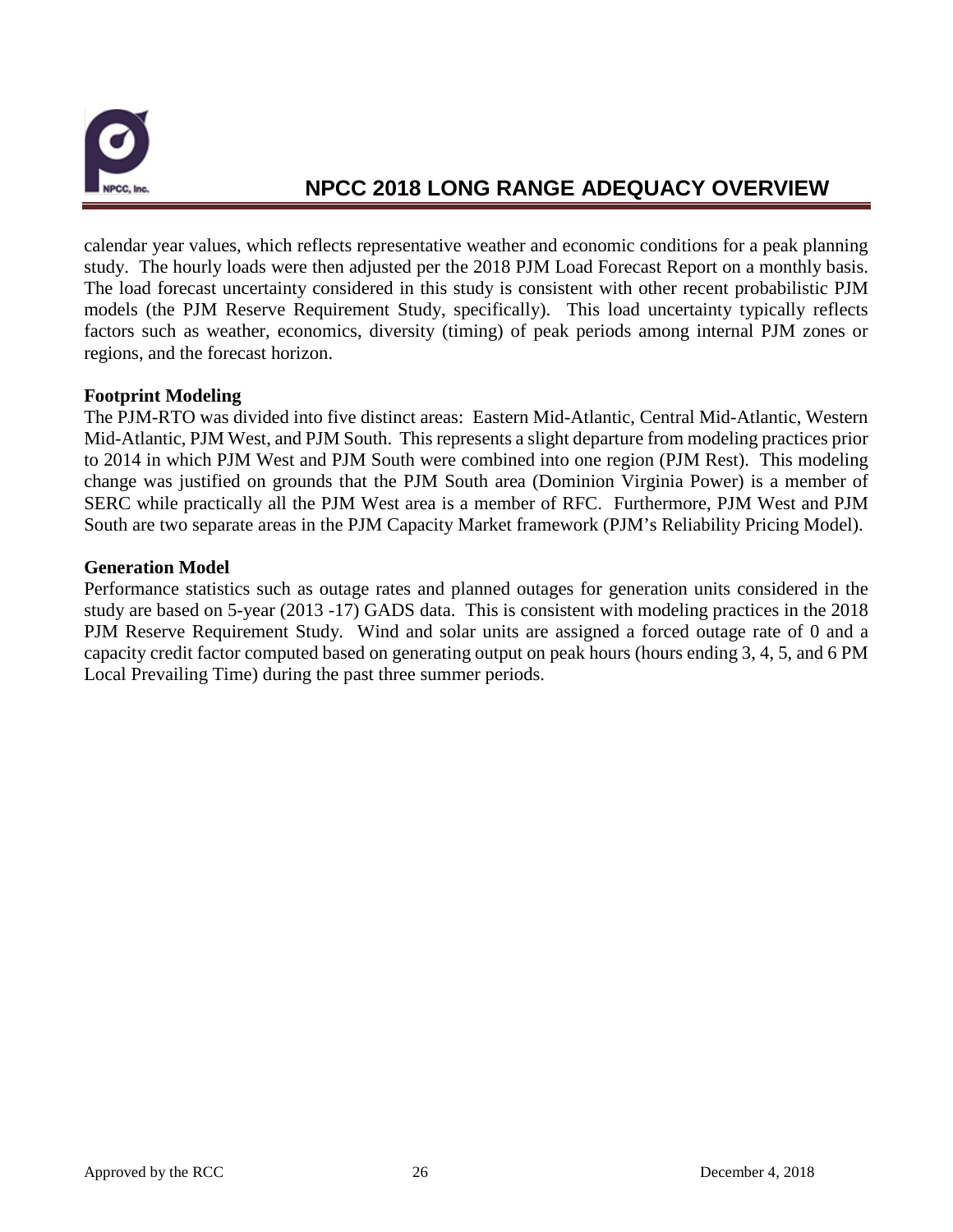

calendar year values, which reflects representative weather and economic conditions for a peak planning study. The hourly loads were then adjusted per the 2018 PJM Load Forecast Report on a monthly basis. The load forecast uncertainty considered in this study is consistent with other recent probabilistic PJM models (the PJM Reserve Requirement Study, specifically). This load uncertainty typically reflects factors such as weather, economics, diversity (timing) of peak periods among internal PJM zones or regions, and the forecast horizon.

#### **Footprint Modeling**

The PJM-RTO was divided into five distinct areas: Eastern Mid-Atlantic, Central Mid-Atlantic, Western Mid-Atlantic, PJM West, and PJM South. This represents a slight departure from modeling practices prior to 2014 in which PJM West and PJM South were combined into one region (PJM Rest). This modeling change was justified on grounds that the PJM South area (Dominion Virginia Power) is a member of SERC while practically all the PJM West area is a member of RFC. Furthermore, PJM West and PJM South are two separate areas in the PJM Capacity Market framework (PJM's Reliability Pricing Model).

#### **Generation Model**

Performance statistics such as outage rates and planned outages for generation units considered in the study are based on 5-year (2013 -17) GADS data. This is consistent with modeling practices in the 2018 PJM Reserve Requirement Study. Wind and solar units are assigned a forced outage rate of 0 and a capacity credit factor computed based on generating output on peak hours (hours ending 3, 4, 5, and 6 PM Local Prevailing Time) during the past three summer periods.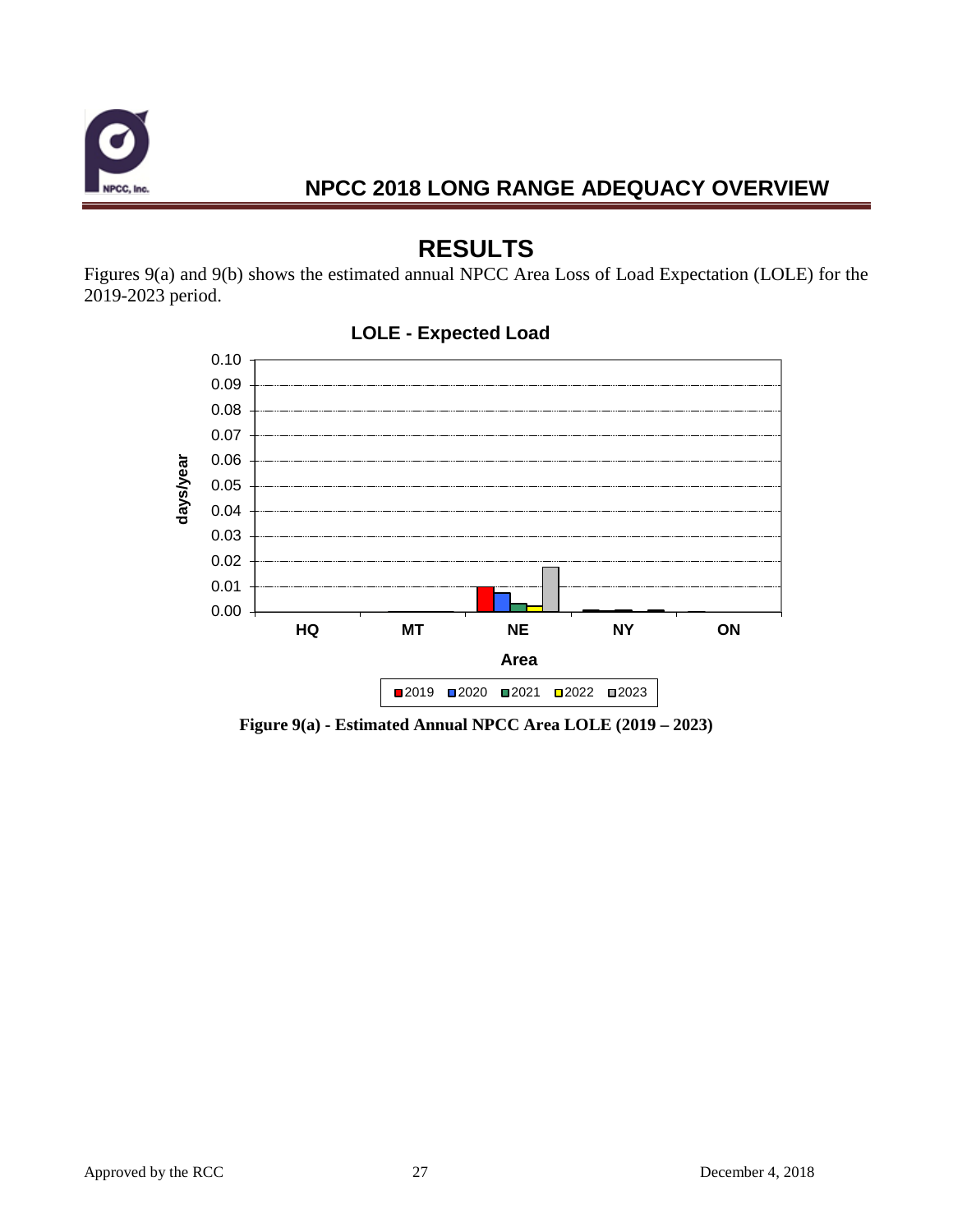

# **RESULTS**

Figures 9(a) and 9(b) shows the estimated annual NPCC Area Loss of Load Expectation (LOLE) for the 2019-2023 period.



#### **LOLE - Expected Load**

**Figure 9(a) - Estimated Annual NPCC Area LOLE (2019 – 2023)**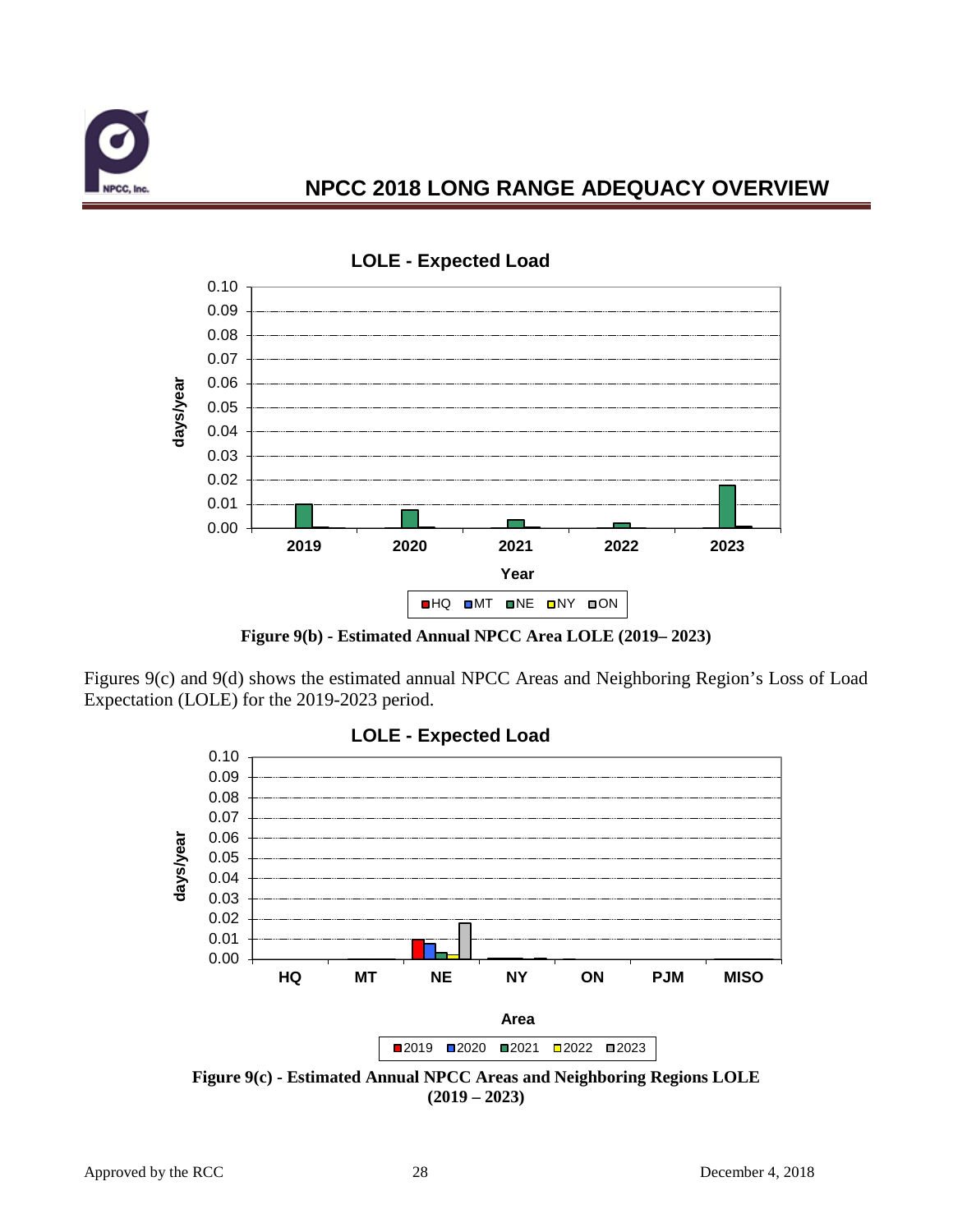



**LOLE - Expected Load**

**Figure 9(b) - Estimated Annual NPCC Area LOLE (2019– 2023)**

Figures 9(c) and 9(d) shows the estimated annual NPCC Areas and Neighboring Region's Loss of Load Expectation (LOLE) for the 2019-2023 period.



**Figure 9(c) - Estimated Annual NPCC Areas and Neighboring Regions LOLE (2019 – 2023)**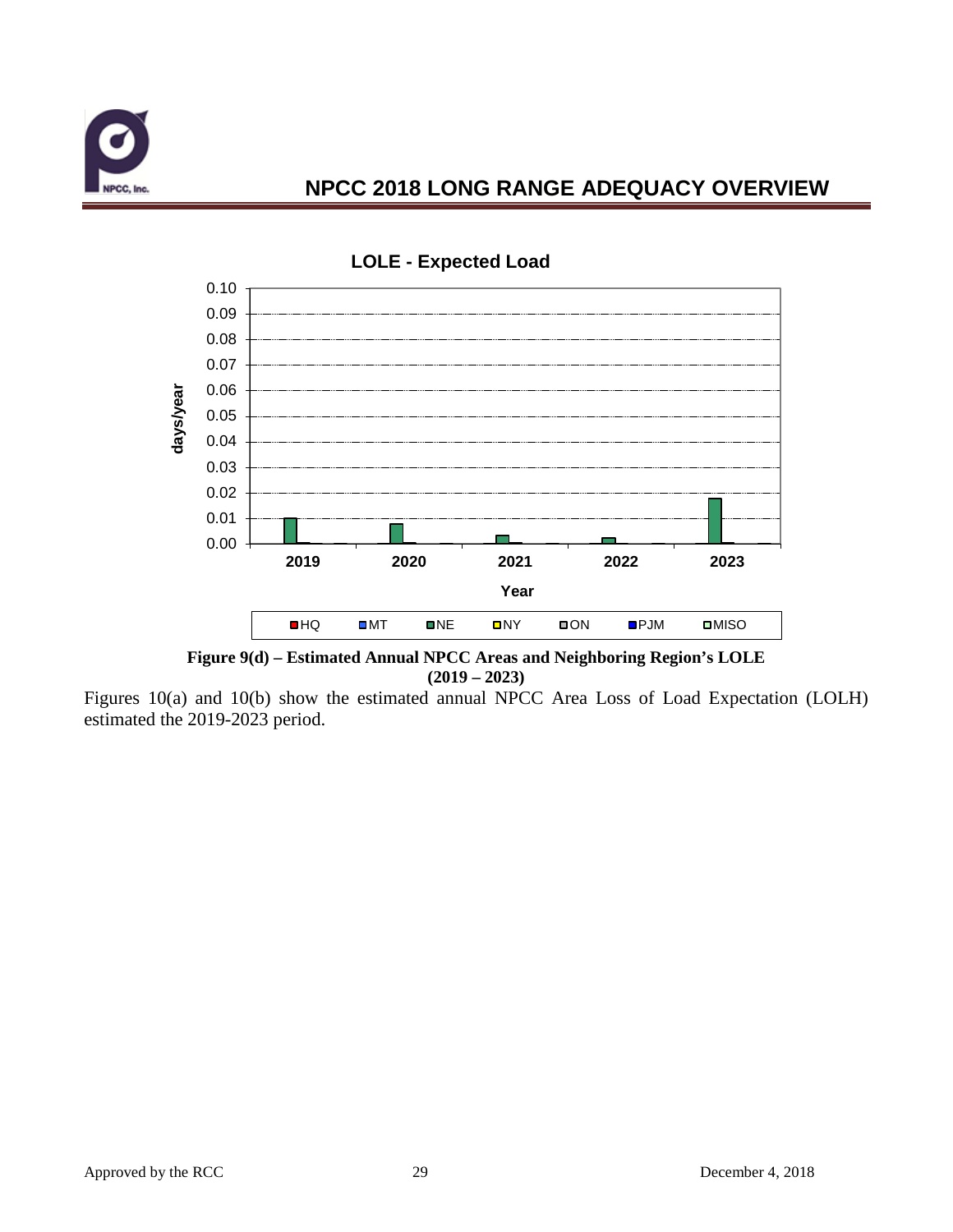



**LOLE - Expected Load**

**Figure 9(d) – Estimated Annual NPCC Areas and Neighboring Region's LOLE (2019 – 2023)**

Figures 10(a) and 10(b) show the estimated annual NPCC Area Loss of Load Expectation (LOLH) estimated the 2019-2023 period.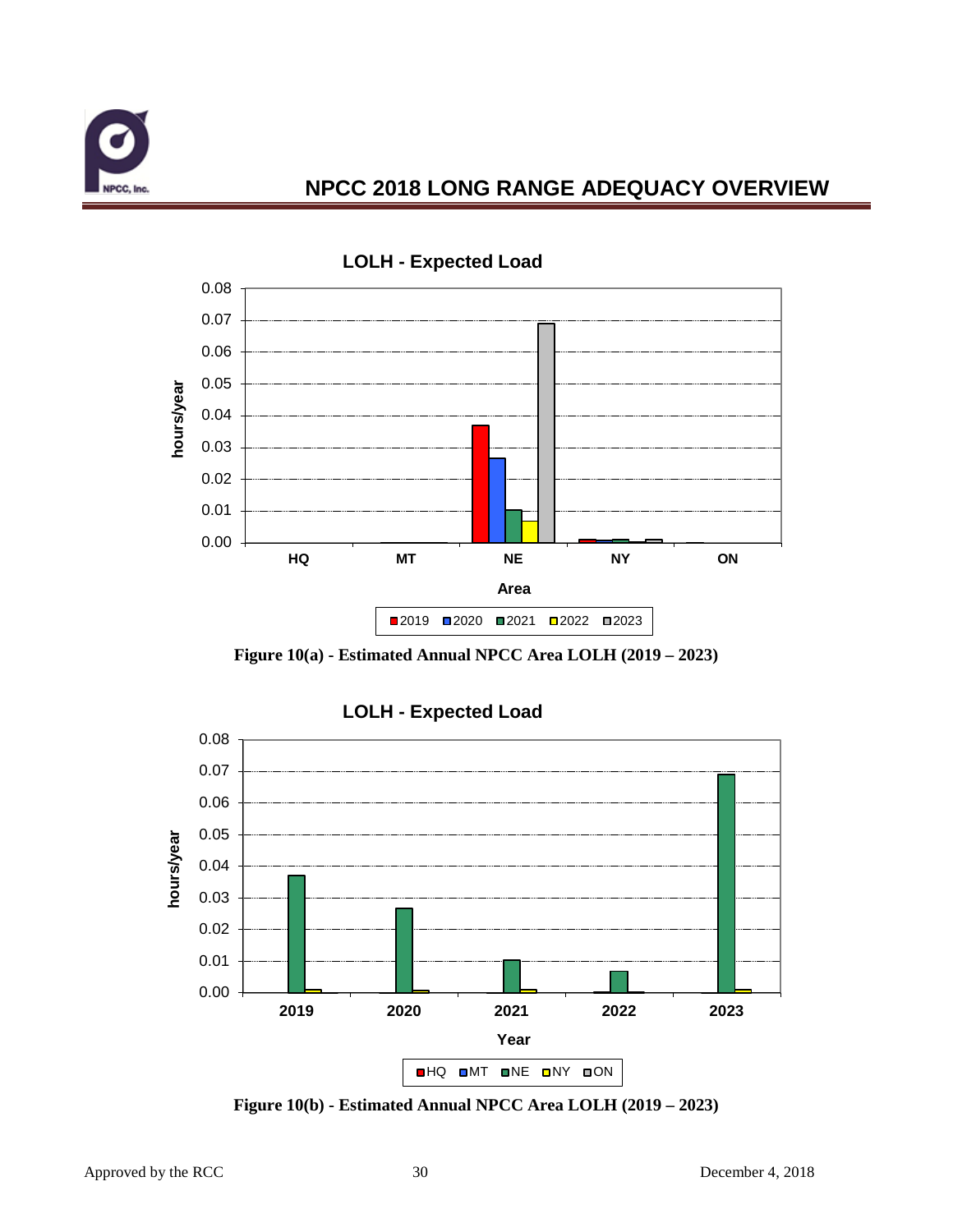



**Figure 10(a) - Estimated Annual NPCC Area LOLH (2019 – 2023)**



**Figure 10(b) - Estimated Annual NPCC Area LOLH (2019 – 2023)**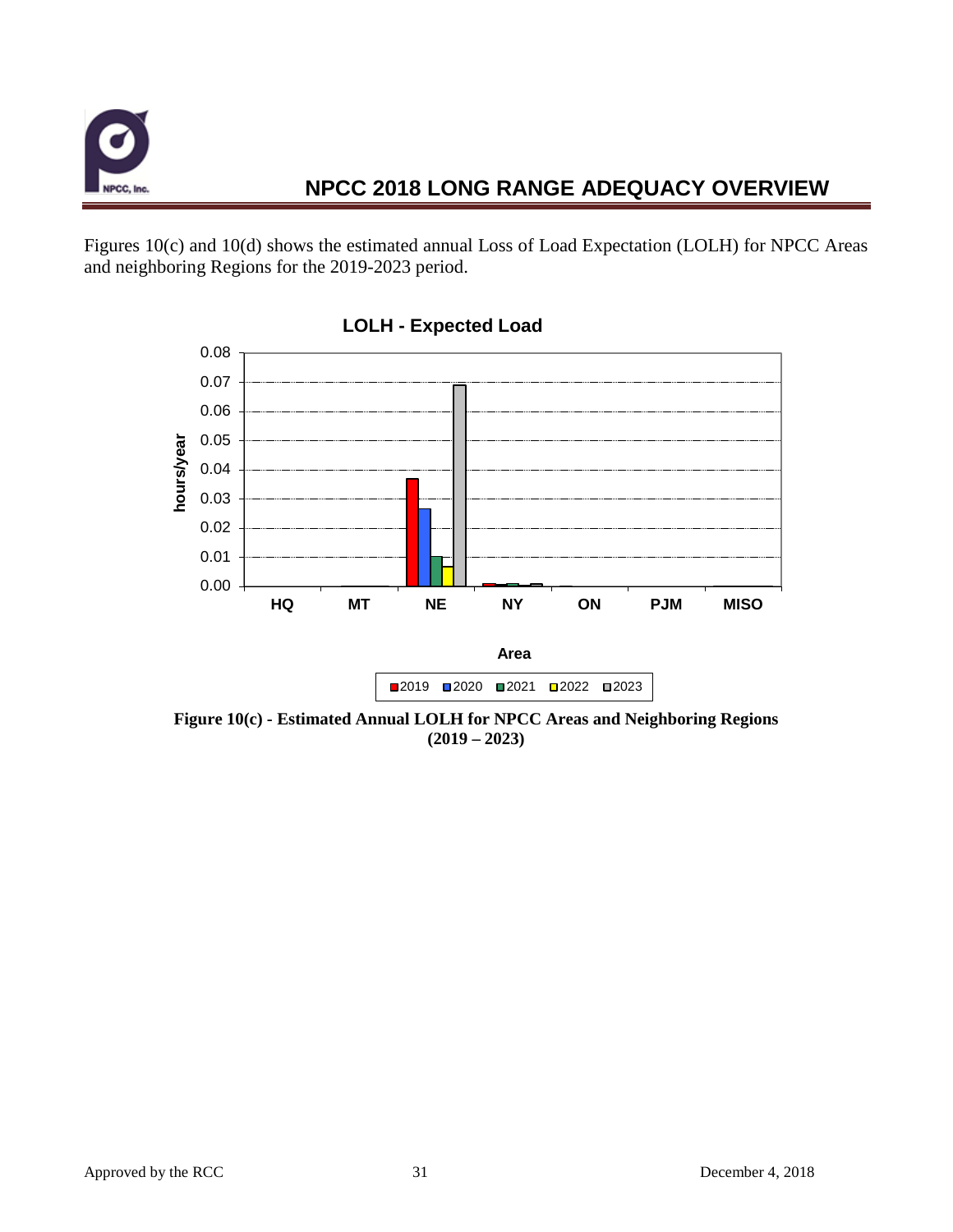

Figures 10(c) and 10(d) shows the estimated annual Loss of Load Expectation (LOLH) for NPCC Areas and neighboring Regions for the 2019-2023 period.



**LOLH - Expected Load**

**Figure 10(c) - Estimated Annual LOLH for NPCC Areas and Neighboring Regions (2019 – 2023)**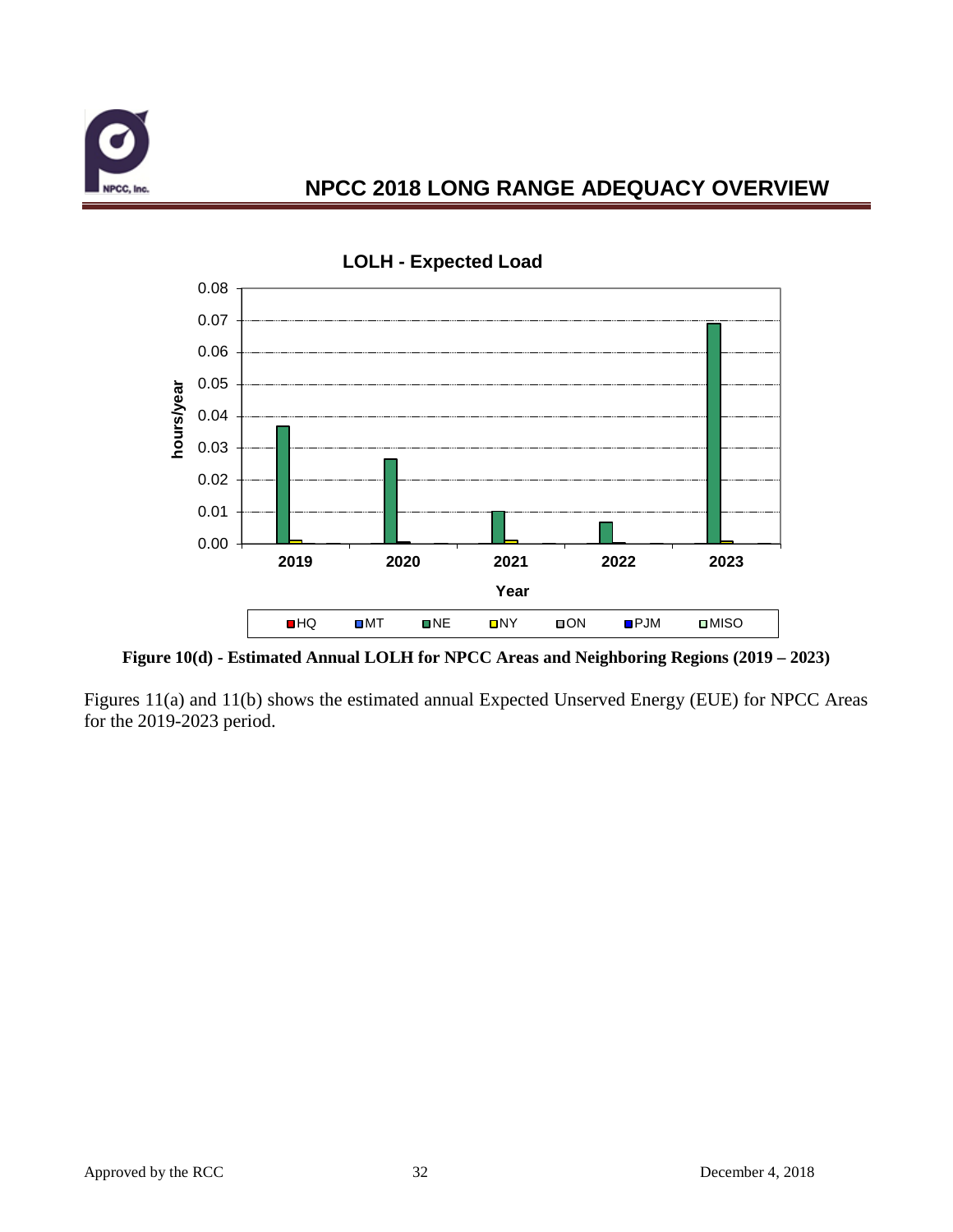



**Figure 10(d) - Estimated Annual LOLH for NPCC Areas and Neighboring Regions (2019 – 2023)**

Figures 11(a) and 11(b) shows the estimated annual Expected Unserved Energy (EUE) for NPCC Areas for the 2019-2023 period.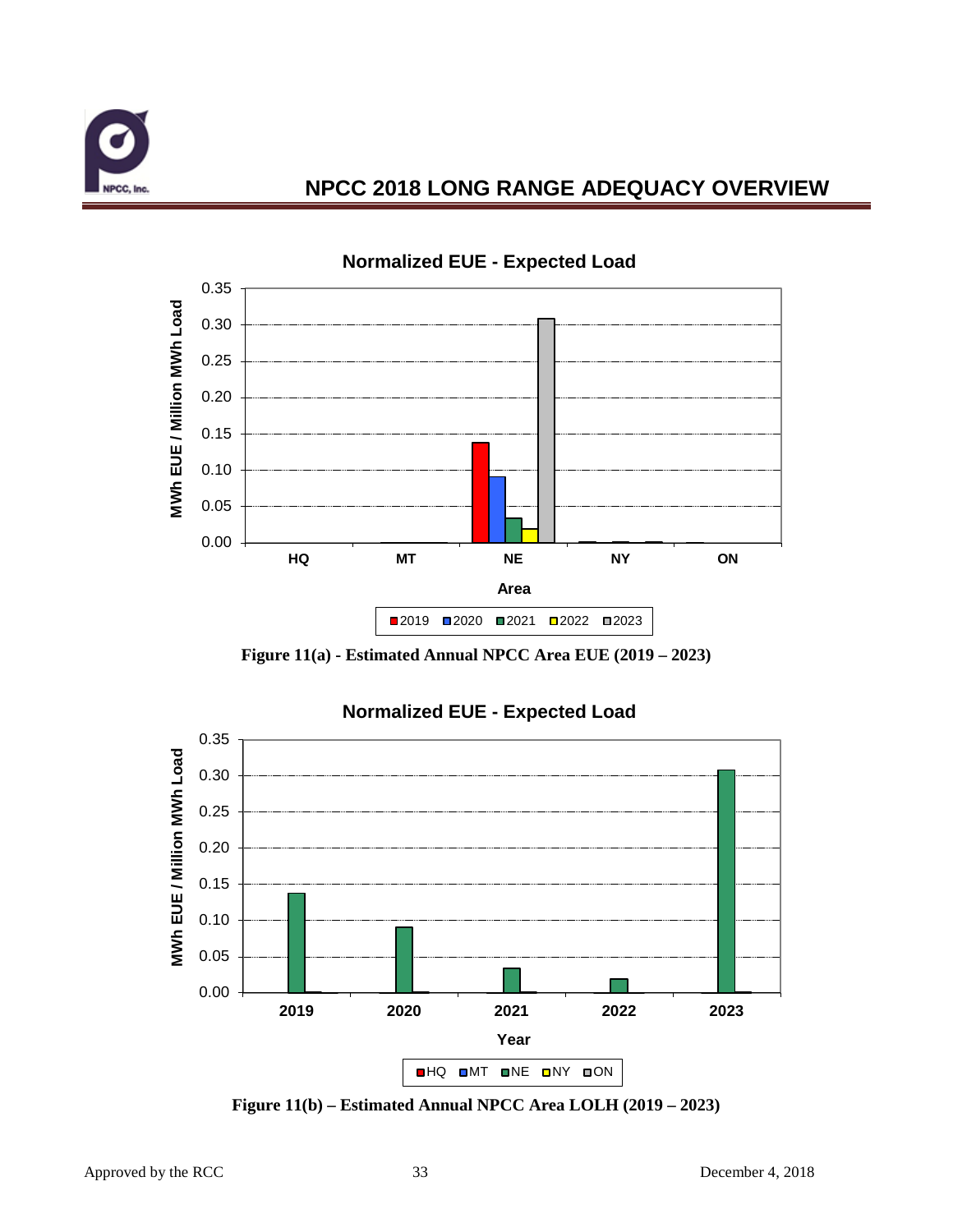







**Figure 11(b) – Estimated Annual NPCC Area LOLH (2019 – 2023)**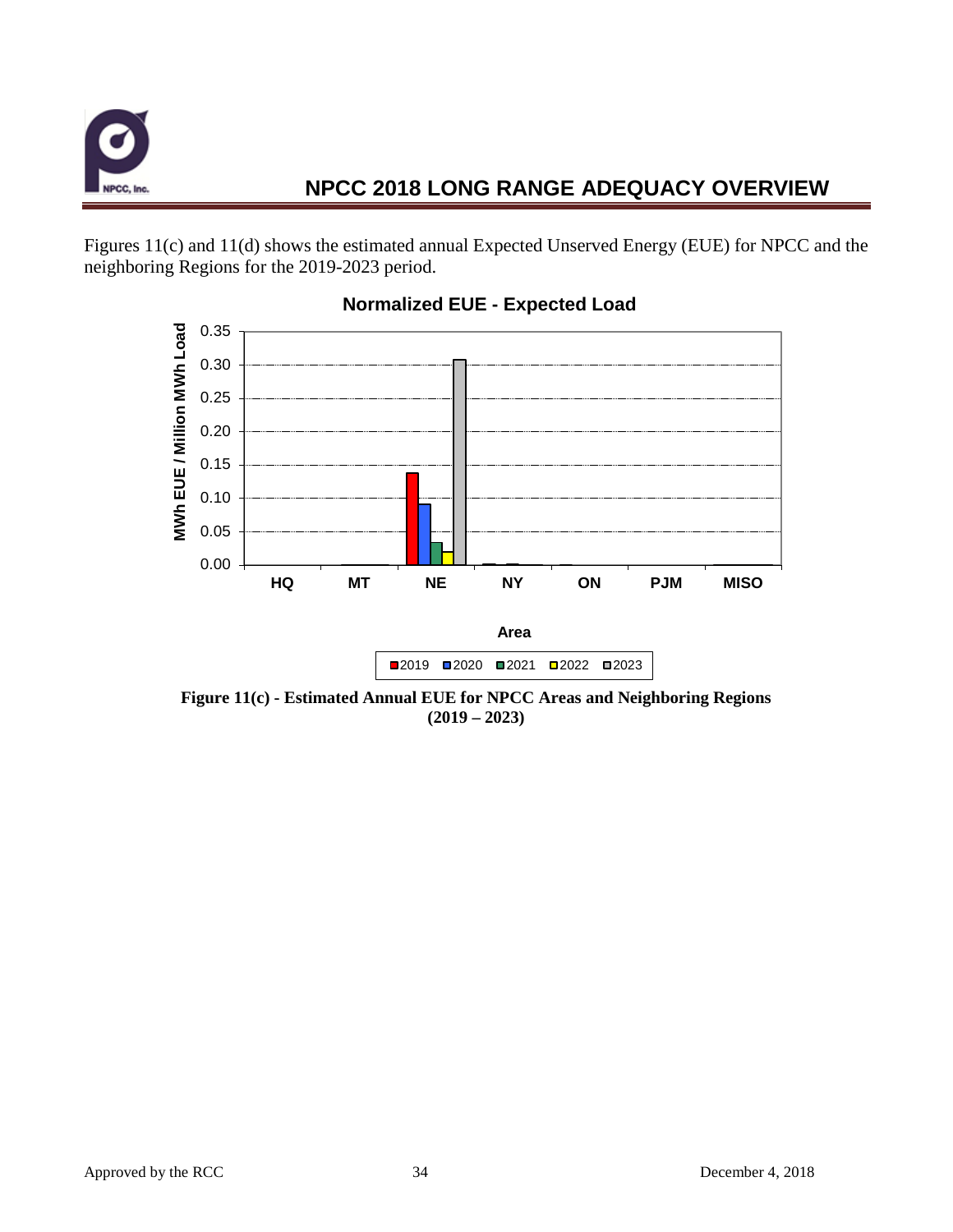

Figures 11(c) and 11(d) shows the estimated annual Expected Unserved Energy (EUE) for NPCC and the neighboring Regions for the 2019-2023 period.



#### **Normalized EUE - Expected Load**

**Figure 11(c) - Estimated Annual EUE for NPCC Areas and Neighboring Regions (2019 – 2023)**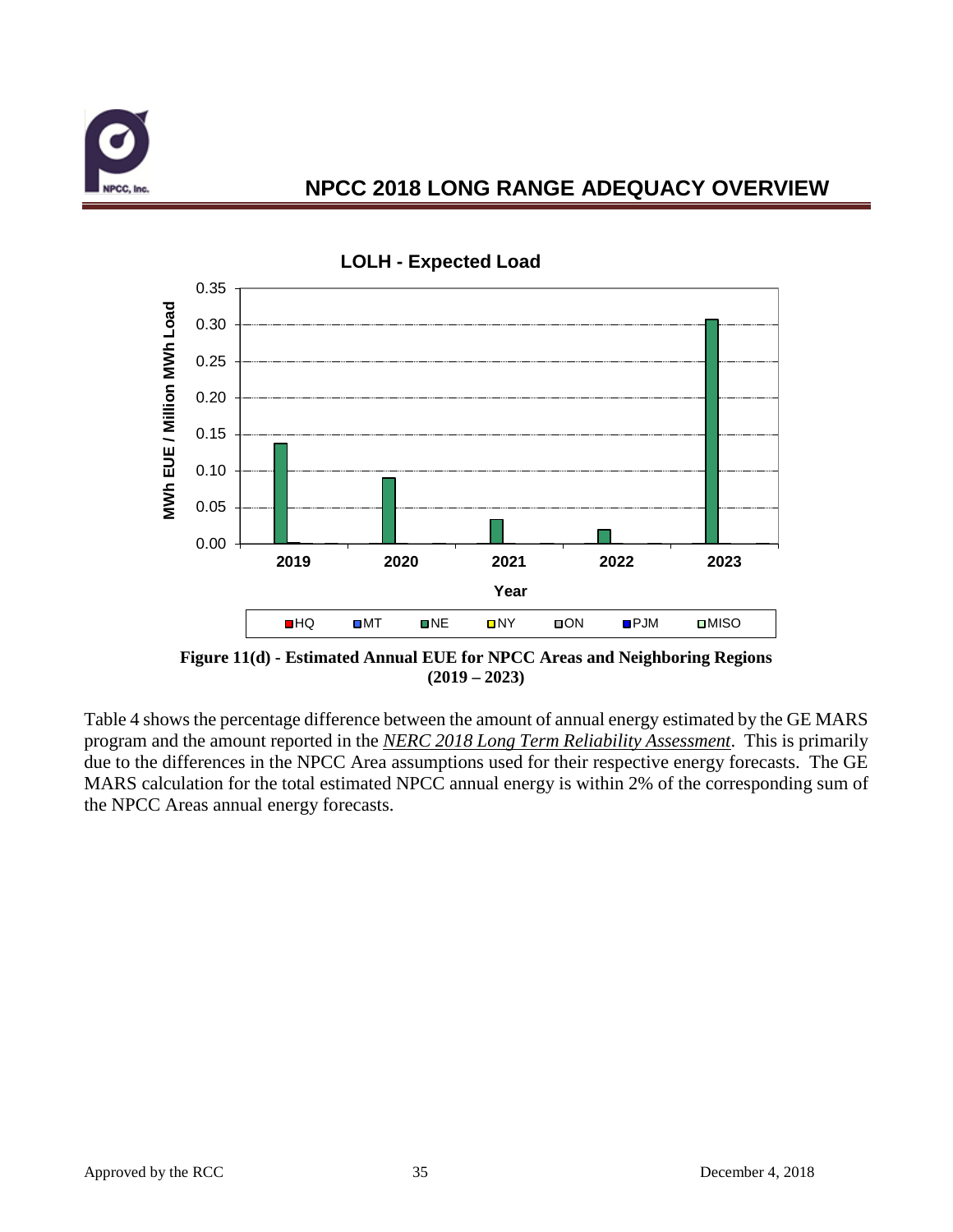



**Figure 11(d) - Estimated Annual EUE for NPCC Areas and Neighboring Regions (2019 – 2023)**

Table 4 shows the percentage difference between the amount of annual energy estimated by the GE MARS program and the amount reported in the *NERC 2018 Long Term Reliability Assessment*. This is primarily due to the differences in the NPCC Area assumptions used for their respective energy forecasts. The GE MARS calculation for the total estimated NPCC annual energy is within 2% of the corresponding sum of the NPCC Areas annual energy forecasts.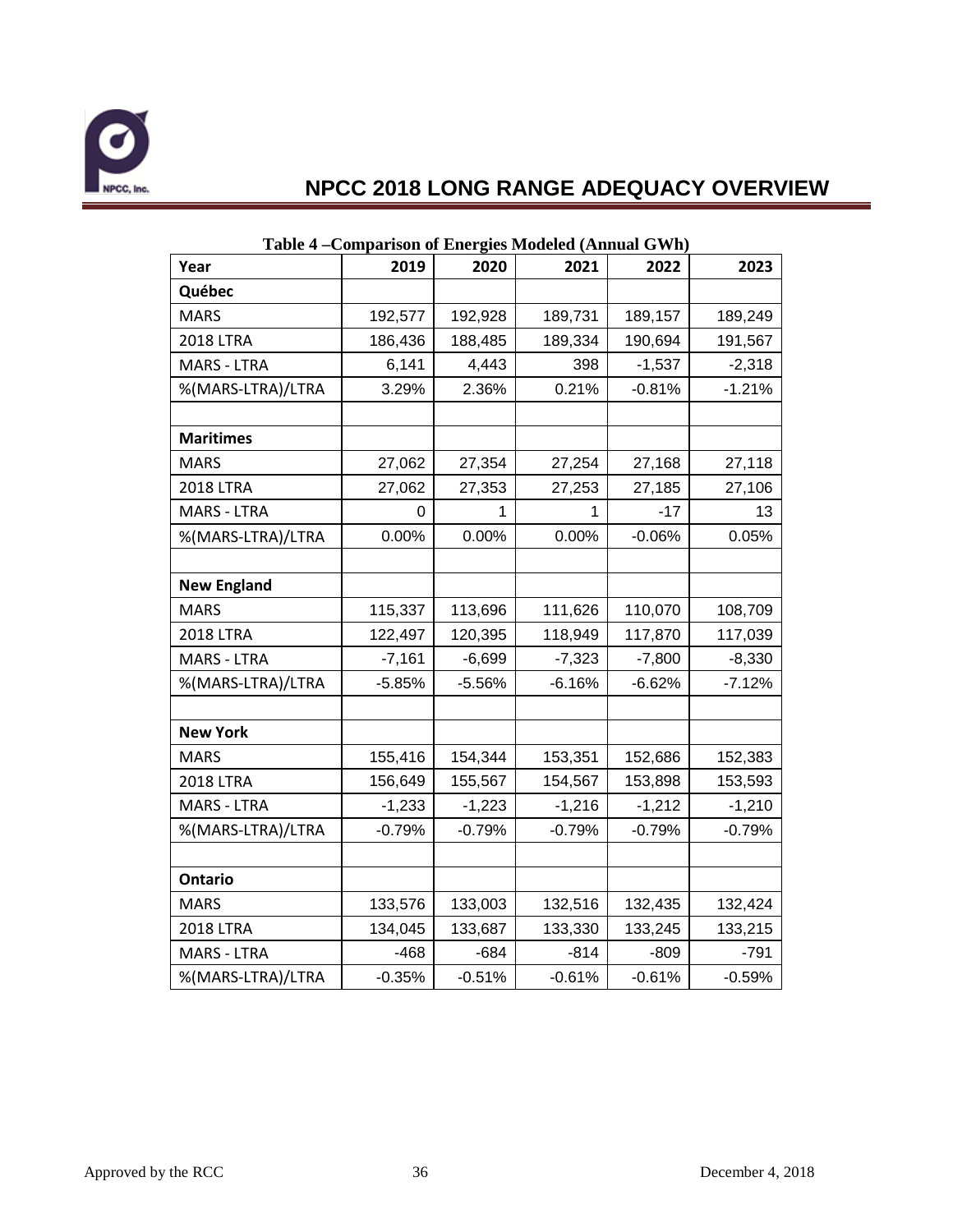

| Year               | 2019     | 2020     | 2021     | 2022     | 2023     |
|--------------------|----------|----------|----------|----------|----------|
| Québec             |          |          |          |          |          |
| <b>MARS</b>        | 192,577  | 192,928  | 189,731  | 189,157  | 189,249  |
| <b>2018 LTRA</b>   | 186,436  | 188,485  | 189,334  | 190,694  | 191,567  |
| <b>MARS - LTRA</b> | 6,141    | 4,443    | 398      | $-1,537$ | $-2,318$ |
| %(MARS-LTRA)/LTRA  | 3.29%    | 2.36%    | 0.21%    | $-0.81%$ | $-1.21%$ |
|                    |          |          |          |          |          |
| <b>Maritimes</b>   |          |          |          |          |          |
| <b>MARS</b>        | 27,062   | 27,354   | 27,254   | 27,168   | 27,118   |
| <b>2018 LTRA</b>   | 27,062   | 27,353   | 27,253   | 27,185   | 27,106   |
| <b>MARS - LTRA</b> | 0        | 1        | 1        | $-17$    | 13       |
| %(MARS-LTRA)/LTRA  | 0.00%    | 0.00%    | 0.00%    | $-0.06%$ | 0.05%    |
|                    |          |          |          |          |          |
| <b>New England</b> |          |          |          |          |          |
| <b>MARS</b>        | 115,337  | 113,696  | 111,626  | 110,070  | 108,709  |
| <b>2018 LTRA</b>   | 122,497  | 120,395  | 118,949  | 117,870  | 117,039  |
| <b>MARS - LTRA</b> | $-7,161$ | $-6,699$ | $-7,323$ | $-7,800$ | $-8,330$ |
| %(MARS-LTRA)/LTRA  | $-5.85%$ | $-5.56%$ | $-6.16%$ | $-6.62%$ | $-7.12%$ |
|                    |          |          |          |          |          |
| <b>New York</b>    |          |          |          |          |          |
| <b>MARS</b>        | 155,416  | 154,344  | 153,351  | 152,686  | 152,383  |
| <b>2018 LTRA</b>   | 156,649  | 155,567  | 154,567  | 153,898  | 153,593  |
| <b>MARS - LTRA</b> | $-1,233$ | $-1,223$ | $-1,216$ | $-1,212$ | $-1,210$ |
| %(MARS-LTRA)/LTRA  | $-0.79%$ | $-0.79%$ | $-0.79%$ | $-0.79%$ | $-0.79%$ |
|                    |          |          |          |          |          |
| <b>Ontario</b>     |          |          |          |          |          |
| <b>MARS</b>        | 133,576  | 133,003  | 132,516  | 132,435  | 132,424  |
| <b>2018 LTRA</b>   | 134,045  | 133,687  | 133,330  | 133,245  | 133,215  |
| <b>MARS - LTRA</b> | $-468$   | $-684$   | $-814$   | $-809$   | $-791$   |
| %(MARS-LTRA)/LTRA  | $-0.35%$ | $-0.51%$ | $-0.61%$ | $-0.61%$ | $-0.59%$ |

#### **Table 4 –Comparison of Energies Modeled (Annual GWh)**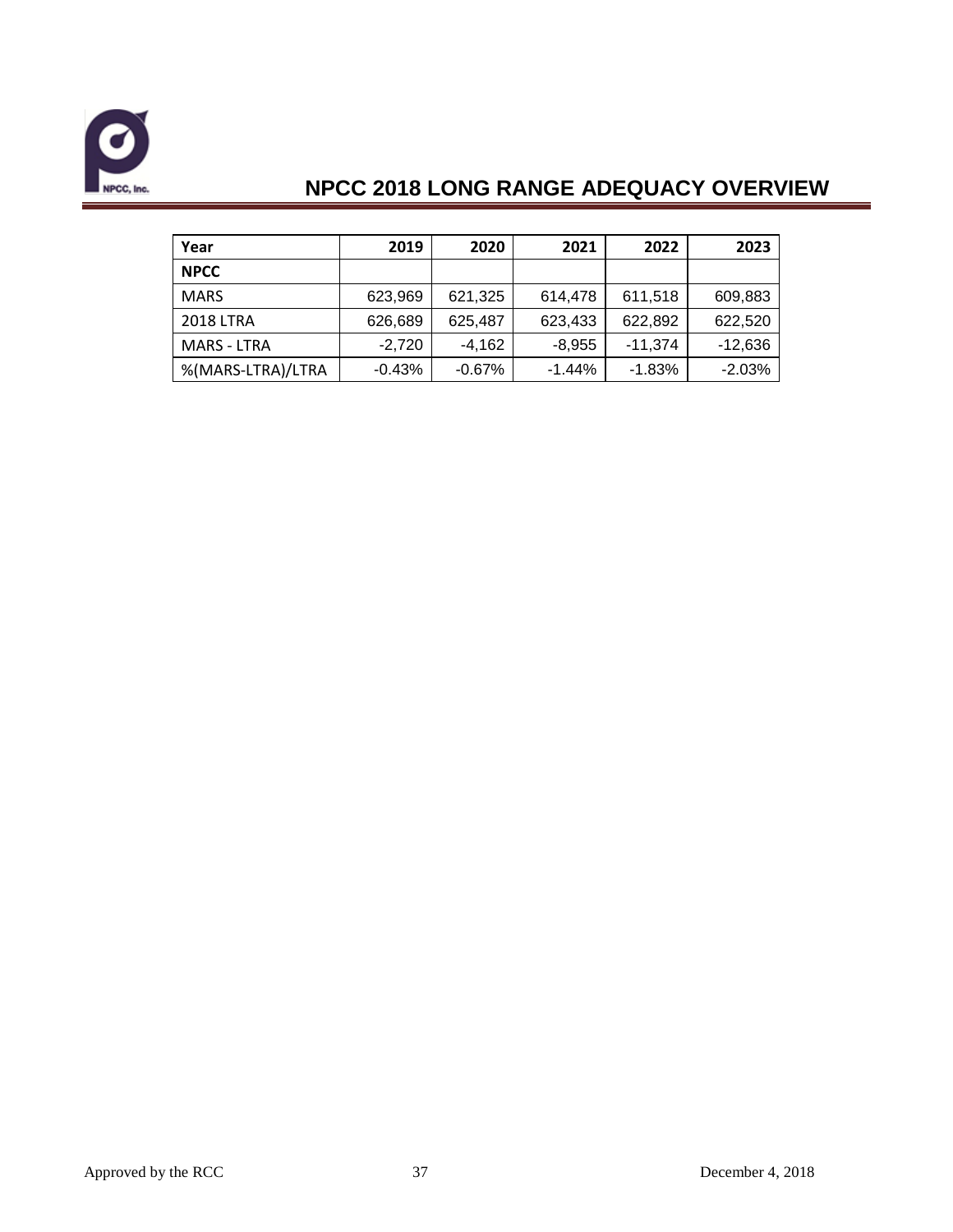

| Year               | 2019     | 2020      | 2021     | 2022      | 2023      |
|--------------------|----------|-----------|----------|-----------|-----------|
| <b>NPCC</b>        |          |           |          |           |           |
| <b>MARS</b>        | 623,969  | 621,325   | 614,478  | 611,518   | 609,883   |
| <b>2018 LTRA</b>   | 626,689  | 625,487   | 623,433  | 622,892   | 622,520   |
| <b>MARS - LTRA</b> | $-2.720$ | $-4,162$  | $-8,955$ | $-11,374$ | $-12,636$ |
| %(MARS-LTRA)/LTRA  | $-0.43%$ | $-0.67\%$ | $-1.44%$ | $-1.83%$  | $-2.03%$  |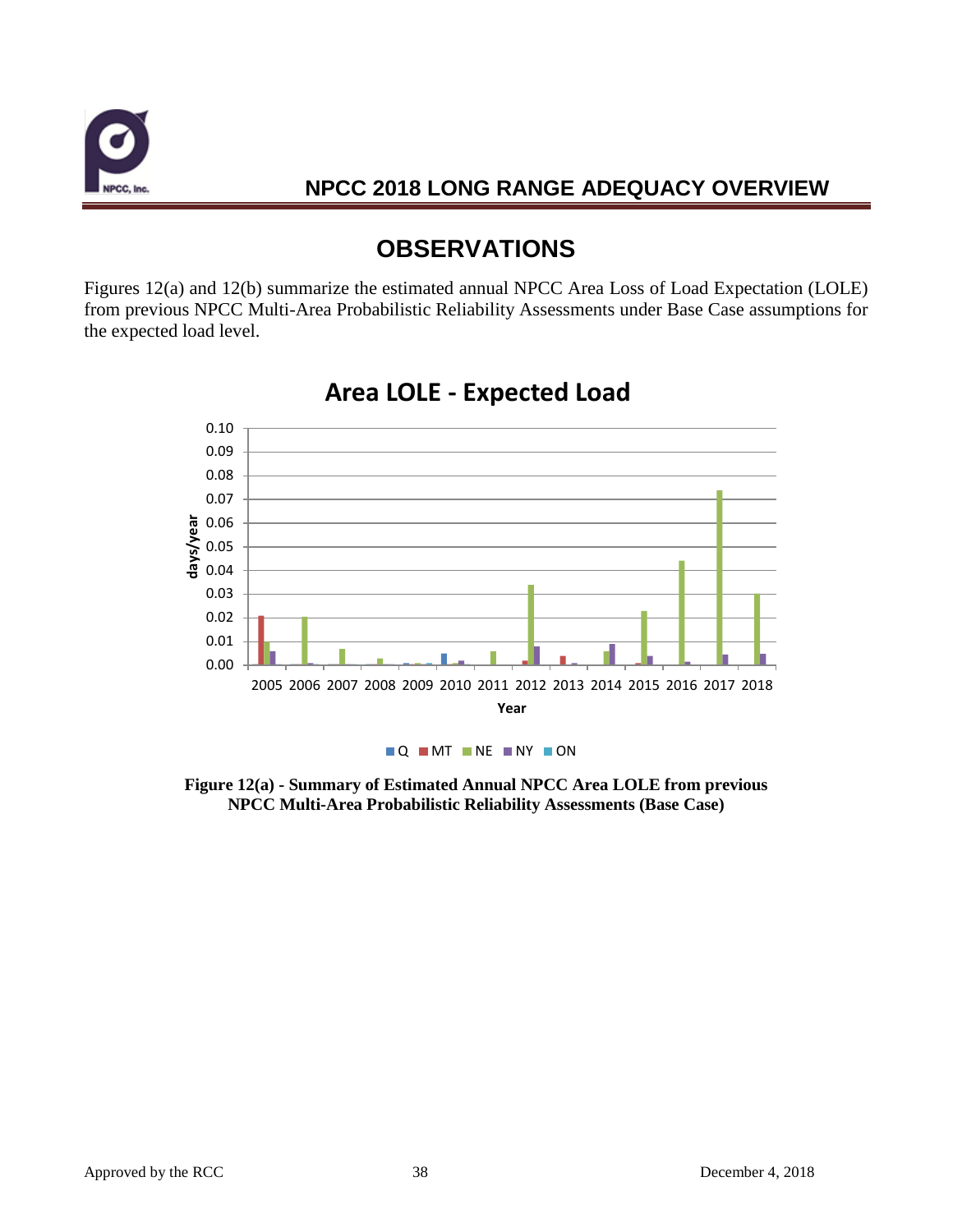

# **OBSERVATIONS**

Figures 12(a) and 12(b) summarize the estimated annual NPCC Area Loss of Load Expectation (LOLE) from previous NPCC Multi-Area Probabilistic Reliability Assessments under Base Case assumptions for the expected load level.



## **Area LOLE - Expected Load**

**Figure 12(a) - Summary of Estimated Annual NPCC Area LOLE from previous NPCC Multi-Area Probabilistic Reliability Assessments (Base Case)**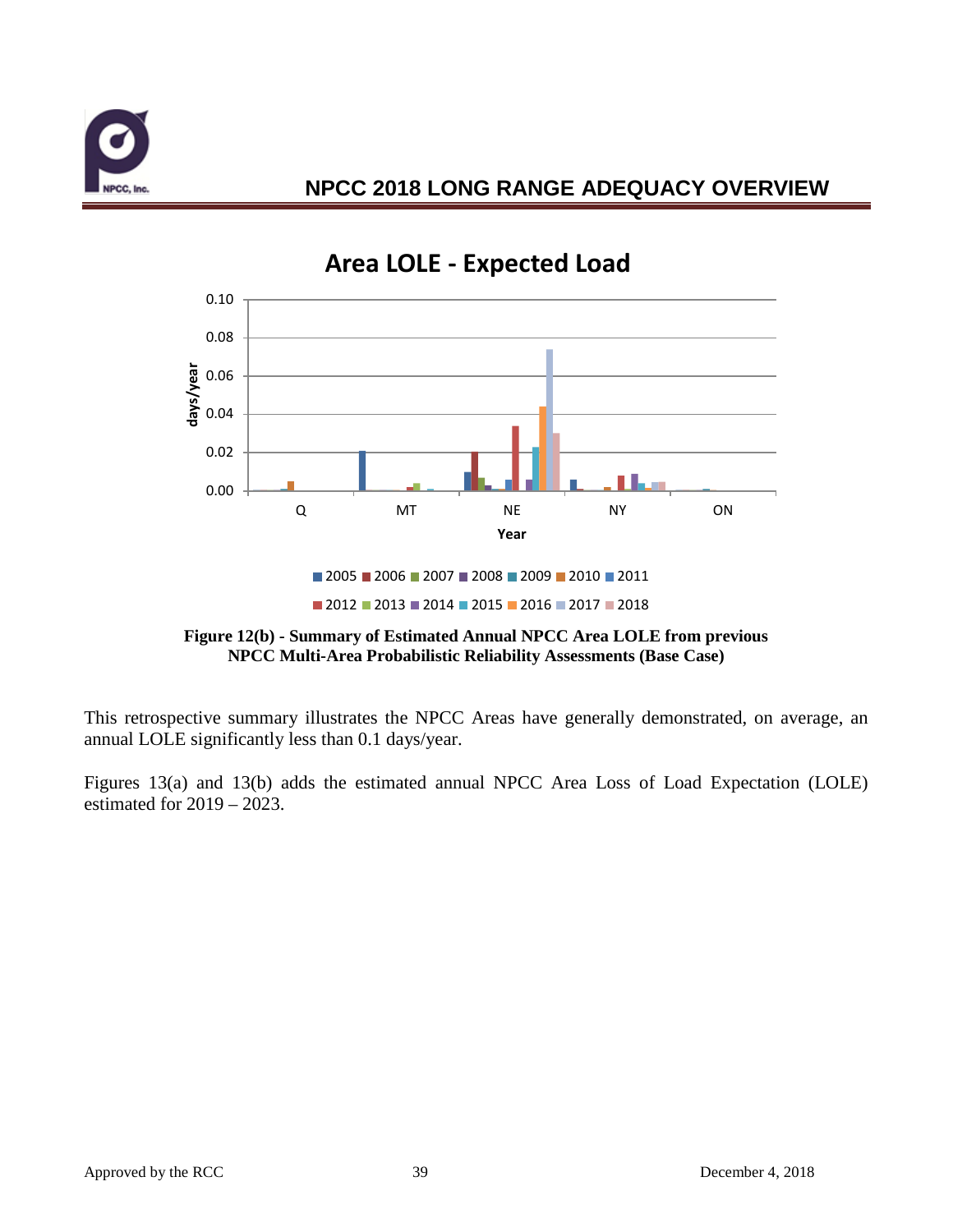



# **Area LOLE - Expected Load**



 $2012$   $2013$   $2014$   $2015$   $2016$   $2017$   $2018$ 

This retrospective summary illustrates the NPCC Areas have generally demonstrated, on average, an annual LOLE significantly less than 0.1 days/year.

Figures 13(a) and 13(b) adds the estimated annual NPCC Area Loss of Load Expectation (LOLE) estimated for 2019 – 2023.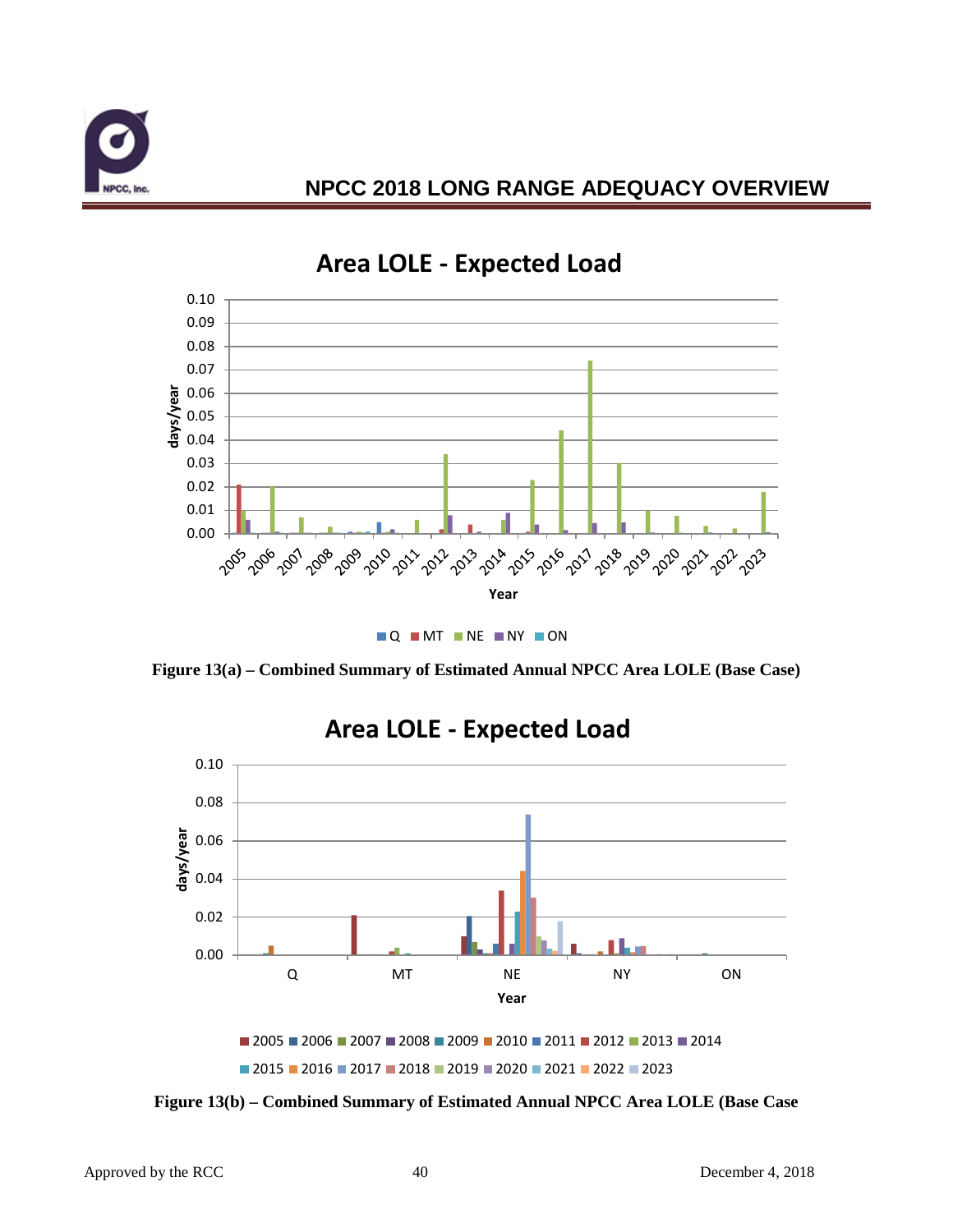



# **Area LOLE - Expected Load**

**Q MT NE NY ON** 

**Figure 13(a) – Combined Summary of Estimated Annual NPCC Area LOLE (Base Case)**



### **Area LOLE - Expected Load**

**Figure 13(b) – Combined Summary of Estimated Annual NPCC Area LOLE (Base Case**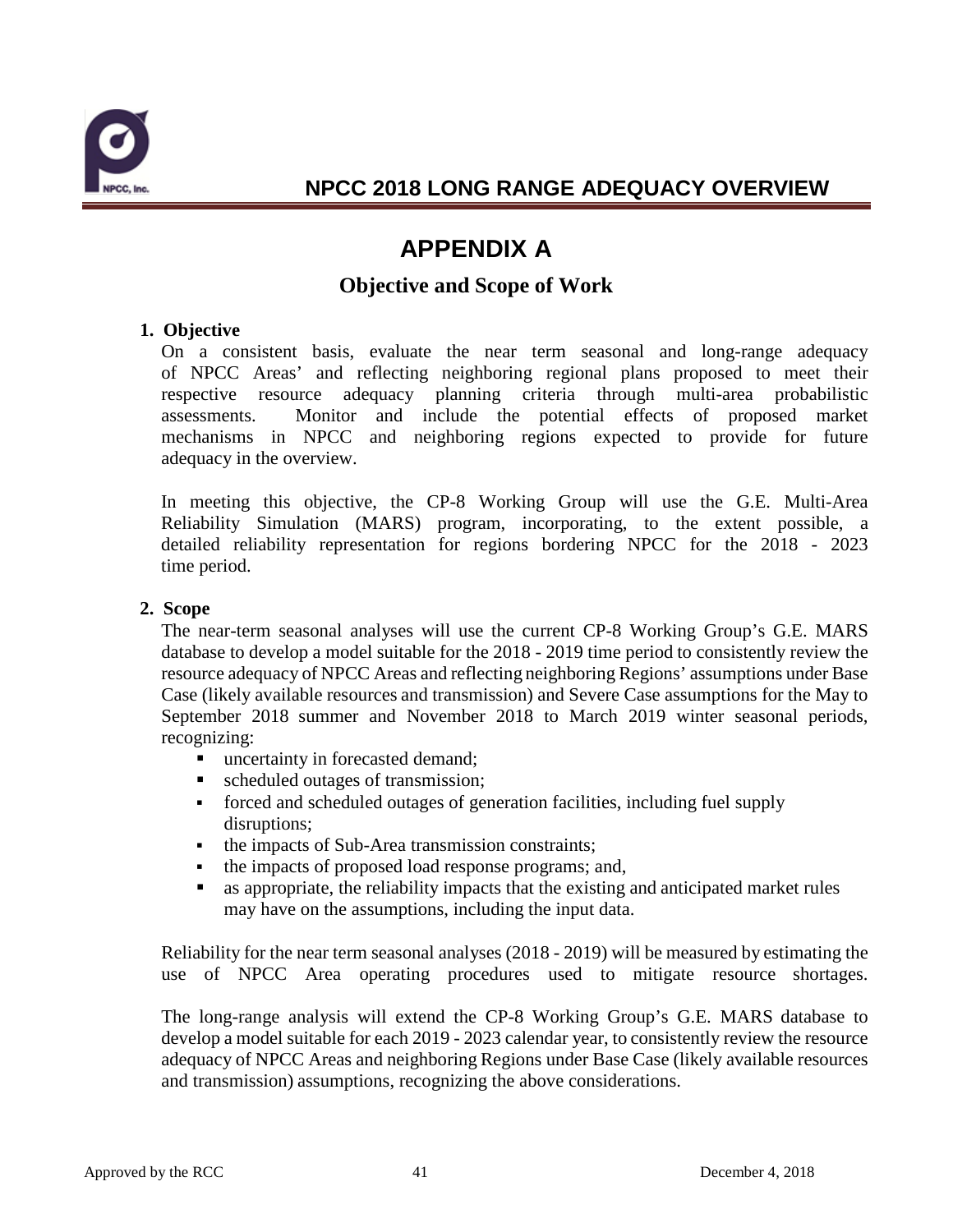

# **APPENDIX A**

### **Objective and Scope of Work**

#### **1. Objective**

On a consistent basis, evaluate the near term seasonal and long-range adequacy of NPCC Areas' and reflecting neighboring regional plans proposed to meet their respective resource adequacy planning criteria through multi-area probabilistic assessments. Monitor and include the potential effects of proposed market mechanisms in NPCC and neighboring regions expected to provide for future adequacy in the overview.

In meeting this objective, the CP-8 Working Group will use the G.E. Multi-Area Reliability Simulation (MARS) program, incorporating, to the extent possible, a detailed reliability representation for regions bordering NPCC for the 2018 - 2023 time period.

#### **2. Scope**

The near-term seasonal analyses will use the current CP-8 Working Group's G.E. MARS database to develop a model suitable for the 2018 - 2019 time period to consistently review the resource adequacy of NPCC Areas and reflecting neighboring Regions' assumptions under Base Case (likely available resources and transmission) and Severe Case assumptions for the May to September 2018 summer and November 2018 to March 2019 winter seasonal periods, recognizing:

- uncertainty in forecasted demand;
- scheduled outages of transmission;
- forced and scheduled outages of generation facilities, including fuel supply disruptions;
- the impacts of Sub-Area transmission constraints;
- the impacts of proposed load response programs; and,
- as appropriate, the reliability impacts that the existing and anticipated market rules may have on the assumptions, including the input data.

Reliability for the near term seasonal analyses (2018 - 2019) will be measured by estimating the use of NPCC Area operating procedures used to mitigate resource shortages.

The long-range analysis will extend the CP-8 Working Group's G.E. MARS database to develop a model suitable for each 2019 - 2023 calendar year, to consistently review the resource adequacy of NPCC Areas and neighboring Regions under Base Case (likely available resources and transmission) assumptions, recognizing the above considerations.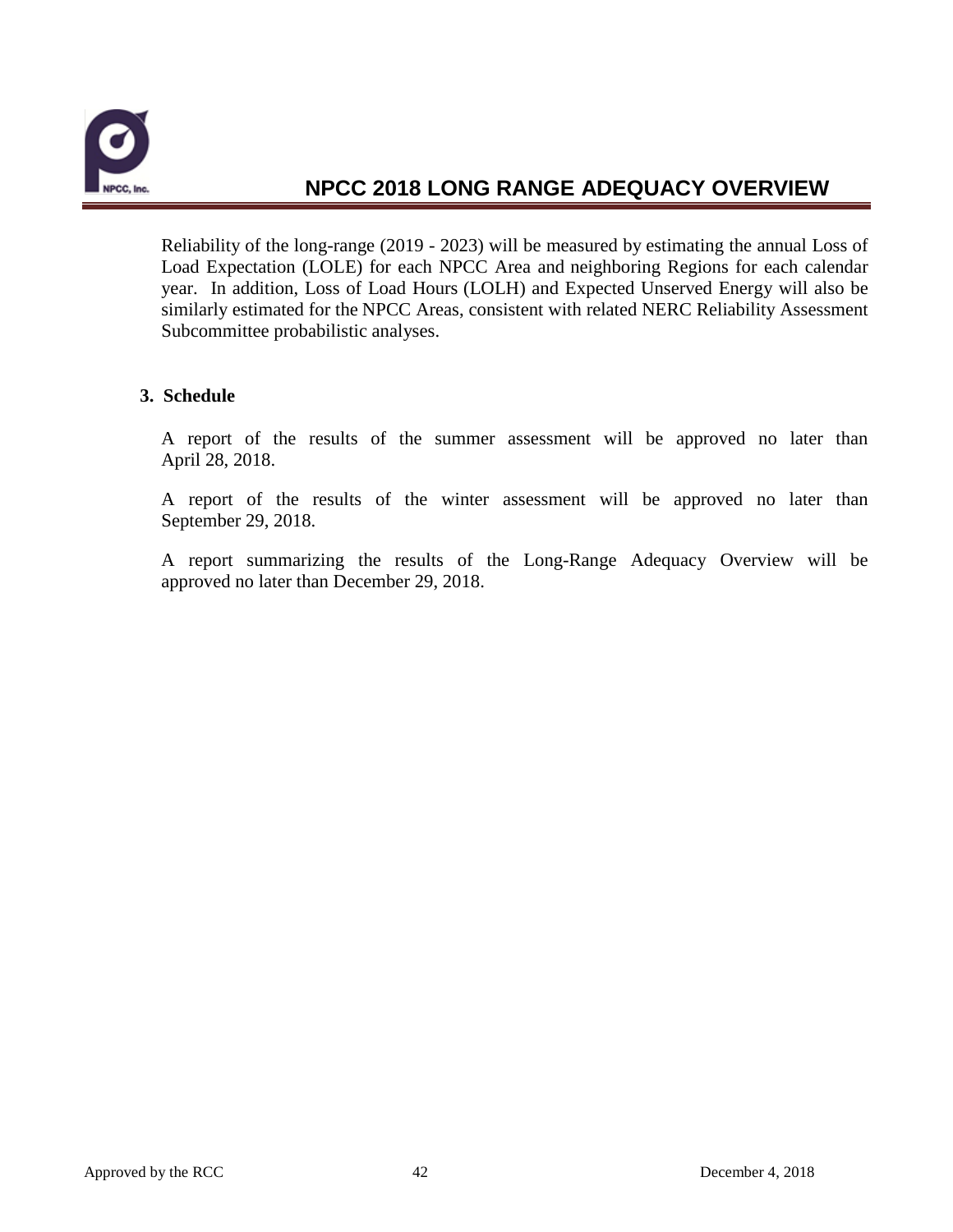

Reliability of the long-range (2019 - 2023) will be measured by estimating the annual Loss of Load Expectation (LOLE) for each NPCC Area and neighboring Regions for each calendar year. In addition, Loss of Load Hours (LOLH) and Expected Unserved Energy will also be similarly estimated for the NPCC Areas, consistent with related NERC Reliability Assessment Subcommittee probabilistic analyses.

#### **3. Schedule**

A report of the results of the summer assessment will be approved no later than April 28, 2018.

A report of the results of the winter assessment will be approved no later than September 29, 2018.

A report summarizing the results of the Long-Range Adequacy Overview will be approved no later than December 29, 2018.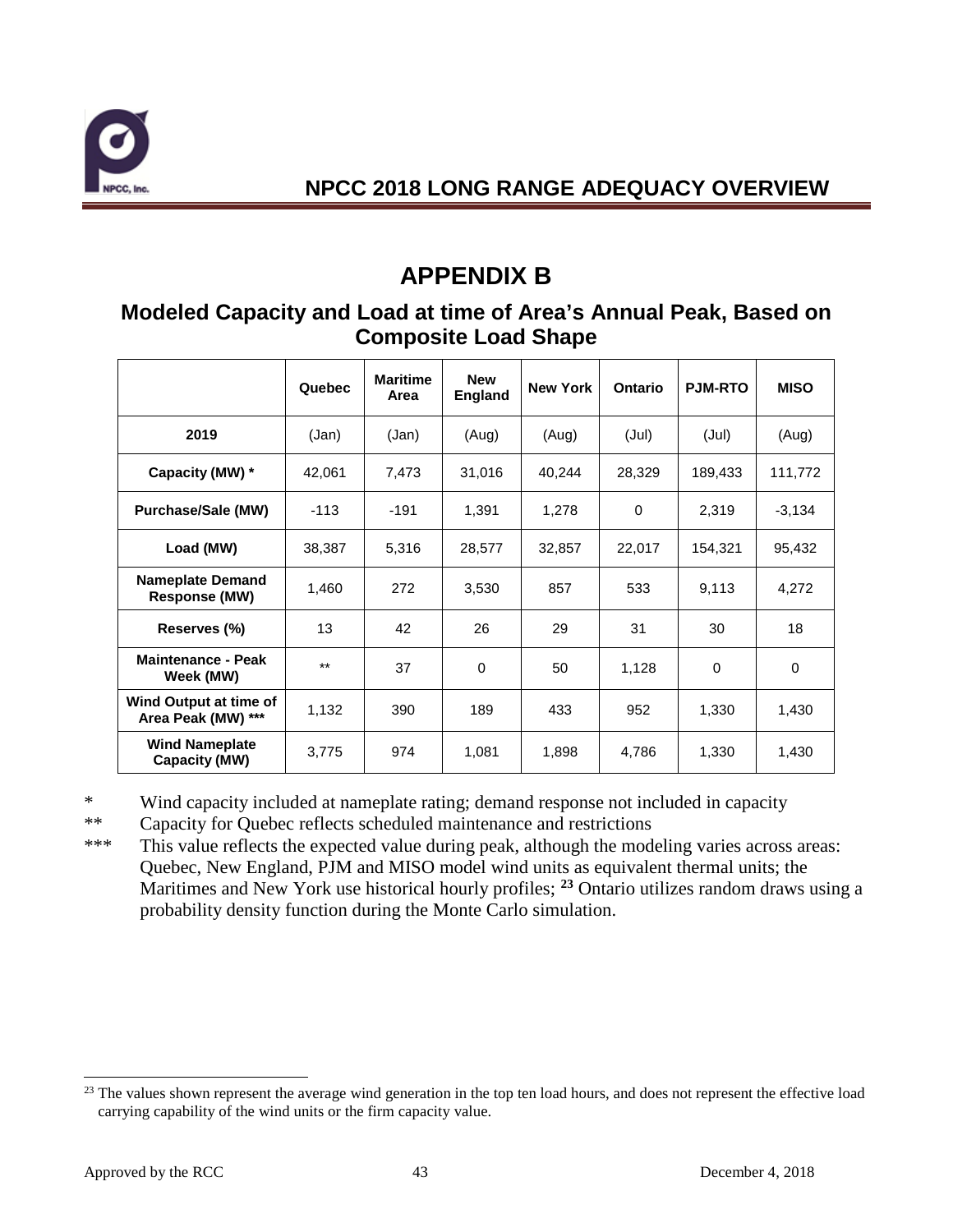

# **APPENDIX B**

### **Modeled Capacity and Load at time of Area's Annual Peak, Based on Composite Load Shape**

|                                                 | Quebec | <b>Maritime</b><br>Area | <b>New</b><br><b>England</b> | <b>New York</b> | Ontario     | <b>PJM-RTO</b> | <b>MISO</b> |
|-------------------------------------------------|--------|-------------------------|------------------------------|-----------------|-------------|----------------|-------------|
| 2019                                            | (Jan)  | (Jan)                   | (Aug)                        | (Aug)           | (Jul)       | (Jul)          | (Aug)       |
| Capacity (MW) *                                 | 42,061 | 7,473                   | 31,016                       | 40,244          | 28,329      | 189,433        | 111,772     |
| <b>Purchase/Sale (MW)</b>                       | $-113$ | $-191$                  | 1,391                        | 1,278           | $\mathbf 0$ | 2,319          | $-3,134$    |
| Load (MW)                                       | 38,387 | 5,316                   | 28,577                       | 32,857          | 22,017      | 154,321        | 95,432      |
| <b>Nameplate Demand</b><br><b>Response (MW)</b> | 1,460  | 272                     | 3,530                        | 857             | 533         | 9,113          | 4,272       |
| Reserves (%)                                    | 13     | 42                      | 26                           | 29              | 31          | 30             | 18          |
| <b>Maintenance - Peak</b><br>Week (MW)          | $***$  | 37                      | $\Omega$                     | 50              | 1,128       | 0              | 0           |
| Wind Output at time of<br>Area Peak (MW) ***    | 1,132  | 390                     | 189                          | 433             | 952         | 1,330          | 1,430       |
| <b>Wind Nameplate</b><br>Capacity (MW)          | 3,775  | 974                     | 1,081                        | 1,898           | 4,786       | 1,330          | 1,430       |

\* Wind capacity included at nameplate rating; demand response not included in capacity

\*\* Capacity for Quebec reflects scheduled maintenance and restrictions

\*\*\* This value reflects the expected value during peak, although the modeling varies across areas: Quebec, New England, PJM and MISO model wind units as equivalent thermal units; the Maritimes and New York use historical hourly profiles; **[23](#page-44-0)** Ontario utilizes random draws using a probability density function during the Monte Carlo simulation.

<span id="page-44-0"></span><sup>&</sup>lt;sup>23</sup> The values shown represent the average wind generation in the top ten load hours, and does not represent the effective load carrying capability of the wind units or the firm capacity value.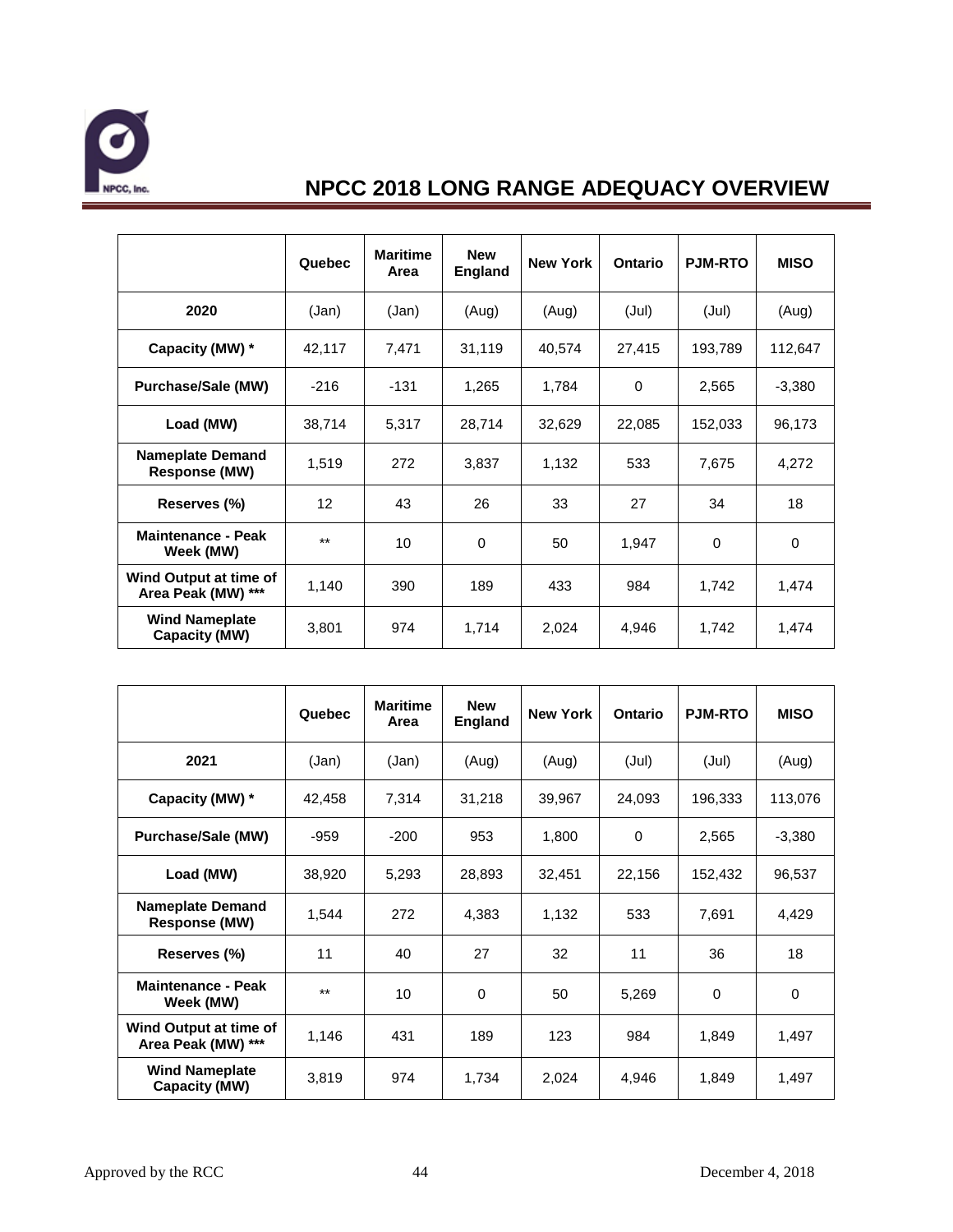

|                                                 | Quebec | <b>Maritime</b><br>Area | <b>New</b><br><b>England</b> | <b>New York</b> | Ontario  | <b>PJM-RTO</b> | <b>MISO</b> |
|-------------------------------------------------|--------|-------------------------|------------------------------|-----------------|----------|----------------|-------------|
| 2020                                            | (Jan)  | (Jan)                   | (Aug)                        | (Aug)           | (Jul)    | (Jul)          | (Aug)       |
| Capacity (MW) *                                 | 42,117 | 7,471                   | 31,119                       | 40,574          | 27,415   | 193,789        | 112,647     |
| Purchase/Sale (MW)                              | $-216$ | $-131$                  | 1,265                        | 1,784           | $\Omega$ | 2,565          | $-3,380$    |
| Load (MW)                                       | 38,714 | 5,317                   | 28,714                       | 32,629          | 22,085   | 152,033        | 96,173      |
| <b>Nameplate Demand</b><br><b>Response (MW)</b> | 1,519  | 272                     | 3,837                        | 1,132           | 533      | 7,675          | 4,272       |
| Reserves (%)                                    | 12     | 43                      | 26                           | 33              | 27       | 34             | 18          |
| Maintenance - Peak<br>Week (MW)                 | $***$  | 10                      | 0                            | 50              | 1,947    | 0              | 0           |
| Wind Output at time of<br>Area Peak (MW) ***    | 1,140  | 390                     | 189                          | 433             | 984      | 1,742          | 1,474       |
| <b>Wind Nameplate</b><br><b>Capacity (MW)</b>   | 3,801  | 974                     | 1,714                        | 2,024           | 4,946    | 1,742          | 1,474       |

|                                                 | Quebec | <b>Maritime</b><br>Area | <b>New</b><br>England | <b>New York</b> | Ontario | <b>PJM-RTO</b> | <b>MISO</b> |
|-------------------------------------------------|--------|-------------------------|-----------------------|-----------------|---------|----------------|-------------|
| 2021                                            | (Jan)  | (Jan)                   | (Aug)                 | (Aug)           | (Jul)   | (Jul)          | (Aug)       |
| Capacity (MW) *                                 | 42,458 | 7,314                   | 31,218                | 39,967          | 24,093  | 196,333        | 113,076     |
| <b>Purchase/Sale (MW)</b>                       | $-959$ | $-200$                  | 953                   | 1,800           | 0       | 2,565          | $-3,380$    |
| Load (MW)                                       | 38,920 | 5,293                   | 28,893                | 32,451          | 22,156  | 152,432        | 96,537      |
| <b>Nameplate Demand</b><br><b>Response (MW)</b> | 1,544  | 272                     | 4,383                 | 1,132           | 533     | 7,691          | 4,429       |
| Reserves (%)                                    | 11     | 40                      | 27                    | 32              | 11      | 36             | 18          |
| <b>Maintenance - Peak</b><br>Week (MW)          | $***$  | 10                      | $\mathbf 0$           | 50              | 5,269   | 0              | 0           |
| Wind Output at time of<br>Area Peak (MW) ***    | 1,146  | 431                     | 189                   | 123             | 984     | 1,849          | 1,497       |
| <b>Wind Nameplate</b><br>Capacity (MW)          | 3,819  | 974                     | 1,734                 | 2,024           | 4,946   | 1,849          | 1,497       |